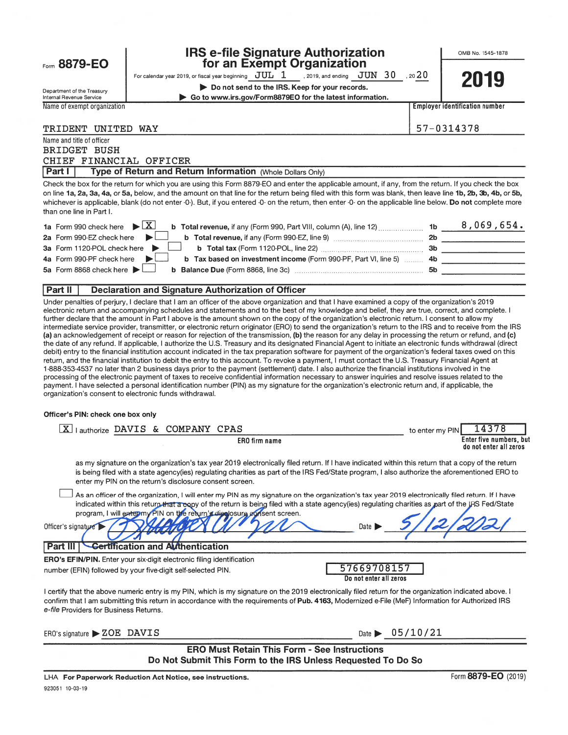| ⊢orm | 8879-E0<br>O. |
|------|---------------|
|      |               |

### **IRS e-file Signature Authorization** for an Exempt Organization

For calendar year 2019, or fiscal year beginning  $\rm\,JUL$   $1$  , 2019, and ending  $\rm\,JUN$   $\rm\,30$  , 20 $20$ 

OMBNO. 1545-1878

2010

| Department of the Treasury  | Do not send to the IRS. Keep for your records.           | ----                           |
|-----------------------------|----------------------------------------------------------|--------------------------------|
| Internal Revenue Service    | Go to www.irs.gov/Form8879EO for the latest information. |                                |
| Name of exempt organization |                                                          | Emplover identification number |
|                             |                                                          |                                |
|                             |                                                          | $    -$                        |

### TRIDENT UNITED WAY 57-0314378

Name and title of officer BRIDGET BUSH CHIEF FINANCIAL OFFICER

**Part I** Type of Return and Return Information (Whole Dollars Only)

Check the box for the return for which you are using this Form 8879-EO and enter the applicable amount, if any, from the return. If you check the box on line 1a, 2a, 3a, 4a, or 5a, below, and the amount on that line for the return being filed with this form was blank, then leave line 1b, 2b, 3b, 4b, or 5b, whichever is applicable, blank (do not enter -0-). But, if you entered -0- on the return, then enter -0- on the applicable line below. Do not complete more than one line in Part I.

| 1a Form 990 check here $\blacktriangleright \boxed{X}$<br><b>b</b> Total revenue, if any (Form 990, Part VIII, column (A), line 12)                   | 1 <sub>b</sub> | $8,069,654$ . |
|-------------------------------------------------------------------------------------------------------------------------------------------------------|----------------|---------------|
| 2a Form 990-EZ check here $\blacktriangleright$<br>b Total revenue, if any (Form 990-EZ, line 9) manuscress contracts                                 | 2b             |               |
| 3a Form 1120-POL check here $\blacktriangleright$ $\Box$ b Total tax (Form 1120-POL, line 22) $\Box$                                                  | -3b            |               |
| 4a Form 990-PF check here $\blacktriangleright$<br><b>b</b> Tax based on investment income (Form 990-PF, Part VI, line 5) 4b                          |                |               |
| 5a Form 8868 check here $\blacktriangleright$<br><b>b</b> Balance Due (Form 8868, line 3c) <b>Manual</b> 20 <b>b</b> Balance Due (Form 8868, line 3c) | 5b             |               |
|                                                                                                                                                       |                |               |

### Part II | Declaration and Signature Authorization of Officer

Under penalties of perjury, I declare that I am an officer of the above organization and that I have examined <sup>a</sup> copy of the organization's 2019 electronic return and accompanying schedules and statements and to the best of my knowledge and belief, they are true, correct, and complete. I further declare that the amount in Part I above is the amount shown on the copy of the organization's electronic return. I consent to allow my intermediate service provider, transmitter, or electronic return originator (ERO) to send the organization's return to the IRS and to receive from the IRS (a) an acknowledgement of receipt or reason for rejection of the transmission, (b) the reason for any delay in processing the return or refund, and (c) the date of any refund. If applicable, I authorize the U.S. Treasury and its designated Financial Agent to initiate an electronic funds withdrawal (direct debit) entry to the financial institution account indicated in the tax preparation software for paymen<sup>t</sup> of the organization's federal taxes owed on this return, and the financial institution to debit the entry to this account. To revoke <sup>a</sup> payment, I must contact the U.S. Treasury Financial Agent at 1 -888-353-4537 no later than 2 business days prior to the paymen<sup>t</sup> (settlement) date. I also authorize the financial institutions involved in the processing of the electronic paymen<sup>t</sup> of taxes to receive confidential information necessary to answer inquiries and resolve issues related to the payment. I have selected <sup>a</sup> personal identification number (PIN) as my signature for the organization's electronic return and, if applicable, the organization's consent to electronic funds withdrawal.

#### Officer's PIN: check one box only

| I authorize DAVIS & COMPANY CPAS                                                                                                                                                                                                                                                                                                                                                                                                                                                                  | 14378<br>to enter my PIN                          |
|---------------------------------------------------------------------------------------------------------------------------------------------------------------------------------------------------------------------------------------------------------------------------------------------------------------------------------------------------------------------------------------------------------------------------------------------------------------------------------------------------|---------------------------------------------------|
| <b>ERO</b> firm name                                                                                                                                                                                                                                                                                                                                                                                                                                                                              | Enter five numbers, but<br>do not enter all zeros |
| as my signature on the organization's tax year 2019 electronically filed return. If I have indicated within this return that a copy of the return<br>is being filed with a state agency(ies) regulating charities as part of the IRS Fed/State program, I also authorize the aforementioned ERO to<br>enter my PIN on the return's disclosure consent screen.                                                                                                                                     |                                                   |
| As an officer of the organization, I will enter my PIN as my signature on the organization's tax year 2019 electronically filed return. If I have<br>indicated within this return that a copy of the return is being filed with a state agency(ies) regulating charities as part of the IRS Fed/State<br>program, I will entermy PIN on the return's disclosure consent screen.<br>Date $\blacktriangleright$<br>Officer's signature<br><b>Certification and Authentication</b><br><b>Part II</b> |                                                   |
| <b>ERO's EFIN/PIN.</b> Enter your six-digit electronic filing identification                                                                                                                                                                                                                                                                                                                                                                                                                      |                                                   |
| 57669708157<br>number (EFIN) followed by your five-digit self-selected PIN.<br>Do not enter all zeros                                                                                                                                                                                                                                                                                                                                                                                             |                                                   |
| I certify that the above numeric entry is my PIN, which is my signature on the 2019 electronically filed return for the organization indicated above. I<br>confirm that I am submitting this return in accordance with the requirements of Pub. 4163, Modernized e-File (MeF) Information for Authorized IRS<br>e-file Providers for Business Returns.                                                                                                                                            |                                                   |
| ERO's signature $\triangleright$ ZOE DAVIS<br>Date $\blacktriangleright$                                                                                                                                                                                                                                                                                                                                                                                                                          | 05/10/21                                          |

ERO Must Retain This Form - See Instructions Do Not Submit This Form to the IRS Unless Requested To Do So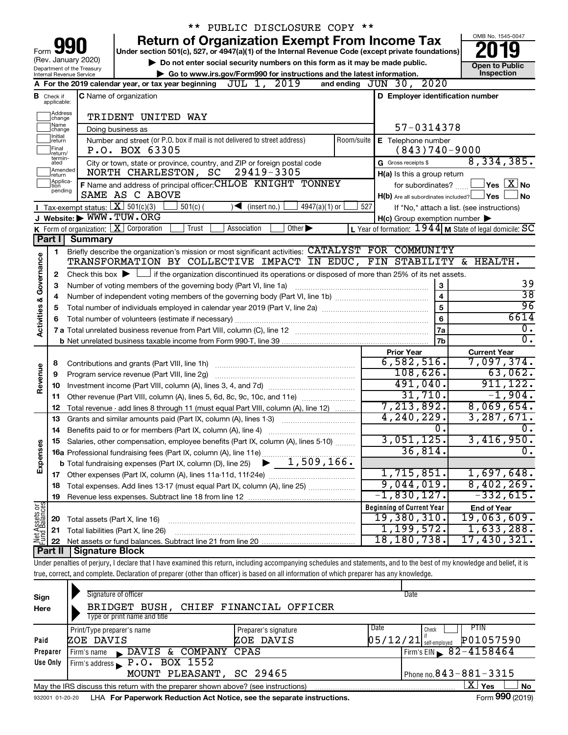|                         |                               |                                                   | ** PUBLIC DISCLOSURE COPY **                                                                                                                                               |                                                         |                                            |
|-------------------------|-------------------------------|---------------------------------------------------|----------------------------------------------------------------------------------------------------------------------------------------------------------------------------|---------------------------------------------------------|--------------------------------------------|
|                         |                               |                                                   | <b>Return of Organization Exempt From Income Tax</b>                                                                                                                       |                                                         | OMB No. 1545-0047                          |
| Form                    |                               |                                                   | Under section 501(c), 527, or 4947(a)(1) of the Internal Revenue Code (except private foundations)                                                                         |                                                         |                                            |
|                         |                               | (Rev. January 2020)<br>Department of the Treasury | Do not enter social security numbers on this form as it may be made public.                                                                                                |                                                         | <b>Open to Public</b>                      |
|                         |                               | Internal Revenue Service                          | Go to www.irs.gov/Form990 for instructions and the latest information.                                                                                                     |                                                         | Inspection                                 |
|                         |                               |                                                   | A For the 2019 calendar year, or tax year beginning $JUL$ 1, $2019$                                                                                                        | and ending JUN 30, 2020                                 |                                            |
|                         | <b>B</b> Check if applicable: |                                                   | <b>C</b> Name of organization                                                                                                                                              | D Employer identification number                        |                                            |
|                         | Address<br>change             |                                                   | TRIDENT UNITED WAY                                                                                                                                                         |                                                         |                                            |
|                         | Name<br>change<br>Ilnitial    |                                                   | Doing business as                                                                                                                                                          | 57-0314378                                              |                                            |
|                         | return<br> Final<br>return/   |                                                   | Number and street (or P.O. box if mail is not delivered to street address)<br>Room/suite<br>P.O. BOX 63305                                                                 | E Telephone number<br>$(843)740 - 9000$                 |                                            |
|                         | termin-<br>ated               |                                                   | City or town, state or province, country, and ZIP or foreign postal code                                                                                                   | G Gross receipts \$                                     | 8,334,385.                                 |
|                         | Amended<br>Ireturn            |                                                   | 29419-3305<br>NORTH CHARLESTON, SC                                                                                                                                         | H(a) Is this a group return                             |                                            |
|                         | Applica-<br>ltion             |                                                   | F Name and address of principal officer: CHLOE KNIGHT TONNEY                                                                                                               | for subordinates?                                       | $\Box$ Yes $\Box$ No                       |
|                         | pending                       |                                                   | SAME AS C ABOVE                                                                                                                                                            | $H(b)$ Are all subordinates included? $\Box$ Yes        | No                                         |
|                         |                               | Tax-exempt status: $X \over 301(c)(3)$            | $501(c)$ (<br>$4947(a)(1)$ or<br>$(\text{insert no.})$                                                                                                                     | 527                                                     | If "No," attach a list. (see instructions) |
|                         |                               | J Website: WWW.TUW.ORG                            |                                                                                                                                                                            | $H(c)$ Group exemption number $\blacktriangleright$     |                                            |
|                         |                               |                                                   | <b>K</b> Form of organization: $\boxed{\mathbf{X}}$ Corporation<br>Trust<br>Other $\blacktriangleright$<br>Association                                                     | L Year of formation: 1944 M State of legal domicile: SC |                                            |
|                         | Part I                        | <b>Summary</b>                                    |                                                                                                                                                                            |                                                         |                                            |
|                         | 1                             |                                                   | Briefly describe the organization's mission or most significant activities: CATALYST FOR COMMUNITY                                                                         |                                                         |                                            |
| Governance              |                               |                                                   | TRANSFORMATION BY COLLECTIVE IMPACT IN EDUC, FIN STABILITY & HEALTH.                                                                                                       |                                                         |                                            |
|                         | 2                             |                                                   | Check this box $\blacktriangleright$ $\Box$ if the organization discontinued its operations or disposed of more than 25% of its net assets.                                |                                                         |                                            |
|                         | 3                             |                                                   | Number of voting members of the governing body (Part VI, line 1a)                                                                                                          | 3                                                       | 39                                         |
|                         | 4                             |                                                   |                                                                                                                                                                            | 4                                                       | $\overline{38}$                            |
|                         | 5                             |                                                   |                                                                                                                                                                            | 5                                                       | 96                                         |
| <b>Activities &amp;</b> | 6                             |                                                   |                                                                                                                                                                            | 6                                                       | 6614                                       |
|                         |                               |                                                   |                                                                                                                                                                            | 7a                                                      | $\overline{0}$ .                           |
|                         |                               |                                                   |                                                                                                                                                                            | 7 <sub>b</sub>                                          | $\overline{0}$ .                           |
|                         |                               |                                                   |                                                                                                                                                                            | <b>Prior Year</b>                                       | <b>Current Year</b>                        |
|                         | 8                             |                                                   |                                                                                                                                                                            | 6,582,516.                                              | 7,097,374.                                 |
| Revenue                 | 9                             |                                                   | Program service revenue (Part VIII, line 2g)                                                                                                                               | 108,626.                                                | 63,062.                                    |
|                         | 10                            |                                                   |                                                                                                                                                                            | 491,040.                                                | 911, 122.                                  |
|                         | 11                            |                                                   | Other revenue (Part VIII, column (A), lines 5, 6d, 8c, 9c, 10c, and 11e)                                                                                                   | 31,710.                                                 | $-1,904.$                                  |
|                         | 12                            |                                                   | Total revenue - add lines 8 through 11 (must equal Part VIII, column (A), line 12)                                                                                         | 7, 213, 892.                                            | 8,069,654.                                 |
|                         | 13                            |                                                   | Grants and similar amounts paid (Part IX, column (A), lines 1-3)                                                                                                           | 4, 240, 229.                                            | 3, 287, 671.                               |
|                         | 14                            |                                                   |                                                                                                                                                                            | 0.                                                      | 0.                                         |
|                         |                               |                                                   | Salaries, other compensation, employee benefits (Part IX, column (A), lines 5-10)                                                                                          | 3,051,125 <b>.</b>                                      | 3,416,950.                                 |
| Expenses                |                               |                                                   | <b>16a</b> Professional fundraising fees (Part IX, column (A), line 11e)                                                                                                   | 36,814.                                                 | σ.                                         |
|                         |                               |                                                   | 1,509,166.<br><b>b</b> Total fundraising expenses (Part IX, column (D), line 25)                                                                                           |                                                         |                                            |
|                         |                               |                                                   |                                                                                                                                                                            | 1,715,851.                                              | 1,697,648.                                 |
|                         |                               |                                                   |                                                                                                                                                                            | 9,044,019.                                              | 8,402,269.                                 |
|                         | 18                            |                                                   |                                                                                                                                                                            | $-1,830,127.$                                           | $-332,615.$                                |
|                         | 19                            |                                                   |                                                                                                                                                                            |                                                         |                                            |
| Net Assets or           |                               |                                                   |                                                                                                                                                                            | <b>Beginning of Current Year</b><br>19,380,310.         | <b>End of Year</b><br>19,063,609.          |
|                         | 20                            | Total assets (Part X, line 16)                    |                                                                                                                                                                            | 1, 199, 572.                                            | 1,633,288.                                 |
|                         | 21                            |                                                   | Total liabilities (Part X, line 26)                                                                                                                                        | 18, 180, 738.                                           | 17,430,321.                                |
|                         | 22<br>Part II                 | Signature Block                                   |                                                                                                                                                                            |                                                         |                                            |
|                         |                               |                                                   |                                                                                                                                                                            |                                                         |                                            |
|                         |                               |                                                   | Under penalties of perjury, I declare that I have examined this return, including accompanying schedules and statements, and to the best of my knowledge and belief, it is |                                                         |                                            |
|                         |                               |                                                   | true, correct, and complete. Declaration of preparer (other than officer) is based on all information of which preparer has any knowledge.                                 |                                                         |                                            |
|                         |                               |                                                   |                                                                                                                                                                            |                                                         |                                            |

| Sign<br>Here | Signature of officer<br>BRIDGET BUSH, CHIEF FINANCIAL OFFICER                     |                              | Date                                  |
|--------------|-----------------------------------------------------------------------------------|------------------------------|---------------------------------------|
|              | Type or print name and title                                                      |                              |                                       |
|              | Print/Type preparer's name                                                        | Date<br>Preparer's signature | <b>PTIN</b><br>Check                  |
| Paid         | ZOE DAVIS                                                                         | ZOE DAVIS                    | P01057590<br>$05/12/21$ self-employed |
| Preparer     | Firm's name DAVIS & COMPANY CPAS                                                  |                              | $I$ Firm's EIN $\sqrt{82-4158464}$    |
| Use Only     | Firm's address P.O. BOX 1552                                                      |                              |                                       |
|              | MOUNT PLEASANT, SC 29465                                                          |                              | Phone no. $843 - 881 - 3315$          |
|              | May the IRS discuss this return with the preparer shown above? (see instructions) |                              | ΧI<br><b>No</b><br>Yes                |
|              |                                                                                   |                              | $\cdots$                              |

932001 01-20-20 **For Paperwork Reduction Act Notice, see the separate instructions.** LHA Form (2019)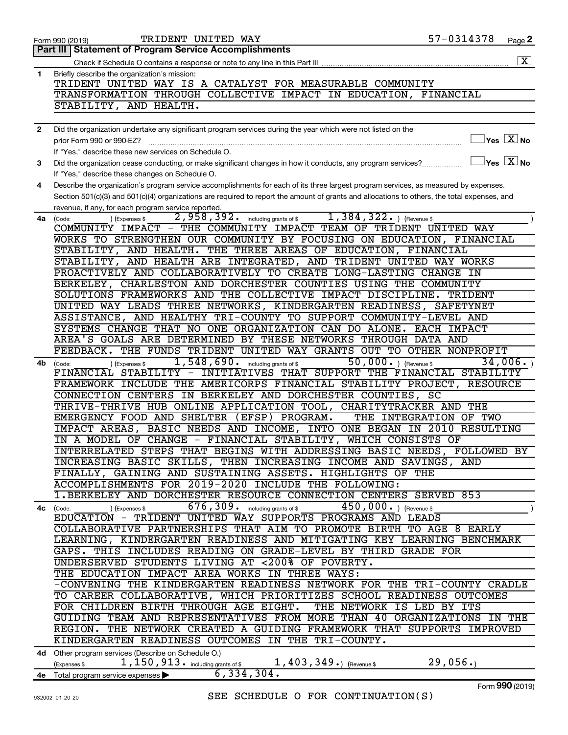|                | TRIDENT UNITED WAY<br>Form 990 (2019)                                                                                                        | 57-0314378      | Page 2                              |
|----------------|----------------------------------------------------------------------------------------------------------------------------------------------|-----------------|-------------------------------------|
|                | Part III   Statement of Program Service Accomplishments                                                                                      |                 |                                     |
|                |                                                                                                                                              |                 | $\boxed{\text{X}}$                  |
| $\mathbf{1}$   | Briefly describe the organization's mission:                                                                                                 |                 |                                     |
|                | TRIDENT UNITED WAY IS A CATALYST FOR MEASURABLE COMMUNITY                                                                                    |                 |                                     |
|                | TRANSFORMATION THROUGH COLLECTIVE IMPACT IN EDUCATION, FINANCIAL                                                                             |                 |                                     |
|                | STABILITY, AND HEALTH.                                                                                                                       |                 |                                     |
|                |                                                                                                                                              |                 |                                     |
| $\overline{2}$ | Did the organization undertake any significant program services during the year which were not listed on the                                 |                 |                                     |
|                | prior Form 990 or 990-EZ?                                                                                                                    |                 | $\exists$ Yes $\boxed{\text{X}}$ No |
|                | If "Yes," describe these new services on Schedule O.                                                                                         |                 |                                     |
| З              |                                                                                                                                              |                 |                                     |
|                | If "Yes," describe these changes on Schedule O.                                                                                              |                 |                                     |
|                |                                                                                                                                              |                 |                                     |
| 4              | Describe the organization's program service accomplishments for each of its three largest program services, as measured by expenses.         |                 |                                     |
|                | Section 501(c)(3) and 501(c)(4) organizations are required to report the amount of grants and allocations to others, the total expenses, and |                 |                                     |
|                | revenue, if any, for each program service reported.                                                                                          |                 |                                     |
| 4a             | 2,958,392. including grants of \$1,384,322. ) (Revenue \$<br>) (Expenses \$<br>(Code:                                                        |                 |                                     |
|                | COMMUNITY IMPACT - THE COMMUNITY IMPACT TEAM OF TRIDENT UNITED WAY                                                                           |                 |                                     |
|                | WORKS TO STRENGTHEN OUR COMMUNITY BY FOCUSING ON EDUCATION, FINANCIAL                                                                        |                 |                                     |
|                | STABILITY, AND HEALTH. THE THREE AREAS OF EDUCATION, FINANCIAL                                                                               |                 |                                     |
|                | STABILITY, AND HEALTH ARE INTEGRATED, AND TRIDENT UNITED WAY WORKS                                                                           |                 |                                     |
|                | PROACTIVELY AND COLLABORATIVELY TO CREATE LONG-LASTING CHANGE IN                                                                             |                 |                                     |
|                | BERKELEY, CHARLESTON AND DORCHESTER COUNTIES USING THE COMMUNITY                                                                             |                 |                                     |
|                | SOLUTIONS FRAMEWORKS AND THE COLLECTIVE IMPACT DISCIPLINE. TRIDENT                                                                           |                 |                                     |
|                | UNITED WAY LEADS THREE NETWORKS, KINDERGARTEN READINESS, SAFETYNET                                                                           |                 |                                     |
|                | ASSISTANCE, AND HEALTHY TRI-COUNTY TO SUPPORT COMMUNITY-LEVEL AND                                                                            |                 |                                     |
|                | SYSTEMS CHANGE THAT NO ONE ORGANIZATION CAN DO ALONE. EACH IMPACT                                                                            |                 |                                     |
|                | AREA'S GOALS ARE DETERMINED BY THESE NETWORKS THROUGH DATA AND                                                                               |                 |                                     |
|                | FEEDBACK. THE FUNDS TRIDENT UNITED WAY GRANTS OUT TO OTHER NONPROFIT                                                                         |                 |                                     |
| 4b             | 50,000. $ $ (Revenue \$<br>$1,548,690$ $\cdot$ including grants of \$<br>) (Expenses \$<br>(Code:                                            |                 | 34,006.                             |
|                | FINANCIAL STABILITY - INITIATIVES THAT SUPPORT THE FINANCIAL STABILITY                                                                       |                 |                                     |
|                | FRAMEWORK INCLUDE THE AMERICORPS FINANCIAL STABILITY PROJECT,                                                                                | <b>RESOURCE</b> |                                     |
|                | CONNECTION CENTERS IN BERKELEY AND DORCHESTER COUNTIES, SC                                                                                   |                 |                                     |
|                | THRIVE-THRIVE HUB ONLINE APPLICATION TOOL, CHARITYTRACKER AND THE                                                                            |                 |                                     |
|                | EMERGENCY FOOD AND SHELTER (EFSP) PROGRAM.<br>THE INTEGRATION OF TWO                                                                         |                 |                                     |
|                | IMPACT AREAS, BASIC NEEDS AND INCOME, INTO ONE BEGAN IN 2010 RESULTING                                                                       |                 |                                     |
|                | IN A MODEL OF CHANGE - FINANCIAL STABILITY, WHICH CONSISTS OF                                                                                |                 |                                     |
|                | INTERRELATED STEPS THAT BEGINS WITH ADDRESSING BASIC NEEDS, FOLLOWED BY                                                                      |                 |                                     |
|                | INCREASING BASIC SKILLS, THEN INCREASING INCOME AND SAVINGS, AND                                                                             |                 |                                     |
|                | FINALLY, GAINING AND SUSTAINING ASSETS. HIGHLIGHTS OF THE                                                                                    |                 |                                     |
|                | ACCOMPLISHMENTS FOR 2019-2020 INCLUDE THE FOLLOWING:                                                                                         |                 |                                     |
|                |                                                                                                                                              |                 |                                     |
|                | 1. BERKELEY AND DORCHESTER RESOURCE CONNECTION CENTERS SERVED 853                                                                            |                 |                                     |
| 4с             | $\overline{676}$ , $\overline{309}$ . including grants of \$<br>$450,000.$ (Revenue \$)<br>) (Expenses \$<br>Code:                           |                 |                                     |
|                | EDUCATION - TRIDENT UNITED WAY SUPPORTS PROGRAMS AND LEADS                                                                                   |                 |                                     |
|                | COLLABORATIVE PARTNERSHIPS THAT AIM TO PROMOTE BIRTH TO AGE 8 EARLY                                                                          |                 |                                     |
|                | LEARNING, KINDERGARTEN READINESS AND MITIGATING KEY LEARNING BENCHMARK                                                                       |                 |                                     |
|                | GAPS. THIS INCLUDES READING ON GRADE-LEVEL BY THIRD GRADE FOR                                                                                |                 |                                     |
|                | UNDERSERVED STUDENTS LIVING AT <200% OF POVERTY.                                                                                             |                 |                                     |
|                | THE EDUCATION IMPACT AREA WORKS IN THREE WAYS:                                                                                               |                 |                                     |
|                | -CONVENING THE KINDERGARTEN READINESS NETWORK FOR THE TRI-COUNTY CRADLE                                                                      |                 |                                     |
|                | TO CAREER COLLABORATIVE, WHICH PRIORITIZES SCHOOL READINESS OUTCOMES                                                                         |                 |                                     |
|                | FOR CHILDREN BIRTH THROUGH AGE EIGHT. THE NETWORK IS LED BY ITS                                                                              |                 |                                     |
|                | GUIDING TEAM AND REPRESENTATIVES FROM MORE THAN 40 ORGANIZATIONS IN THE                                                                      |                 |                                     |
|                | REGION. THE NETWORK CREATED A GUIDING FRAMEWORK THAT SUPPORTS IMPROVED                                                                       |                 |                                     |
|                | KINDERGARTEN READINESS OUTCOMES IN THE TRI-COUNTY.                                                                                           |                 |                                     |
|                | 4d Other program services (Describe on Schedule O.)                                                                                          |                 |                                     |
|                | 1, 150, 913. including grants of \$1, 403, 349.) (Revenue \$<br>(Expenses \$                                                                 | 29,056.         |                                     |
|                | 6, 334, 304.<br>4e Total program service expenses >                                                                                          |                 |                                     |
|                |                                                                                                                                              |                 |                                     |

Form (2019) **990**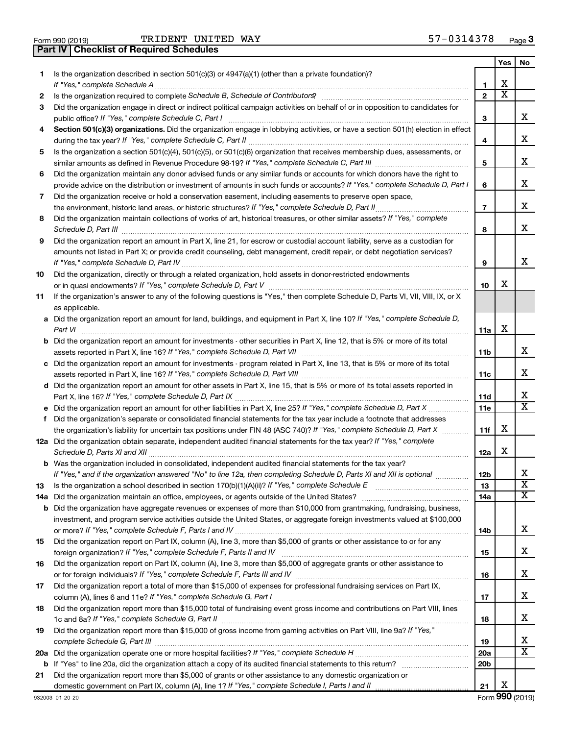| Form 990 (2019) |  |  |
|-----------------|--|--|
|                 |  |  |

**Part IV Checklist of Required Schedules**

TRIDENT UNITED WAY 57-0314378

|     |                                                                                                                                                                                                                                      |              | Yes                     | No                           |
|-----|--------------------------------------------------------------------------------------------------------------------------------------------------------------------------------------------------------------------------------------|--------------|-------------------------|------------------------------|
| 1   | Is the organization described in section 501(c)(3) or 4947(a)(1) (other than a private foundation)?                                                                                                                                  |              |                         |                              |
|     |                                                                                                                                                                                                                                      | 1            | х                       |                              |
| 2   | Is the organization required to complete Schedule B, Schedule of Contributors? [11] The organization required to complete Schedule B, Schedule of Contributors?                                                                      | $\mathbf{2}$ | $\overline{\texttt{x}}$ |                              |
| 3   | Did the organization engage in direct or indirect political campaign activities on behalf of or in opposition to candidates for                                                                                                      |              |                         |                              |
|     |                                                                                                                                                                                                                                      | 3            |                         | х                            |
| 4   | Section 501(c)(3) organizations. Did the organization engage in lobbying activities, or have a section 501(h) election in effect                                                                                                     |              |                         |                              |
|     |                                                                                                                                                                                                                                      | 4            |                         | х                            |
| 5   | Is the organization a section 501(c)(4), 501(c)(5), or 501(c)(6) organization that receives membership dues, assessments, or                                                                                                         |              |                         |                              |
|     |                                                                                                                                                                                                                                      | 5            |                         | х                            |
| 6   | Did the organization maintain any donor advised funds or any similar funds or accounts for which donors have the right to                                                                                                            |              |                         |                              |
|     | provide advice on the distribution or investment of amounts in such funds or accounts? If "Yes," complete Schedule D, Part I                                                                                                         | 6            |                         | х                            |
| 7   | Did the organization receive or hold a conservation easement, including easements to preserve open space,                                                                                                                            |              |                         |                              |
|     |                                                                                                                                                                                                                                      | 7            |                         | х                            |
| 8   | Did the organization maintain collections of works of art, historical treasures, or other similar assets? If "Yes," complete                                                                                                         |              |                         |                              |
|     | Schedule D, Part III <b>Marting Community Contract Contract Contract Contract Contract Contract Contract Contract Contract Contract Contract Contract Contract Contract Contract Contract Contract Contract Contract Contract Co</b> | 8            |                         | x                            |
| 9   | Did the organization report an amount in Part X, line 21, for escrow or custodial account liability, serve as a custodian for                                                                                                        |              |                         |                              |
|     | amounts not listed in Part X; or provide credit counseling, debt management, credit repair, or debt negotiation services?                                                                                                            |              |                         |                              |
|     |                                                                                                                                                                                                                                      | 9            |                         | x                            |
| 10  | Did the organization, directly or through a related organization, hold assets in donor-restricted endowments                                                                                                                         |              |                         |                              |
|     |                                                                                                                                                                                                                                      | 10           | х                       |                              |
| 11  | If the organization's answer to any of the following questions is "Yes," then complete Schedule D, Parts VI, VII, VIII, IX, or X                                                                                                     |              |                         |                              |
|     | as applicable.                                                                                                                                                                                                                       |              |                         |                              |
|     | a Did the organization report an amount for land, buildings, and equipment in Part X, line 10? If "Yes," complete Schedule D,                                                                                                        |              |                         |                              |
|     | Part VI                                                                                                                                                                                                                              | 11a          | х                       |                              |
|     | <b>b</b> Did the organization report an amount for investments - other securities in Part X, line 12, that is 5% or more of its total                                                                                                |              |                         |                              |
|     |                                                                                                                                                                                                                                      | 11b          |                         | х                            |
|     | c Did the organization report an amount for investments - program related in Part X, line 13, that is 5% or more of its total                                                                                                        |              |                         |                              |
|     |                                                                                                                                                                                                                                      | 11c          |                         | х                            |
|     | d Did the organization report an amount for other assets in Part X, line 15, that is 5% or more of its total assets reported in                                                                                                      |              |                         | х                            |
|     |                                                                                                                                                                                                                                      | 11d<br>11e   |                         | $\overline{\mathtt{x}}$      |
| f   | Did the organization's separate or consolidated financial statements for the tax year include a footnote that addresses                                                                                                              |              |                         |                              |
|     | the organization's liability for uncertain tax positions under FIN 48 (ASC 740)? If "Yes," complete Schedule D, Part X                                                                                                               | 11f          | х                       |                              |
|     | 12a Did the organization obtain separate, independent audited financial statements for the tax year? If "Yes," complete                                                                                                              |              |                         |                              |
|     |                                                                                                                                                                                                                                      | 12a          | х                       |                              |
|     | <b>b</b> Was the organization included in consolidated, independent audited financial statements for the tax year?                                                                                                                   |              |                         |                              |
|     | If "Yes," and if the organization answered "No" to line 12a, then completing Schedule D, Parts XI and XII is optional <i>manimini</i>                                                                                                | 12b          |                         | х                            |
| 13  |                                                                                                                                                                                                                                      | 13           |                         | $\overline{\textbf{x}}$      |
| 14a |                                                                                                                                                                                                                                      | 14a          |                         | $\overline{\text{X}}$        |
|     | <b>b</b> Did the organization have aggregate revenues or expenses of more than \$10,000 from grantmaking, fundraising, business,                                                                                                     |              |                         |                              |
|     | investment, and program service activities outside the United States, or aggregate foreign investments valued at \$100,000                                                                                                           |              |                         |                              |
|     |                                                                                                                                                                                                                                      | 14b          |                         | х                            |
| 15  | Did the organization report on Part IX, column (A), line 3, more than \$5,000 of grants or other assistance to or for any                                                                                                            |              |                         |                              |
|     |                                                                                                                                                                                                                                      | 15           |                         | x                            |
| 16  | Did the organization report on Part IX, column (A), line 3, more than \$5,000 of aggregate grants or other assistance to                                                                                                             |              |                         |                              |
|     |                                                                                                                                                                                                                                      | 16           |                         | х                            |
| 17  | Did the organization report a total of more than \$15,000 of expenses for professional fundraising services on Part IX,                                                                                                              |              |                         |                              |
|     |                                                                                                                                                                                                                                      | 17           |                         | х                            |
| 18  | Did the organization report more than \$15,000 total of fundraising event gross income and contributions on Part VIII, lines                                                                                                         |              |                         |                              |
|     |                                                                                                                                                                                                                                      | 18           |                         | x                            |
| 19  | Did the organization report more than \$15,000 of gross income from gaming activities on Part VIII, line 9a? If "Yes,"                                                                                                               |              |                         |                              |
|     |                                                                                                                                                                                                                                      | 19           |                         | x<br>$\overline{\textbf{X}}$ |
|     |                                                                                                                                                                                                                                      | 20a          |                         |                              |
|     | Did the organization report more than \$5,000 of grants or other assistance to any domestic organization or                                                                                                                          | 20b          |                         |                              |
| 21  |                                                                                                                                                                                                                                      | 21           | х                       |                              |
|     |                                                                                                                                                                                                                                      |              |                         |                              |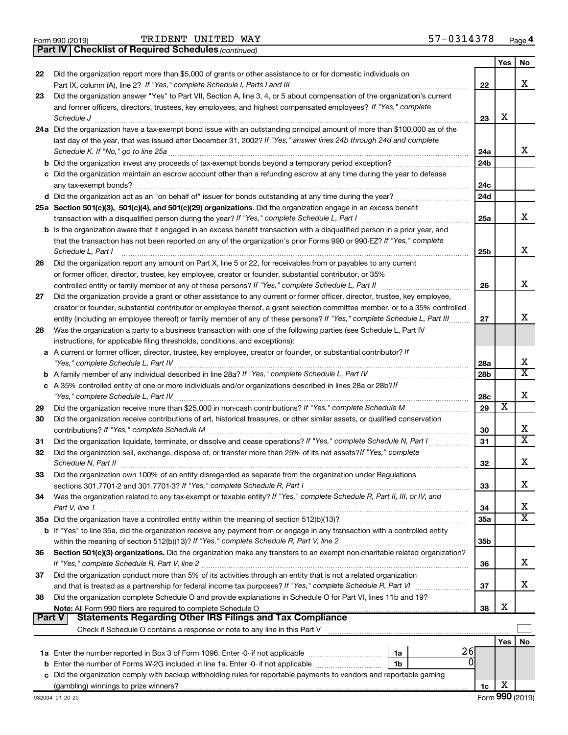|  | Form 990 (2019) |
|--|-----------------|
|  |                 |

*(continued)* **Part IV Checklist of Required Schedules**

|               |                                                                                                                                                                                                                                  |                 | Yes | No                           |
|---------------|----------------------------------------------------------------------------------------------------------------------------------------------------------------------------------------------------------------------------------|-----------------|-----|------------------------------|
| 22            | Did the organization report more than \$5,000 of grants or other assistance to or for domestic individuals on                                                                                                                    |                 |     |                              |
|               |                                                                                                                                                                                                                                  | 22              |     | х                            |
| 23            | Did the organization answer "Yes" to Part VII, Section A, line 3, 4, or 5 about compensation of the organization's current                                                                                                       |                 |     |                              |
|               | and former officers, directors, trustees, key employees, and highest compensated employees? If "Yes," complete                                                                                                                   |                 |     |                              |
|               |                                                                                                                                                                                                                                  | 23              | х   |                              |
|               | 24a Did the organization have a tax-exempt bond issue with an outstanding principal amount of more than \$100,000 as of the                                                                                                      |                 |     |                              |
|               | last day of the year, that was issued after December 31, 2002? If "Yes," answer lines 24b through 24d and complete                                                                                                               |                 |     |                              |
|               |                                                                                                                                                                                                                                  | 24a             |     | x                            |
|               |                                                                                                                                                                                                                                  | 24 <sub>b</sub> |     |                              |
|               | c Did the organization maintain an escrow account other than a refunding escrow at any time during the year to defease                                                                                                           |                 |     |                              |
|               |                                                                                                                                                                                                                                  | 24c             |     |                              |
|               |                                                                                                                                                                                                                                  | 24d             |     |                              |
|               | 25a Section 501(c)(3), 501(c)(4), and 501(c)(29) organizations. Did the organization engage in an excess benefit                                                                                                                 |                 |     |                              |
|               |                                                                                                                                                                                                                                  | 25a             |     | x                            |
|               | b Is the organization aware that it engaged in an excess benefit transaction with a disqualified person in a prior year, and                                                                                                     |                 |     |                              |
|               | that the transaction has not been reported on any of the organization's prior Forms 990 or 990-EZ? If "Yes," complete                                                                                                            |                 |     |                              |
|               | Schedule L, Part I                                                                                                                                                                                                               | 25b             |     | х                            |
| 26            | Did the organization report any amount on Part X, line 5 or 22, for receivables from or payables to any current                                                                                                                  |                 |     |                              |
|               | or former officer, director, trustee, key employee, creator or founder, substantial contributor, or 35%                                                                                                                          |                 |     |                              |
|               |                                                                                                                                                                                                                                  | 26              |     | х                            |
| 27            | Did the organization provide a grant or other assistance to any current or former officer, director, trustee, key employee,                                                                                                      |                 |     |                              |
|               | creator or founder, substantial contributor or employee thereof, a grant selection committee member, or to a 35% controlled                                                                                                      |                 |     |                              |
|               | entity (including an employee thereof) or family member of any of these persons? If "Yes," complete Schedule L, Part III                                                                                                         | 27              |     | х                            |
| 28            | Was the organization a party to a business transaction with one of the following parties (see Schedule L, Part IV                                                                                                                |                 |     |                              |
|               | instructions, for applicable filing thresholds, conditions, and exceptions):                                                                                                                                                     |                 |     |                              |
|               | a A current or former officer, director, trustee, key employee, creator or founder, or substantial contributor? If                                                                                                               |                 |     |                              |
|               |                                                                                                                                                                                                                                  | 28a             |     | х<br>$\overline{\textbf{X}}$ |
|               |                                                                                                                                                                                                                                  | 28 <sub>b</sub> |     |                              |
|               | c A 35% controlled entity of one or more individuals and/or organizations described in lines 28a or 28b?If                                                                                                                       |                 |     |                              |
|               |                                                                                                                                                                                                                                  | 28c             | х   | х                            |
| 29            |                                                                                                                                                                                                                                  | 29              |     |                              |
| 30            | Did the organization receive contributions of art, historical treasures, or other similar assets, or qualified conservation                                                                                                      |                 |     | х                            |
|               |                                                                                                                                                                                                                                  | 30              |     | X                            |
| 31            | Did the organization liquidate, terminate, or dissolve and cease operations? If "Yes," complete Schedule N, Part I                                                                                                               | 31              |     |                              |
| 32            | Did the organization sell, exchange, dispose of, or transfer more than 25% of its net assets? If "Yes," complete                                                                                                                 |                 |     | х                            |
|               |                                                                                                                                                                                                                                  | 32              |     |                              |
| 33            | Did the organization own 100% of an entity disregarded as separate from the organization under Regulations                                                                                                                       |                 |     | х                            |
|               |                                                                                                                                                                                                                                  | 33              |     |                              |
| 34            | Was the organization related to any tax-exempt or taxable entity? If "Yes," complete Schedule R, Part II, III, or IV, and                                                                                                        |                 |     | х                            |
|               | Part V, line 1                                                                                                                                                                                                                   | 34              |     | X                            |
|               |                                                                                                                                                                                                                                  | 35a             |     |                              |
|               | <b>b</b> If "Yes" to line 35a, did the organization receive any payment from or engage in any transaction with a controlled entity                                                                                               |                 |     |                              |
|               |                                                                                                                                                                                                                                  | 35b             |     |                              |
| 36            | Section 501(c)(3) organizations. Did the organization make any transfers to an exempt non-charitable related organization?                                                                                                       |                 |     | x                            |
|               |                                                                                                                                                                                                                                  | 36              |     |                              |
| 37            | Did the organization conduct more than 5% of its activities through an entity that is not a related organization<br>and that is treated as a partnership for federal income tax purposes? If "Yes," complete Schedule R, Part VI | 37              |     | x                            |
|               | Did the organization complete Schedule O and provide explanations in Schedule O for Part VI, lines 11b and 19?                                                                                                                   |                 |     |                              |
| 38            |                                                                                                                                                                                                                                  | 38              | х   |                              |
| <b>Part V</b> | Note: All Form 990 filers are required to complete Schedule O.<br><b>Statements Regarding Other IRS Filings and Tax Compliance</b>                                                                                               |                 |     |                              |
|               |                                                                                                                                                                                                                                  |                 |     |                              |
|               |                                                                                                                                                                                                                                  |                 | Yes | No                           |
|               | 26<br>1a                                                                                                                                                                                                                         |                 |     |                              |
|               | O<br><b>b</b> Enter the number of Forms W-2G included in line 1a. Enter -0- if not applicable<br>1b                                                                                                                              |                 |     |                              |
|               | c Did the organization comply with backup withholding rules for reportable payments to vendors and reportable gaming                                                                                                             |                 |     |                              |
|               |                                                                                                                                                                                                                                  | 1c              | х   |                              |
|               |                                                                                                                                                                                                                                  |                 |     |                              |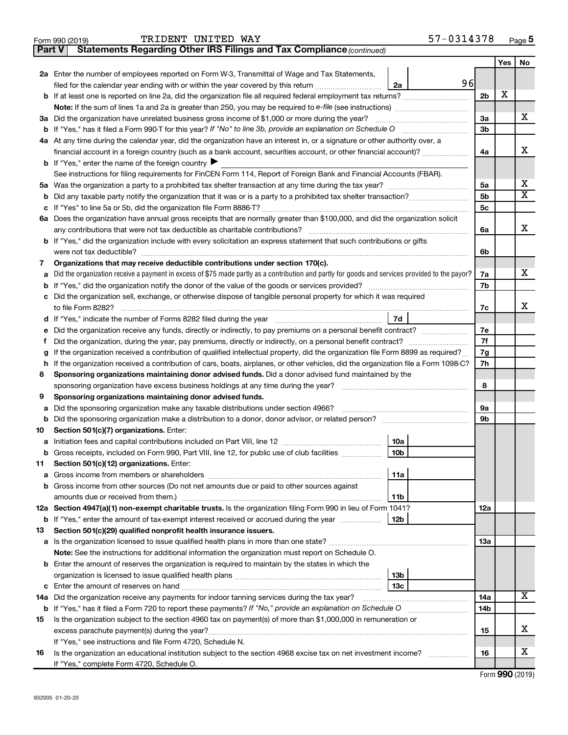|     | TRIDENT UNITED WAY<br>Form 990 (2019)                                                                                                                              | 57-0314378 |                |     | Page 5                  |
|-----|--------------------------------------------------------------------------------------------------------------------------------------------------------------------|------------|----------------|-----|-------------------------|
|     | Statements Regarding Other IRS Filings and Tax Compliance (continued)<br><b>Part V</b>                                                                             |            |                |     |                         |
|     |                                                                                                                                                                    |            |                | Yes | No                      |
|     | 2a Enter the number of employees reported on Form W-3, Transmittal of Wage and Tax Statements,                                                                     |            |                |     |                         |
|     | filed for the calendar year ending with or within the year covered by this return<br>2a                                                                            | 96         |                |     |                         |
|     | <b>b</b> If at least one is reported on line 2a, did the organization file all required federal employment tax returns?                                            |            | 2 <sub>b</sub> | X   |                         |
|     | <b>Note:</b> If the sum of lines 1a and 2a is greater than 250, you may be required to e-file (see instructions)                                                   |            |                |     |                         |
|     | 3a Did the organization have unrelated business gross income of \$1,000 or more during the year?                                                                   |            | За             |     | х                       |
|     | <b>b</b> If "Yes," has it filed a Form 990-T for this year? If "No" to line 3b, provide an explanation on Schedule O                                               |            | 3 <sub>b</sub> |     |                         |
|     | 4a At any time during the calendar year, did the organization have an interest in, or a signature or other authority over, a                                       |            |                |     |                         |
|     | financial account in a foreign country (such as a bank account, securities account, or other financial account)?                                                   |            | 4a             |     | х                       |
|     | <b>b</b> If "Yes," enter the name of the foreign country $\blacktriangleright$                                                                                     |            |                |     |                         |
|     | See instructions for filing requirements for FinCEN Form 114, Report of Foreign Bank and Financial Accounts (FBAR).                                                |            |                |     |                         |
|     |                                                                                                                                                                    |            | 5a             |     | х                       |
|     |                                                                                                                                                                    |            | 5 <sub>b</sub> |     | $\overline{\texttt{x}}$ |
|     |                                                                                                                                                                    |            | 5 <sub>c</sub> |     |                         |
|     | 6a Does the organization have annual gross receipts that are normally greater than \$100,000, and did the organization solicit                                     |            |                |     |                         |
|     | any contributions that were not tax deductible as charitable contributions?                                                                                        |            | 6a             |     | X                       |
|     | b If "Yes," did the organization include with every solicitation an express statement that such contributions or gifts                                             |            |                |     |                         |
|     |                                                                                                                                                                    |            | 6b             |     |                         |
| 7   | Organizations that may receive deductible contributions under section 170(c).                                                                                      |            |                |     |                         |
| а   | Did the organization receive a payment in excess of \$75 made partly as a contribution and partly for goods and services provided to the payor?                    |            | 7a             |     | x                       |
|     | <b>b</b> If "Yes," did the organization notify the donor of the value of the goods or services provided?                                                           |            | 7b             |     |                         |
|     | c Did the organization sell, exchange, or otherwise dispose of tangible personal property for which it was required                                                |            |                |     |                         |
|     | to file Form 8282?                                                                                                                                                 |            | 7с             |     | х                       |
|     | 7d                                                                                                                                                                 |            |                |     |                         |
|     | e Did the organization receive any funds, directly or indirectly, to pay premiums on a personal benefit contract?                                                  |            | 7e             |     |                         |
| Ť   | Did the organization, during the year, pay premiums, directly or indirectly, on a personal benefit contract?                                                       |            | 7f             |     |                         |
| g   | If the organization received a contribution of qualified intellectual property, did the organization file Form 8899 as required?                                   |            | 7g             |     |                         |
|     | h If the organization received a contribution of cars, boats, airplanes, or other vehicles, did the organization file a Form 1098-C?                               |            | 7h             |     |                         |
| 8   | Sponsoring organizations maintaining donor advised funds. Did a donor advised fund maintained by the                                                               |            |                |     |                         |
|     | sponsoring organization have excess business holdings at any time during the year?                                                                                 |            | 8              |     |                         |
| 9   | Sponsoring organizations maintaining donor advised funds.                                                                                                          |            |                |     |                         |
|     | a Did the sponsoring organization make any taxable distributions under section 4966?                                                                               |            | 9а             |     |                         |
|     | <b>b</b> Did the sponsoring organization make a distribution to a donor, donor advisor, or related person?                                                         |            | 9b             |     |                         |
| 10  | Section 501(c)(7) organizations. Enter:                                                                                                                            |            |                |     |                         |
|     | <b>10a</b>                                                                                                                                                         |            |                |     |                         |
|     | b Gross receipts, included on Form 990, Part VIII, line 12, for public use of club facilities<br>10b                                                               |            |                |     |                         |
| 11. | Section 501(c)(12) organizations. Enter:<br>11a                                                                                                                    |            |                |     |                         |
|     |                                                                                                                                                                    |            |                |     |                         |
|     | b Gross income from other sources (Do not net amounts due or paid to other sources against                                                                         |            |                |     |                         |
|     | 11b<br>12a Section 4947(a)(1) non-exempt charitable trusts. Is the organization filing Form 990 in lieu of Form 1041?                                              |            | 12a            |     |                         |
|     | 12b                                                                                                                                                                |            |                |     |                         |
| 13  | <b>b</b> If "Yes," enter the amount of tax-exempt interest received or accrued during the year<br>Section 501(c)(29) qualified nonprofit health insurance issuers. |            |                |     |                         |
|     |                                                                                                                                                                    |            | 13a            |     |                         |
|     | Note: See the instructions for additional information the organization must report on Schedule O.                                                                  |            |                |     |                         |
|     | <b>b</b> Enter the amount of reserves the organization is required to maintain by the states in which the                                                          |            |                |     |                         |
|     | 13 <sub>b</sub>                                                                                                                                                    |            |                |     |                         |
|     | 13с                                                                                                                                                                |            |                |     |                         |
|     | 14a Did the organization receive any payments for indoor tanning services during the tax year?                                                                     |            | <b>14a</b>     |     | х                       |
|     | b If "Yes," has it filed a Form 720 to report these payments? If "No," provide an explanation on Schedule O                                                        |            | 14b            |     |                         |
| 15  | Is the organization subject to the section 4960 tax on payment(s) of more than \$1,000,000 in remuneration or                                                      |            |                |     |                         |
|     |                                                                                                                                                                    |            | 15             |     | х                       |
|     | If "Yes," see instructions and file Form 4720, Schedule N.                                                                                                         |            |                |     |                         |
| 16  | Is the organization an educational institution subject to the section 4968 excise tax on net investment income?                                                    |            | 16             |     | х                       |
|     | If "Yes," complete Form 4720, Schedule O.                                                                                                                          |            |                |     |                         |

Form (2019) **990**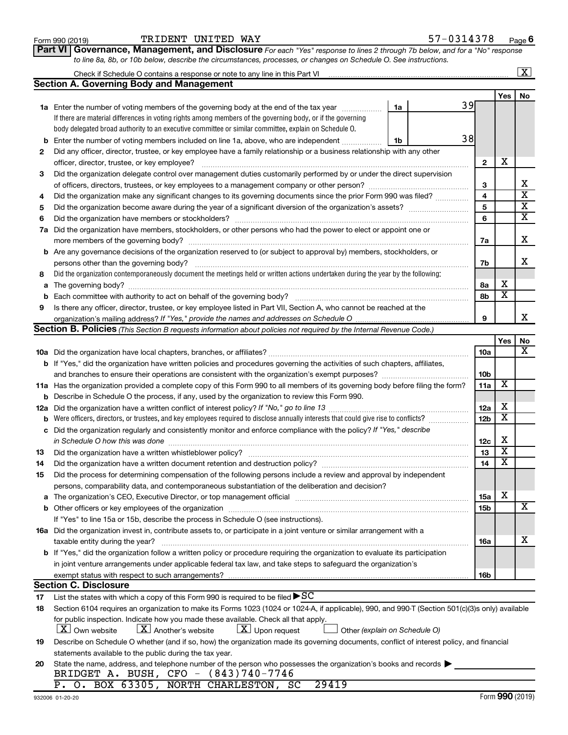| Form 990 (2019 |
|----------------|
|----------------|

#### Form 990 (2019) Page TRIDENT UNITED WAY 57-0314378

**Part VI** Governance, Management, and Disclosure For each "Yes" response to lines 2 through 7b below, and for a "No" response *to line 8a, 8b, or 10b below, describe the circumstances, processes, or changes on Schedule O. See instructions.*

|    |                                                                                                                                                                                                                               |                 |                         | $\overline{\text{X}}$   |
|----|-------------------------------------------------------------------------------------------------------------------------------------------------------------------------------------------------------------------------------|-----------------|-------------------------|-------------------------|
|    | <b>Section A. Governing Body and Management</b>                                                                                                                                                                               |                 |                         |                         |
|    |                                                                                                                                                                                                                               |                 | <b>Yes</b>              | No                      |
|    | 39<br>1a Enter the number of voting members of the governing body at the end of the tax year<br>1a                                                                                                                            |                 |                         |                         |
|    | If there are material differences in voting rights among members of the governing body, or if the governing                                                                                                                   |                 |                         |                         |
|    | body delegated broad authority to an executive committee or similar committee, explain on Schedule O.                                                                                                                         |                 |                         |                         |
| b  | 38<br>Enter the number of voting members included on line 1a, above, who are independent<br>1b                                                                                                                                |                 |                         |                         |
| 2  | Did any officer, director, trustee, or key employee have a family relationship or a business relationship with any other                                                                                                      |                 |                         |                         |
|    | officer, director, trustee, or key employee?                                                                                                                                                                                  | $\mathbf{2}$    | X                       |                         |
| 3  | Did the organization delegate control over management duties customarily performed by or under the direct supervision                                                                                                         |                 |                         |                         |
|    | of officers, directors, trustees, or key employees to a management company or other person?                                                                                                                                   | 3               |                         | х                       |
| 4  | Did the organization make any significant changes to its governing documents since the prior Form 990 was filed?                                                                                                              | 4               |                         | $\overline{\text{x}}$   |
| 5  |                                                                                                                                                                                                                               | 5               |                         | $\overline{\textbf{x}}$ |
| 6  |                                                                                                                                                                                                                               | 6               |                         | $\overline{\textbf{x}}$ |
|    | 7a Did the organization have members, stockholders, or other persons who had the power to elect or appoint one or                                                                                                             |                 |                         |                         |
|    |                                                                                                                                                                                                                               | 7a              |                         | X                       |
|    | <b>b</b> Are any governance decisions of the organization reserved to (or subject to approval by) members, stockholders, or                                                                                                   |                 |                         |                         |
|    | persons other than the governing body?                                                                                                                                                                                        | 7b              |                         | х                       |
| 8  | Did the organization contemporaneously document the meetings held or written actions undertaken during the year by the following:                                                                                             |                 |                         |                         |
|    |                                                                                                                                                                                                                               | 8а              | х                       |                         |
| b  |                                                                                                                                                                                                                               | 8b              | $\overline{\mathbf{x}}$ |                         |
| 9  | Is there any officer, director, trustee, or key employee listed in Part VII, Section A, who cannot be reached at the                                                                                                          |                 |                         |                         |
|    |                                                                                                                                                                                                                               | 9               |                         | х                       |
|    | Section B. Policies (This Section B requests information about policies not required by the Internal Revenue Code.)                                                                                                           |                 |                         |                         |
|    |                                                                                                                                                                                                                               |                 | Yes                     | No                      |
|    |                                                                                                                                                                                                                               | 10a             |                         | х                       |
|    | <b>b</b> If "Yes," did the organization have written policies and procedures governing the activities of such chapters, affiliates,                                                                                           |                 |                         |                         |
|    | and branches to ensure their operations are consistent with the organization's exempt purposes?                                                                                                                               | 10b             |                         |                         |
|    | 11a Has the organization provided a complete copy of this Form 990 to all members of its governing body before filing the form?                                                                                               | 11a             | X                       |                         |
|    | <b>b</b> Describe in Schedule O the process, if any, used by the organization to review this Form 990.                                                                                                                        |                 |                         |                         |
|    |                                                                                                                                                                                                                               | 12a             | х                       |                         |
|    | <b>b</b> Were officers, directors, or trustees, and key employees required to disclose annually interests that could give rise to conflicts?                                                                                  | 12 <sub>b</sub> | $\overline{\textbf{x}}$ |                         |
|    | c Did the organization regularly and consistently monitor and enforce compliance with the policy? If "Yes," describe                                                                                                          |                 |                         |                         |
|    | in Schedule O how this was done manufactured and the state of the state of the state of the state of the state of the state of the state of the state of the state of the state of the state of the state of the state of the | 12c             | х                       |                         |
| 13 | Did the organization have a written whistleblower policy?                                                                                                                                                                     | 13              | $\overline{\textbf{x}}$ |                         |
| 14 |                                                                                                                                                                                                                               | 14              | X                       |                         |
| 15 | Did the process for determining compensation of the following persons include a review and approval by independent                                                                                                            |                 |                         |                         |
|    | persons, comparability data, and contemporaneous substantiation of the deliberation and decision?                                                                                                                             |                 |                         |                         |
|    |                                                                                                                                                                                                                               | <b>15a</b>      | х                       |                         |
|    |                                                                                                                                                                                                                               | 15b             |                         | X                       |
|    | If "Yes" to line 15a or 15b, describe the process in Schedule O (see instructions).                                                                                                                                           |                 |                         |                         |
|    | 16a Did the organization invest in, contribute assets to, or participate in a joint venture or similar arrangement with a                                                                                                     |                 |                         |                         |
|    | taxable entity during the year?                                                                                                                                                                                               | 16a             |                         | х                       |
|    | b If "Yes," did the organization follow a written policy or procedure requiring the organization to evaluate its participation                                                                                                |                 |                         |                         |
|    | in joint venture arrangements under applicable federal tax law, and take steps to safeguard the organization's                                                                                                                |                 |                         |                         |
|    | exempt status with respect to such arrangements?                                                                                                                                                                              | 16b             |                         |                         |
|    | <b>Section C. Disclosure</b>                                                                                                                                                                                                  |                 |                         |                         |
| 17 | List the states with which a copy of this Form 990 is required to be filed $\blacktriangleright$ SC                                                                                                                           |                 |                         |                         |
| 18 | Section 6104 requires an organization to make its Forms 1023 (1024 or 1024-A, if applicable), 990, and 990-T (Section 501(c)(3)s only) available                                                                              |                 |                         |                         |
|    | for public inspection. Indicate how you made these available. Check all that apply.                                                                                                                                           |                 |                         |                         |
|    | $\lfloor \underline{X} \rfloor$ Another's website<br>$X$ Upon request<br><b>X</b> Own website<br>Other (explain on Schedule O)                                                                                                |                 |                         |                         |
| 19 | Describe on Schedule O whether (and if so, how) the organization made its governing documents, conflict of interest policy, and financial                                                                                     |                 |                         |                         |
|    | statements available to the public during the tax year.                                                                                                                                                                       |                 |                         |                         |
| 20 | State the name, address, and telephone number of the person who possesses the organization's books and records                                                                                                                |                 |                         |                         |
|    | BRIDGET A. BUSH, CFO - (843)740-7746                                                                                                                                                                                          |                 |                         |                         |
|    | P. O. BOX 63305, NORTH CHARLESTON, SC<br>29419                                                                                                                                                                                |                 |                         |                         |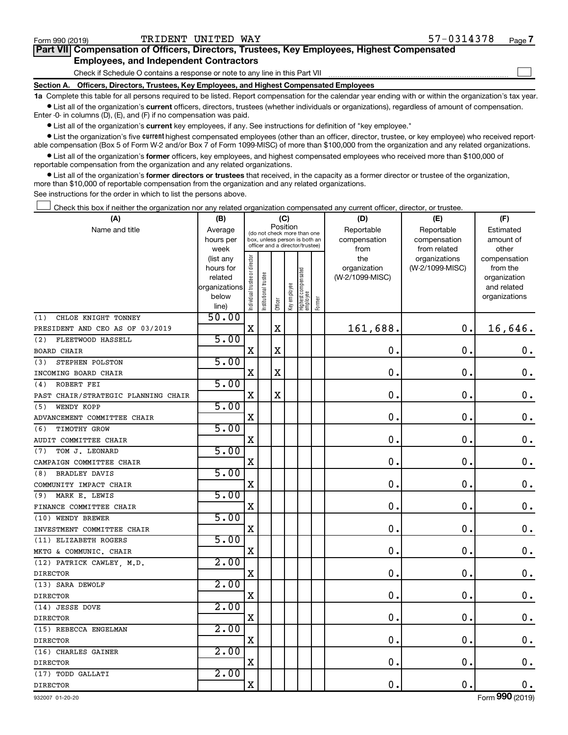$\Box$ 

| Part VII Compensation of Officers, Directors, Trustees, Key Employees, Highest Compensated |  |
|--------------------------------------------------------------------------------------------|--|
| <b>Employees, and Independent Contractors</b>                                              |  |

Check if Schedule O contains a response or note to any line in this Part VII

**Section A. Officers, Directors, Trustees, Key Employees, and Highest Compensated Employees**

**1a**  Complete this table for all persons required to be listed. Report compensation for the calendar year ending with or within the organization's tax year.  $\bullet$  List all of the organization's current officers, directors, trustees (whether individuals or organizations), regardless of amount of compensation.

Enter -0- in columns (D), (E), and (F) if no compensation was paid.

**•** List all of the organization's current key employees, if any. See instructions for definition of "key employee."

• List the organization's five *current* highest compensated employees (other than an officer, director, trustee, or key employee) who received reportable compensation (Box 5 of Form W-2 and/or Box 7 of Form 1099-MISC) of more than \$100,000 from the organization and any related organizations.

 $\bullet$  List all of the organization's former officers, key employees, and highest compensated employees who received more than \$100,000 of reportable compensation from the organization and any related organizations.

**•** List all of the organization's former directors or trustees that received, in the capacity as a former director or trustee of the organization, more than \$10,000 of reportable compensation from the organization and any related organizations.

See instructions for the order in which to list the persons above.

Check this box if neither the organization nor any related organization compensated any current officer, director, or trustee.  $\Box$ 

| (A)                                 | (B)               | (C)                                     |                                                                  | (D)         | (E)          | (F)                             |           |                 |                               |                       |
|-------------------------------------|-------------------|-----------------------------------------|------------------------------------------------------------------|-------------|--------------|---------------------------------|-----------|-----------------|-------------------------------|-----------------------|
| Name and title                      | Average           | Position<br>(do not check more than one |                                                                  | Reportable  | Reportable   | Estimated                       |           |                 |                               |                       |
|                                     | hours per         |                                         | box, unless person is both an<br>officer and a director/trustee) |             | compensation | compensation                    | amount of |                 |                               |                       |
|                                     | week<br>(list any |                                         |                                                                  |             |              |                                 |           | from<br>the     | from related<br>organizations | other<br>compensation |
|                                     | hours for         |                                         |                                                                  |             |              |                                 |           | organization    | (W-2/1099-MISC)               | from the              |
|                                     | related           |                                         |                                                                  |             |              |                                 |           | (W-2/1099-MISC) |                               | organization          |
|                                     | organizations     |                                         |                                                                  |             |              |                                 |           |                 |                               | and related           |
|                                     | below             | Individual trustee or director          | Institutional trustee                                            |             | Key employee | Highest compensated<br>employee | Former    |                 |                               | organizations         |
|                                     | line)             |                                         |                                                                  | Officer     |              |                                 |           |                 |                               |                       |
| CHLOE KNIGHT TONNEY<br>(1)          | 50.00             |                                         |                                                                  |             |              |                                 |           |                 |                               |                       |
| PRESIDENT AND CEO AS OF 03/2019     |                   | X                                       |                                                                  | $\mathbf X$ |              |                                 |           | 161,688.        | $\mathbf 0$ .                 | 16,646.               |
| FLEETWOOD HASSELL<br>(2)            | 5.00              |                                         |                                                                  |             |              |                                 |           |                 |                               |                       |
| <b>BOARD CHAIR</b>                  |                   | X                                       |                                                                  | X           |              |                                 |           | $\mathbf 0$ .   | $\mathbf 0$ .                 | 0.                    |
| STEPHEN POLSTON<br>(3)              | 5.00              |                                         |                                                                  |             |              |                                 |           |                 |                               |                       |
| INCOMING BOARD CHAIR                |                   | $\mathbf X$                             |                                                                  | $\mathbf X$ |              |                                 |           | $\mathbf 0$     | $\mathbf 0$ .                 | $\mathbf 0$ .         |
| ROBERT FEI<br>(4)                   | 5.00              |                                         |                                                                  |             |              |                                 |           |                 |                               |                       |
| PAST CHAIR/STRATEGIC PLANNING CHAIR |                   | $\mathbf X$                             |                                                                  | $\rm X$     |              |                                 |           | $\mathbf 0$ .   | $\mathbf 0$ .                 | $\mathbf 0$ .         |
| WENDY KOPP<br>(5)                   | 5.00              |                                         |                                                                  |             |              |                                 |           |                 |                               |                       |
| ADVANCEMENT COMMITTEE CHAIR         |                   | X                                       |                                                                  |             |              |                                 |           | $\mathbf 0$ .   | $\mathbf 0$ .                 | $\boldsymbol{0}$ .    |
| TIMOTHY GROW<br>(6)                 | 5.00              |                                         |                                                                  |             |              |                                 |           |                 |                               |                       |
| AUDIT COMMITTEE CHAIR               |                   | X                                       |                                                                  |             |              |                                 |           | 0               | $\mathbf 0$ .                 | $\boldsymbol{0}$ .    |
| TOM J. LEONARD<br>(7)               | 5.00              |                                         |                                                                  |             |              |                                 |           |                 |                               |                       |
| CAMPAIGN COMMITTEE CHAIR            |                   | X                                       |                                                                  |             |              |                                 |           | $\mathbf 0$     | $\mathbf 0$ .                 | $\boldsymbol{0}$ .    |
| <b>BRADLEY DAVIS</b><br>(8)         | 5.00              |                                         |                                                                  |             |              |                                 |           |                 |                               |                       |
| COMMUNITY IMPACT CHAIR              |                   | $\mathbf X$                             |                                                                  |             |              |                                 |           | $\mathbf 0$     | $\mathbf 0$ .                 | $\mathbf 0$ .         |
| (9) MARK E. LEWIS                   | 5.00              |                                         |                                                                  |             |              |                                 |           |                 |                               |                       |
| FINANCE COMMITTEE CHAIR             |                   | X                                       |                                                                  |             |              |                                 |           | $\mathbf 0$     | $\mathbf 0$ .                 | $\boldsymbol{0}$ .    |
| (10) WENDY BREWER                   | 5.00              |                                         |                                                                  |             |              |                                 |           |                 |                               |                       |
| INVESTMENT COMMITTEE CHAIR          |                   | X                                       |                                                                  |             |              |                                 |           | $\mathbf 0$     | $\mathbf 0$ .                 | $\mathbf 0$ .         |
| (11) ELIZABETH ROGERS               | 5.00              |                                         |                                                                  |             |              |                                 |           |                 |                               |                       |
| MKTG & COMMUNIC. CHAIR              |                   | X                                       |                                                                  |             |              |                                 |           | $\mathbf 0$     | $\mathbf 0$ .                 | $\mathbf 0$ .         |
| (12) PATRICK CAWLEY, M.D.           | 2.00              |                                         |                                                                  |             |              |                                 |           |                 |                               |                       |
| <b>DIRECTOR</b>                     |                   | $\mathbf X$                             |                                                                  |             |              |                                 |           | $\mathbf 0$     | $\mathbf 0$ .                 | $\mathbf 0$ .         |
| (13) SARA DEWOLF                    | 2.00              |                                         |                                                                  |             |              |                                 |           |                 |                               |                       |
| <b>DIRECTOR</b>                     |                   | X                                       |                                                                  |             |              |                                 |           | $\mathbf 0$     | $\mathbf 0$ .                 | $\boldsymbol{0}$ .    |
| (14) JESSE DOVE                     | 2.00              |                                         |                                                                  |             |              |                                 |           |                 |                               |                       |
| <b>DIRECTOR</b>                     |                   | $\mathbf x$                             |                                                                  |             |              |                                 |           | $\mathbf 0$     | $\mathbf 0$ .                 | 0.                    |
| (15) REBECCA ENGELMAN               | 2.00              |                                         |                                                                  |             |              |                                 |           |                 |                               |                       |
| <b>DIRECTOR</b>                     |                   | $\mathbf X$                             |                                                                  |             |              |                                 |           | $\mathbf 0$     | $\mathbf 0$ .                 | 0.                    |
| (16) CHARLES GAINER                 | 2.00              |                                         |                                                                  |             |              |                                 |           |                 |                               |                       |
| <b>DIRECTOR</b>                     |                   | X                                       |                                                                  |             |              |                                 |           | $\mathbf 0$     | $\mathbf 0$ .                 | $\mathbf 0$ .         |
| (17) TODD GALLATI                   | 2.00              |                                         |                                                                  |             |              |                                 |           |                 |                               |                       |
| <b>DIRECTOR</b>                     |                   | $\rm X$                                 |                                                                  |             |              |                                 |           | $\mathbf 0$ .   | $\mathbf 0$ .                 | 0.                    |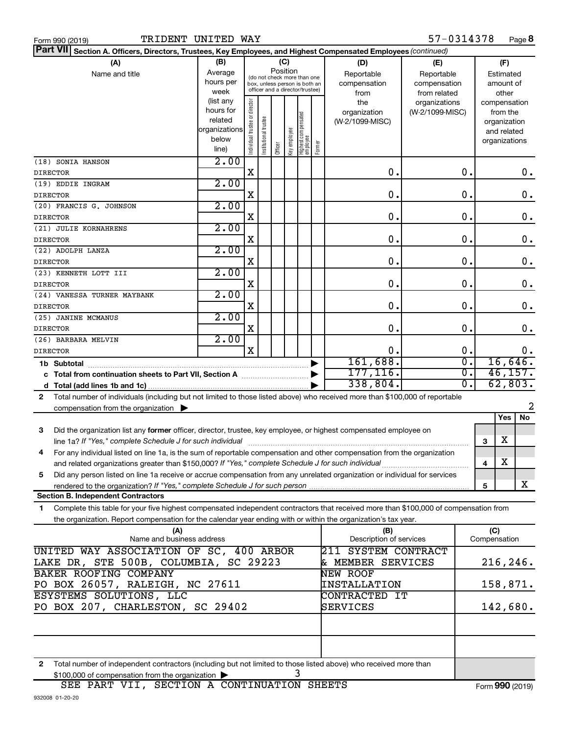| Form 990 (2019 |  |  |
|----------------|--|--|
|                |  |  |

| Part VII Section A. Officers, Directors, Trustees, Key Employees, and Highest Compensated Employees (continued)                                                                             |                           |                                |                       |                                         |              |                                  |        |                         |                 |                  |     |               |                     |
|---------------------------------------------------------------------------------------------------------------------------------------------------------------------------------------------|---------------------------|--------------------------------|-----------------------|-----------------------------------------|--------------|----------------------------------|--------|-------------------------|-----------------|------------------|-----|---------------|---------------------|
| (A)                                                                                                                                                                                         | (B)                       |                                |                       |                                         | (C)          |                                  |        | (D)                     | (E)             |                  |     | (F)           |                     |
|                                                                                                                                                                                             | Average<br>Name and title |                                |                       | Position<br>(do not check more than one |              |                                  |        | Reportable              | Reportable      |                  |     | Estimated     |                     |
|                                                                                                                                                                                             | hours per                 |                                |                       |                                         |              | box, unless person is both an    |        | compensation            | compensation    |                  |     | amount of     |                     |
|                                                                                                                                                                                             | week                      |                                |                       |                                         |              | officer and a director/trustee)  |        | from                    | from related    |                  |     | other         |                     |
|                                                                                                                                                                                             | (list any                 |                                |                       |                                         |              |                                  |        | the                     | organizations   |                  |     | compensation  |                     |
|                                                                                                                                                                                             | hours for                 |                                |                       |                                         |              |                                  |        | organization            | (W-2/1099-MISC) |                  |     | from the      |                     |
|                                                                                                                                                                                             | related                   |                                |                       |                                         |              |                                  |        | (W-2/1099-MISC)         |                 |                  |     | organization  |                     |
|                                                                                                                                                                                             | organizations             |                                |                       |                                         |              |                                  |        |                         |                 |                  |     | and related   |                     |
|                                                                                                                                                                                             | below<br>line)            | Individual trustee or director | Institutional trustee | Officer                                 | Key employee | Highest compensated<br> employee | Former |                         |                 |                  |     | organizations |                     |
|                                                                                                                                                                                             |                           |                                |                       |                                         |              |                                  |        |                         |                 |                  |     |               |                     |
| (18) SONIA HANSON                                                                                                                                                                           | 2.00                      |                                |                       |                                         |              |                                  |        | $\mathbf 0$ .           |                 | $\mathbf 0$ .    |     |               |                     |
| <b>DIRECTOR</b>                                                                                                                                                                             | 2.00                      | $\mathbf X$                    |                       |                                         |              |                                  |        |                         |                 |                  |     |               | $\mathbf 0$ .       |
| (19) EDDIE INGRAM                                                                                                                                                                           |                           | X                              |                       |                                         |              |                                  |        | $\mathbf 0$ .           |                 | $\mathbf 0$ .    |     |               | $\mathbf 0$ .       |
| <b>DIRECTOR</b><br>(20) FRANCIS G. JOHNSON                                                                                                                                                  | 2.00                      |                                |                       |                                         |              |                                  |        |                         |                 |                  |     |               |                     |
| <b>DIRECTOR</b>                                                                                                                                                                             |                           | X                              |                       |                                         |              |                                  |        | 0.                      |                 | $\mathbf 0$ .    |     |               | 0.                  |
| (21) JULIE KORNAHRENS                                                                                                                                                                       | 2.00                      |                                |                       |                                         |              |                                  |        |                         |                 |                  |     |               |                     |
| <b>DIRECTOR</b>                                                                                                                                                                             |                           | X                              |                       |                                         |              |                                  |        | 0.                      |                 | 0.               |     |               | $\mathbf 0$ .       |
| (22) ADOLPH LANZA                                                                                                                                                                           | 2.00                      |                                |                       |                                         |              |                                  |        |                         |                 |                  |     |               |                     |
| <b>DIRECTOR</b>                                                                                                                                                                             |                           | X                              |                       |                                         |              |                                  |        | $\mathbf 0$ .           |                 | $\mathbf 0$ .    |     |               | $\mathbf 0$ .       |
| (23) KENNETH LOTT III                                                                                                                                                                       | 2.00                      |                                |                       |                                         |              |                                  |        |                         |                 |                  |     |               |                     |
| <b>DIRECTOR</b>                                                                                                                                                                             |                           | X                              |                       |                                         |              |                                  |        | $\mathbf 0$ .           |                 | $\mathbf 0$ .    |     |               | $\mathbf 0$ .       |
| (24) VANESSA TURNER MAYBANK                                                                                                                                                                 | 2.00                      |                                |                       |                                         |              |                                  |        |                         |                 |                  |     |               |                     |
| <b>DIRECTOR</b>                                                                                                                                                                             |                           | X                              |                       |                                         |              |                                  |        | 0.                      |                 | 0.               |     |               | $\mathbf 0$ .       |
| (25) JANINE MCMANUS                                                                                                                                                                         | 2.00                      |                                |                       |                                         |              |                                  |        |                         |                 |                  |     |               |                     |
| <b>DIRECTOR</b>                                                                                                                                                                             |                           | X                              |                       |                                         |              |                                  |        | $\mathbf 0$ .           |                 | $\mathbf 0$ .    |     |               | $\mathbf 0$ .       |
| (26) BARBARA MELVIN                                                                                                                                                                         | 2.00                      |                                |                       |                                         |              |                                  |        |                         |                 |                  |     |               |                     |
| <b>DIRECTOR</b>                                                                                                                                                                             |                           | $\mathbf x$                    |                       |                                         |              |                                  |        | 0.                      |                 | 0.               |     |               | 0.                  |
| 1b Subtotal                                                                                                                                                                                 |                           |                                |                       |                                         |              |                                  |        | 161,688.                |                 | $\overline{0}$ . |     |               | 16,646.             |
|                                                                                                                                                                                             |                           |                                |                       |                                         |              |                                  |        | 177, 116.               |                 | σ.               |     |               | 46, 157.            |
|                                                                                                                                                                                             |                           |                                |                       |                                         |              |                                  |        | 338,804.                |                 | σ.               |     |               | 62,803.             |
| Total number of individuals (including but not limited to those listed above) who received more than \$100,000 of reportable<br>$\mathbf{2}$                                                |                           |                                |                       |                                         |              |                                  |        |                         |                 |                  |     |               |                     |
| compensation from the organization $\blacktriangleright$                                                                                                                                    |                           |                                |                       |                                         |              |                                  |        |                         |                 |                  |     | Yes           | 2<br>$\overline{N}$ |
|                                                                                                                                                                                             |                           |                                |                       |                                         |              |                                  |        |                         |                 |                  |     |               |                     |
| Did the organization list any former officer, director, trustee, key employee, or highest compensated employee on<br>3                                                                      |                           |                                |                       |                                         |              |                                  |        |                         |                 |                  |     | X             |                     |
| line 1a? If "Yes," complete Schedule J for such individual<br>For any individual listed on line 1a, is the sum of reportable compensation and other compensation from the organization<br>4 |                           |                                |                       |                                         |              |                                  |        |                         |                 |                  | 3   |               |                     |
|                                                                                                                                                                                             |                           |                                |                       |                                         |              |                                  |        |                         |                 |                  | 4   | X             |                     |
| Did any person listed on line 1a receive or accrue compensation from any unrelated organization or individual for services<br>5                                                             |                           |                                |                       |                                         |              |                                  |        |                         |                 |                  |     |               |                     |
| rendered to the organization? If "Yes," complete Schedule J for such person                                                                                                                 |                           |                                |                       |                                         |              |                                  |        |                         |                 |                  | 5   |               | X                   |
| <b>Section B. Independent Contractors</b>                                                                                                                                                   |                           |                                |                       |                                         |              |                                  |        |                         |                 |                  |     |               |                     |
| Complete this table for your five highest compensated independent contractors that received more than \$100,000 of compensation from<br>1                                                   |                           |                                |                       |                                         |              |                                  |        |                         |                 |                  |     |               |                     |
| the organization. Report compensation for the calendar year ending with or within the organization's tax year.                                                                              |                           |                                |                       |                                         |              |                                  |        |                         |                 |                  |     |               |                     |
| (A)                                                                                                                                                                                         |                           |                                |                       |                                         |              |                                  |        | (B)                     |                 |                  | (C) |               |                     |
| Name and business address                                                                                                                                                                   |                           |                                |                       |                                         |              |                                  |        | Description of services |                 |                  |     | Compensation  |                     |
| UNITED WAY ASSOCIATION OF SC, 400 ARBOR                                                                                                                                                     |                           |                                |                       |                                         |              |                                  |        | 211 SYSTEM CONTRACT     |                 |                  |     |               |                     |
| LAKE DR, STE 500B, COLUMBIA, SC 29223                                                                                                                                                       |                           |                                |                       |                                         |              |                                  |        | & MEMBER SERVICES       |                 |                  |     |               | 216, 246.           |
| BAKER ROOFING COMPANY                                                                                                                                                                       |                           |                                |                       |                                         |              |                                  |        | <b>NEW ROOF</b>         |                 |                  |     |               |                     |
| PO BOX 26057, RALEIGH, NC 27611                                                                                                                                                             |                           |                                |                       |                                         |              |                                  |        | <b>INSTALLATION</b>     |                 |                  |     |               | 158,871.            |
| ESYSTEMS SOLUTIONS, LLC<br>PO BOX 207, CHARLESTON, SC 29402                                                                                                                                 |                           |                                |                       |                                         |              |                                  |        | CONTRACTED IT           |                 |                  |     |               |                     |
|                                                                                                                                                                                             |                           |                                |                       |                                         |              |                                  |        | SERVICES                |                 |                  |     |               | 142,680.            |
|                                                                                                                                                                                             |                           |                                |                       |                                         |              |                                  |        |                         |                 |                  |     |               |                     |
|                                                                                                                                                                                             |                           |                                |                       |                                         |              |                                  |        |                         |                 |                  |     |               |                     |

**2** Total number of independent contractors (including but not limited to those listed above) who received more than \$100,000 of compensation from the organization | 3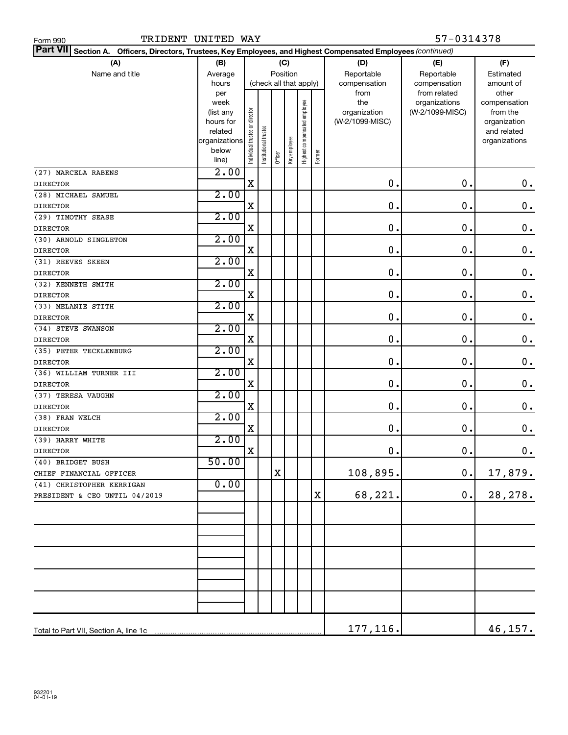| Form 990                                                                                                           | 57-0314378<br>TRIDENT UNITED WAY |                                |                       |         |                        |                              |        |                 |                               |                       |
|--------------------------------------------------------------------------------------------------------------------|----------------------------------|--------------------------------|-----------------------|---------|------------------------|------------------------------|--------|-----------------|-------------------------------|-----------------------|
| Part VII Section A.<br>Officers, Directors, Trustees, Key Employees, and Highest Compensated Employees (continued) |                                  |                                |                       |         |                        |                              |        |                 |                               |                       |
| (A)                                                                                                                | (B)                              |                                |                       |         | (C)                    |                              |        | (D)             | (E)                           | (F)                   |
| Name and title                                                                                                     | Average                          |                                |                       |         | Position               |                              |        | Reportable      | Reportable                    | Estimated             |
|                                                                                                                    | hours                            |                                |                       |         | (check all that apply) |                              |        | compensation    | compensation                  | amount of             |
|                                                                                                                    | per<br>week                      |                                |                       |         |                        |                              |        | from<br>the     | from related<br>organizations | other<br>compensation |
|                                                                                                                    | (list any                        |                                |                       |         |                        |                              |        | organization    | (W-2/1099-MISC)               | from the              |
|                                                                                                                    | hours for                        |                                |                       |         |                        |                              |        | (W-2/1099-MISC) |                               | organization          |
|                                                                                                                    | related                          |                                |                       |         |                        |                              |        |                 |                               | and related           |
|                                                                                                                    | organizations                    |                                |                       |         |                        |                              |        |                 |                               | organizations         |
|                                                                                                                    | below<br>line)                   | Individual trustee or director | Institutional trustee | Officer | Key employee           | Highest compensated employee | Former |                 |                               |                       |
| (27) MARCELA RABENS                                                                                                | 2.00                             |                                |                       |         |                        |                              |        |                 |                               |                       |
| <b>DIRECTOR</b>                                                                                                    |                                  | X                              |                       |         |                        |                              |        | $\mathbf 0$ .   | 0.                            | $\mathbf 0$ .         |
| (28) MICHAEL SAMUEL                                                                                                | 2.00                             |                                |                       |         |                        |                              |        |                 |                               |                       |
| <b>DIRECTOR</b>                                                                                                    |                                  | X                              |                       |         |                        |                              |        | $\mathbf 0$ .   | 0.                            | $\mathbf 0$ .         |
| (29) TIMOTHY SEASE                                                                                                 | 2.00                             |                                |                       |         |                        |                              |        |                 |                               |                       |
| <b>DIRECTOR</b>                                                                                                    |                                  | X                              |                       |         |                        |                              |        | $\mathbf 0$ .   | 0.                            | $\mathbf 0$ .         |
| (30) ARNOLD SINGLETON                                                                                              | 2.00                             |                                |                       |         |                        |                              |        |                 |                               |                       |
| <b>DIRECTOR</b>                                                                                                    |                                  | X                              |                       |         |                        |                              |        | $\mathbf 0$ .   | 0.                            | $\mathbf 0$ .         |
| (31) REEVES SKEEN                                                                                                  | 2.00                             |                                |                       |         |                        |                              |        |                 |                               |                       |
| <b>DIRECTOR</b>                                                                                                    |                                  | X                              |                       |         |                        |                              |        | $\mathbf 0$ .   | 0.                            | $\mathbf 0$ .         |
| (32) KENNETH SMITH                                                                                                 | 2.00                             |                                |                       |         |                        |                              |        |                 |                               |                       |
| <b>DIRECTOR</b>                                                                                                    |                                  | X                              |                       |         |                        |                              |        | $\mathbf 0$ .   | 0.                            | $\mathbf 0$ .         |
| (33) MELANIE STITH                                                                                                 | 2.00                             |                                |                       |         |                        |                              |        |                 |                               |                       |
| <b>DIRECTOR</b>                                                                                                    |                                  | X                              |                       |         |                        |                              |        | $\mathbf 0$ .   | 0.                            | $\mathbf 0$ .         |
| (34) STEVE SWANSON                                                                                                 | 2.00                             |                                |                       |         |                        |                              |        |                 |                               |                       |
| <b>DIRECTOR</b>                                                                                                    |                                  | X                              |                       |         |                        |                              |        | $\mathbf 0$ .   | 0.                            | $\mathbf 0$ .         |
| (35) PETER TECKLENBURG                                                                                             | 2.00                             |                                |                       |         |                        |                              |        |                 |                               |                       |
| <b>DIRECTOR</b>                                                                                                    |                                  | X                              |                       |         |                        |                              |        | $\mathbf 0$ .   | 0.                            | $\mathbf 0$ .         |
| (36) WILLIAM TURNER III                                                                                            | 2.00                             |                                |                       |         |                        |                              |        |                 |                               |                       |
| <b>DIRECTOR</b>                                                                                                    | 2.00                             | X                              |                       |         |                        |                              |        | $\mathbf 0$ .   | 0.                            | $\mathbf 0$ .         |
| (37) TERESA VAUGHN                                                                                                 |                                  | X                              |                       |         |                        |                              |        | $\mathbf 0$ .   | 0.                            | $\mathbf 0$ .         |
| <b>DIRECTOR</b><br>(38) FRAN WELCH                                                                                 | 2.00                             |                                |                       |         |                        |                              |        |                 |                               |                       |
| <b>DIRECTOR</b>                                                                                                    |                                  | X                              |                       |         |                        |                              |        | $\mathbf 0$ .   | 0.                            | $\mathbf 0$ .         |
| (39) HARRY WHITE                                                                                                   | 2.00                             |                                |                       |         |                        |                              |        |                 |                               |                       |
| DIRECTOR                                                                                                           |                                  | X                              |                       |         |                        |                              |        | $\mathbf 0$ .   | $\mathbf 0$ .                 | $\mathbf 0$ .         |
| (40) BRIDGET BUSH                                                                                                  | 50.00                            |                                |                       |         |                        |                              |        |                 |                               |                       |
| CHIEF FINANCIAL OFFICER                                                                                            |                                  |                                |                       | X       |                        |                              |        | 108,895.        | $\mathbf 0$ .                 | 17,879.               |
| (41) CHRISTOPHER KERRIGAN                                                                                          | 0.00                             |                                |                       |         |                        |                              |        |                 |                               |                       |
| PRESIDENT & CEO UNTIL 04/2019                                                                                      |                                  |                                |                       |         |                        |                              | X      | 68,221.         | $\mathbf 0$ .                 | 28, 278.              |
|                                                                                                                    |                                  |                                |                       |         |                        |                              |        |                 |                               |                       |
|                                                                                                                    |                                  |                                |                       |         |                        |                              |        |                 |                               |                       |
|                                                                                                                    |                                  |                                |                       |         |                        |                              |        |                 |                               |                       |
|                                                                                                                    |                                  |                                |                       |         |                        |                              |        |                 |                               |                       |
|                                                                                                                    |                                  |                                |                       |         |                        |                              |        |                 |                               |                       |
|                                                                                                                    |                                  |                                |                       |         |                        |                              |        |                 |                               |                       |
|                                                                                                                    |                                  |                                |                       |         |                        |                              |        |                 |                               |                       |
|                                                                                                                    |                                  |                                |                       |         |                        |                              |        |                 |                               |                       |
|                                                                                                                    |                                  |                                |                       |         |                        |                              |        | 177, 116.       |                               | 46,157.               |
|                                                                                                                    |                                  |                                |                       |         |                        |                              |        |                 |                               |                       |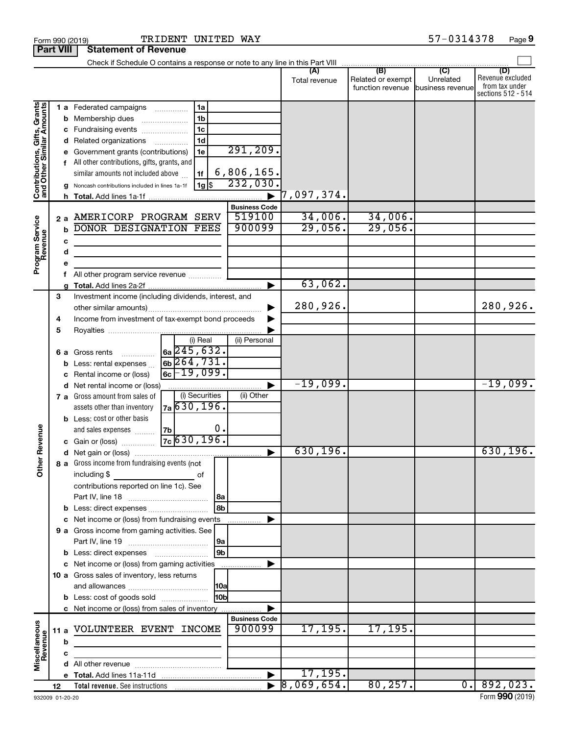|                                                           |      |    |                                                                                                                |                      |                      | (A)           | (B)               | (C)              | (D)                |
|-----------------------------------------------------------|------|----|----------------------------------------------------------------------------------------------------------------|----------------------|----------------------|---------------|-------------------|------------------|--------------------|
|                                                           |      |    |                                                                                                                |                      |                      | Total revenue | Related or exempt | Unrelated        | Revenue excluded   |
|                                                           |      |    |                                                                                                                |                      |                      |               | function revenue  | business revenue | from tax under     |
|                                                           |      |    |                                                                                                                |                      |                      |               |                   |                  | sections 512 - 514 |
|                                                           |      |    | 1 a Federated campaigns                                                                                        | 1a                   |                      |               |                   |                  |                    |
| Contributions, Gifts, Grants<br>and Other Similar Amounts |      |    | <b>b</b> Membership dues                                                                                       | 1 <sub>b</sub>       |                      |               |                   |                  |                    |
|                                                           |      |    | c Fundraising events                                                                                           | 1 <sub>c</sub>       |                      |               |                   |                  |                    |
|                                                           |      |    | d Related organizations                                                                                        | 1 <sub>d</sub>       |                      |               |                   |                  |                    |
|                                                           |      |    | e Government grants (contributions)                                                                            | 1e                   | 291, 209.            |               |                   |                  |                    |
|                                                           |      |    | f All other contributions, gifts, grants, and                                                                  |                      |                      |               |                   |                  |                    |
|                                                           |      |    |                                                                                                                |                      | 6,806,165.           |               |                   |                  |                    |
|                                                           |      |    | similar amounts not included above                                                                             | 1f                   |                      |               |                   |                  |                    |
|                                                           |      |    | <b>g</b> Noncash contributions included in lines 1a-1f                                                         | 1g \$                | 232,030.             |               |                   |                  |                    |
|                                                           |      |    |                                                                                                                |                      | .                    | 7,097,374.    |                   |                  |                    |
|                                                           |      |    |                                                                                                                |                      | <b>Business Code</b> |               |                   |                  |                    |
|                                                           |      | 2a | AMERICORP PROGRAM SERV                                                                                         |                      | 519100               | 34,006.       | 34,006.           |                  |                    |
|                                                           |      | b  | DONOR DESIGNATION FEES                                                                                         |                      | 900099               | 29,056.       | 29,056.           |                  |                    |
|                                                           |      | c  |                                                                                                                |                      |                      |               |                   |                  |                    |
|                                                           |      | d  |                                                                                                                |                      |                      |               |                   |                  |                    |
|                                                           |      |    |                                                                                                                |                      |                      |               |                   |                  |                    |
| Program Service<br>Revenue                                |      |    |                                                                                                                |                      |                      |               |                   |                  |                    |
|                                                           |      | f  | All other program service revenue <i>mimimini</i>                                                              |                      |                      |               |                   |                  |                    |
|                                                           |      |    |                                                                                                                |                      |                      | 63,062.       |                   |                  |                    |
|                                                           | 3    |    | Investment income (including dividends, interest, and                                                          |                      |                      |               |                   |                  |                    |
|                                                           |      |    |                                                                                                                |                      |                      | 280,926.      |                   |                  | 280,926.           |
|                                                           | 4    |    | Income from investment of tax-exempt bond proceeds                                                             |                      |                      |               |                   |                  |                    |
|                                                           | 5    |    |                                                                                                                |                      |                      |               |                   |                  |                    |
|                                                           |      |    |                                                                                                                | (i) Real             | (ii) Personal        |               |                   |                  |                    |
|                                                           |      | 6а | Gross rents                                                                                                    | $6a$ $245$ , $632$ . |                      |               |                   |                  |                    |
|                                                           |      | b  | Less: rental expenses                                                                                          | $6b$ 264, 731.       |                      |               |                   |                  |                    |
|                                                           |      |    | Rental income or (loss)                                                                                        | $6c - 19,099.$       |                      |               |                   |                  |                    |
|                                                           |      | с  |                                                                                                                |                      |                      | $-19,099.$    |                   |                  | $-19,099.$         |
|                                                           |      |    | d Net rental income or (loss)                                                                                  | (i) Securities       |                      |               |                   |                  |                    |
|                                                           |      |    | <b>7 a</b> Gross amount from sales of                                                                          |                      | (ii) Other           |               |                   |                  |                    |
|                                                           |      |    | assets other than inventory                                                                                    | $7a$ 630, 196.       |                      |               |                   |                  |                    |
|                                                           |      |    | <b>b</b> Less: cost or other basis                                                                             |                      |                      |               |                   |                  |                    |
|                                                           |      |    | and sales expenses                                                                                             | 0.<br>7b             |                      |               |                   |                  |                    |
|                                                           |      |    | c Gain or (loss)                                                                                               | $7c$ 630, 196.       |                      |               |                   |                  |                    |
| her Revenue                                               |      |    |                                                                                                                |                      |                      | 630, 196.     |                   |                  | 630, 196.          |
|                                                           |      |    | 8 a Gross income from fundraising events (not                                                                  |                      |                      |               |                   |                  |                    |
| Ò                                                         |      |    | including \$                                                                                                   | οf                   |                      |               |                   |                  |                    |
|                                                           |      |    | contributions reported on line 1c). See                                                                        |                      |                      |               |                   |                  |                    |
|                                                           |      |    | Part IV, line 18                                                                                               | 8a                   |                      |               |                   |                  |                    |
|                                                           |      |    |                                                                                                                | 8b                   |                      |               |                   |                  |                    |
|                                                           |      |    |                                                                                                                |                      |                      |               |                   |                  |                    |
|                                                           |      | с  | Net income or (loss) from fundraising events                                                                   |                      | .                    |               |                   |                  |                    |
|                                                           |      |    | 9 a Gross income from gaming activities. See                                                                   |                      |                      |               |                   |                  |                    |
|                                                           |      |    |                                                                                                                | 9a                   |                      |               |                   |                  |                    |
|                                                           |      | b  |                                                                                                                | 9b                   |                      |               |                   |                  |                    |
|                                                           |      |    | Net income or (loss) from gaming activities                                                                    |                      |                      |               |                   |                  |                    |
|                                                           |      |    | 10 a Gross sales of inventory, less returns                                                                    |                      |                      |               |                   |                  |                    |
|                                                           |      |    |                                                                                                                | 10a                  |                      |               |                   |                  |                    |
|                                                           |      |    | <b>b</b> Less: cost of goods sold                                                                              | l10bl                |                      |               |                   |                  |                    |
|                                                           |      |    | c Net income or (loss) from sales of inventory                                                                 |                      |                      |               |                   |                  |                    |
|                                                           |      |    |                                                                                                                |                      | <b>Business Code</b> |               |                   |                  |                    |
|                                                           |      |    | VOLUNTEER EVENT INCOME                                                                                         |                      | 900099               | 17, 195.      | 17, 195.          |                  |                    |
|                                                           | 11 a |    |                                                                                                                |                      |                      |               |                   |                  |                    |
|                                                           |      | b  |                                                                                                                |                      |                      |               |                   |                  |                    |
| Miscellaneous<br>Revenue                                  |      | с  |                                                                                                                |                      |                      |               |                   |                  |                    |
|                                                           |      | d  | All other revenue example to the state of the state of the state of the state of the state of the state of the |                      |                      |               |                   |                  |                    |
|                                                           |      |    |                                                                                                                |                      |                      | 17, 195.      |                   |                  |                    |
|                                                           | 12   |    |                                                                                                                |                      |                      | 8,069,654.    | 80, 257.          | $\overline{0}$ . | 892,023.           |

Form 990 (2019) Page TRIDENT UNITED WAY 57-0314378

**Part VIII Statement of Revenue**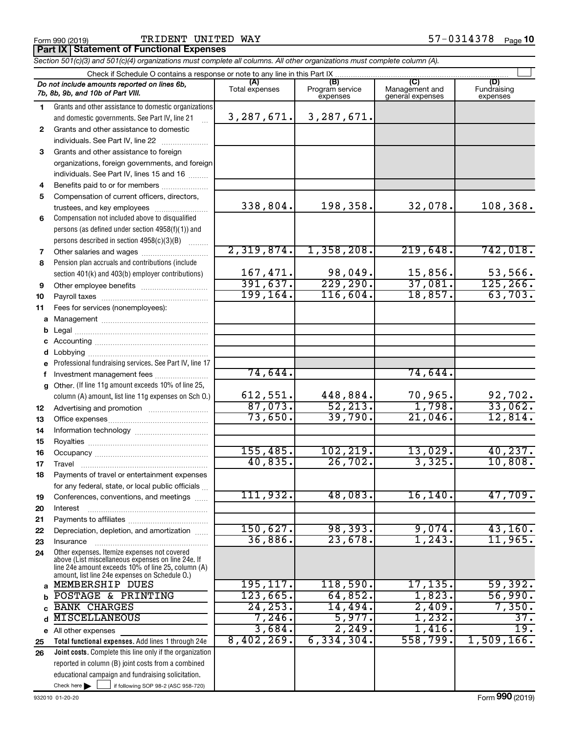Form 990 (2019) **PRIDENT UNITED WAY** Form 990 (2019) **Page**  $57-0314378$  Page

**Part IX Statement of Functional Expenses**

*Section 501(c)(3) and 501(c)(4) organizations must complete all columns. All other organizations must complete column (A).*

|              | Check if Schedule O contains a response or note to any line in this Part IX                              |                       |                                    |                                           |                                |
|--------------|----------------------------------------------------------------------------------------------------------|-----------------------|------------------------------------|-------------------------------------------|--------------------------------|
|              | Do not include amounts reported on lines 6b,<br>7b, 8b, 9b, and 10b of Part VIII.                        | (A)<br>Total expenses | (B)<br>Program service<br>expenses | (C)<br>Management and<br>general expenses | (D)<br>Fundraising<br>expenses |
| 1.           | Grants and other assistance to domestic organizations                                                    |                       |                                    |                                           |                                |
|              | and domestic governments. See Part IV, line 21                                                           | 3,287,671.            | 3,287,671.                         |                                           |                                |
| $\mathbf{2}$ | Grants and other assistance to domestic                                                                  |                       |                                    |                                           |                                |
|              | individuals. See Part IV, line 22                                                                        |                       |                                    |                                           |                                |
| 3            | Grants and other assistance to foreign                                                                   |                       |                                    |                                           |                                |
|              | organizations, foreign governments, and foreign                                                          |                       |                                    |                                           |                                |
|              | individuals. See Part IV, lines 15 and 16                                                                |                       |                                    |                                           |                                |
| 4            | Benefits paid to or for members                                                                          |                       |                                    |                                           |                                |
| 5            | Compensation of current officers, directors,                                                             | 338,804.              |                                    |                                           | 108,368.                       |
|              | trustees, and key employees                                                                              |                       | 198,358.                           | 32,078.                                   |                                |
| 6            | Compensation not included above to disqualified                                                          |                       |                                    |                                           |                                |
|              | persons (as defined under section 4958(f)(1)) and                                                        |                       |                                    |                                           |                                |
|              | persons described in section 4958(c)(3)(B)                                                               | 2,319,874.            | 1,358,208.                         | 219,648.                                  | 742,018.                       |
| 7<br>8       | Other salaries and wages<br>Pension plan accruals and contributions (include                             |                       |                                    |                                           |                                |
|              | section 401(k) and 403(b) employer contributions)                                                        | 167,471.              | 98,049.                            | 15,856.                                   | 53,566.                        |
| 9            |                                                                                                          | 391,637.              | 229, 290.                          | 37,081.                                   | 125, 266.                      |
| 10           |                                                                                                          | 199, 164.             | 116,604.                           | 18,857.                                   | 63,703.                        |
| 11           | Fees for services (nonemployees):                                                                        |                       |                                    |                                           |                                |
| а            |                                                                                                          |                       |                                    |                                           |                                |
| b            |                                                                                                          |                       |                                    |                                           |                                |
| с            |                                                                                                          |                       |                                    |                                           |                                |
| d            |                                                                                                          |                       |                                    |                                           |                                |
|              | Professional fundraising services. See Part IV, line 17                                                  |                       |                                    |                                           |                                |
| f            | Investment management fees                                                                               | 74,644.               |                                    | 74,644.                                   |                                |
| g            | Other. (If line 11g amount exceeds 10% of line 25,                                                       |                       |                                    |                                           |                                |
|              | column (A) amount, list line 11g expenses on Sch O.)                                                     | 612,551.              | 448,884.                           | 70,965.                                   | 92,702.                        |
| 12           |                                                                                                          | 87,073.               | 52, 213.                           | 1,798.                                    | 33,062.                        |
| 13           |                                                                                                          | 73,650.               | 39,790.                            | 21,046.                                   | 12,814.                        |
| 14           |                                                                                                          |                       |                                    |                                           |                                |
| 15           |                                                                                                          | 155,485               | 102,219.                           | 13,029.                                   | 40, 237.                       |
| 16           |                                                                                                          | 40,835.               | 26,702.                            | 3,325.                                    | 10,808.                        |
| 17           |                                                                                                          |                       |                                    |                                           |                                |
| 18           | Payments of travel or entertainment expenses                                                             |                       |                                    |                                           |                                |
| 19           | for any federal, state, or local public officials<br>Conferences, conventions, and meetings              | 111,932.              | 48,083.                            | 16, 140.                                  | 47,709.                        |
| 20           | Interest                                                                                                 |                       |                                    |                                           |                                |
| 21           |                                                                                                          |                       |                                    |                                           |                                |
| 22           | Depreciation, depletion, and amortization                                                                | 150,627.              | 98,393.                            | 9,074.                                    | 43,160.                        |
| 23           | Insurance                                                                                                | 36,886.               | 23,678.                            | 1,243.                                    | 11,965.                        |
| 24           | Other expenses. Itemize expenses not covered                                                             |                       |                                    |                                           |                                |
|              | above (List miscellaneous expenses on line 24e. If<br>line 24e amount exceeds 10% of line 25, column (A) |                       |                                    |                                           |                                |
|              | amount, list line 24e expenses on Schedule O.)                                                           |                       |                                    |                                           |                                |
| a            | MEMBERSHIP DUES                                                                                          | 195, 117.             | 118,590.                           | 17,135.                                   | 59,392.                        |
| b            | POSTAGE & PRINTING                                                                                       | 123,665.              | 64,852.                            | 1,823.                                    | 56,990.                        |
|              | <b>BANK CHARGES</b>                                                                                      | 24, 253.              | 14,494.                            | 2,409.                                    | 7,350.                         |
| d            | <b>MISCELLANEOUS</b>                                                                                     | 7,246.                | 5,977.                             | 1,232.                                    | 37.                            |
|              | e All other expenses                                                                                     | 3,684.                | 2,249.                             | 1,416.                                    | $\overline{19}$ .              |
| 25           | Total functional expenses. Add lines 1 through 24e                                                       | 8,402,269.            | 6, 334, 304.                       | 558,799.                                  | 1,509,166.                     |
| 26           | <b>Joint costs.</b> Complete this line only if the organization                                          |                       |                                    |                                           |                                |
|              | reported in column (B) joint costs from a combined                                                       |                       |                                    |                                           |                                |
|              | educational campaign and fundraising solicitation.                                                       |                       |                                    |                                           |                                |
|              | Check here $\blacktriangleright$<br>if following SOP 98-2 (ASC 958-720)                                  |                       |                                    |                                           |                                |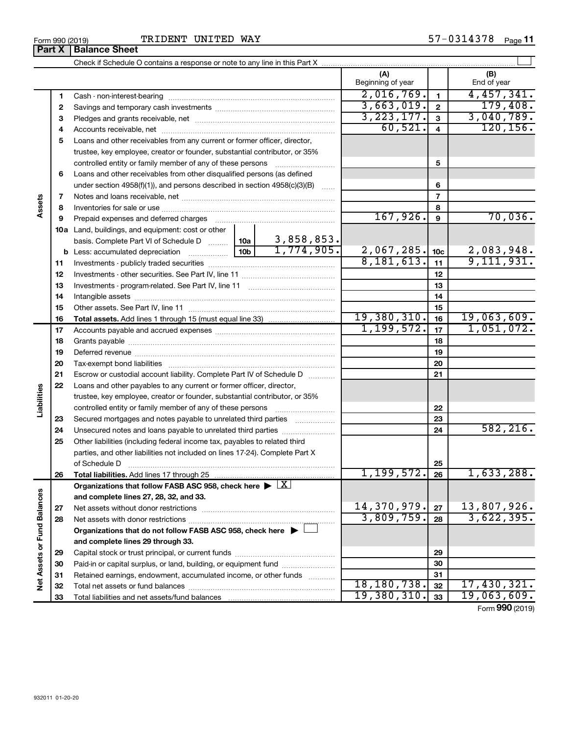|                             | Form 990 (2019)<br>Part X | TRIDENT UNITED WAY<br><b>Balance Sheet</b>                                                                                                           |            |                          |                         | 57-0314378 Page 11 |                 |
|-----------------------------|---------------------------|------------------------------------------------------------------------------------------------------------------------------------------------------|------------|--------------------------|-------------------------|--------------------|-----------------|
|                             |                           |                                                                                                                                                      |            |                          |                         |                    |                 |
|                             |                           |                                                                                                                                                      |            |                          |                         |                    |                 |
|                             |                           |                                                                                                                                                      |            | (A)<br>Beginning of year |                         | (B)<br>End of year |                 |
|                             |                           |                                                                                                                                                      |            | 2,016,769.               | $\mathbf{1}$            | 4,457,341.         |                 |
|                             | 1<br>2                    |                                                                                                                                                      | 3,663,019. | $\mathbf{2}$             |                         | 179,408.           |                 |
|                             |                           |                                                                                                                                                      |            | 3, 223, 177.             | $\overline{\mathbf{3}}$ | 3,040,789.         |                 |
|                             | 3                         |                                                                                                                                                      |            | 60,521.                  | $\overline{4}$          |                    | 120, 156.       |
|                             | 4<br>5                    | Loans and other receivables from any current or former officer, director,                                                                            |            |                          |                         |                    |                 |
|                             |                           | trustee, key employee, creator or founder, substantial contributor, or 35%                                                                           |            |                          |                         |                    |                 |
|                             |                           |                                                                                                                                                      |            |                          | 5                       |                    |                 |
|                             | 6                         | controlled entity or family member of any of these persons                                                                                           |            |                          |                         |                    |                 |
|                             |                           | Loans and other receivables from other disqualified persons (as defined<br>under section 4958(f)(1)), and persons described in section 4958(c)(3)(B) |            |                          | 6                       |                    |                 |
|                             | 7                         |                                                                                                                                                      |            |                          | $\overline{7}$          |                    |                 |
| Assets                      | 8                         |                                                                                                                                                      |            |                          | 8                       |                    |                 |
|                             | 9                         | Prepaid expenses and deferred charges [11] [11] Prepaid expenses and deferred charges [11] [11] American metal                                       |            | 167,926.                 | 9                       |                    | 70,036.         |
|                             |                           | 10a Land, buildings, and equipment: cost or other                                                                                                    |            |                          |                         |                    |                 |
|                             |                           |                                                                                                                                                      | 3,858,853. |                          |                         |                    |                 |
|                             |                           | basis. Complete Part VI of Schedule D  10a<br>10 <sub>b</sub><br><b>b</b> Less: accumulated depreciation <i>mimimimini</i>                           | 1,774,905. | 2,067,285.               | 10 <sub>c</sub>         | 2,083,948.         |                 |
|                             | 11                        |                                                                                                                                                      |            | 8,181,613.               | 11                      | 9,111,931.         |                 |
|                             | 12                        |                                                                                                                                                      |            | 12                       |                         |                    |                 |
|                             | 13                        |                                                                                                                                                      |            | 13                       |                         |                    |                 |
|                             | 14                        |                                                                                                                                                      |            |                          | 14                      |                    |                 |
|                             | 15                        |                                                                                                                                                      |            |                          | 15                      |                    |                 |
|                             | 16                        |                                                                                                                                                      |            | 19,380,310.              | 16                      | 19,063,609.        |                 |
|                             | 17                        |                                                                                                                                                      |            | 1, 199, 572.             | 17                      | 1,051,072.         |                 |
|                             | 18                        |                                                                                                                                                      |            | 18                       |                         |                    |                 |
|                             | 19                        |                                                                                                                                                      |            |                          | 19                      |                    |                 |
|                             | 20                        |                                                                                                                                                      |            |                          | 20                      |                    |                 |
|                             | 21                        | Escrow or custodial account liability. Complete Part IV of Schedule D                                                                                |            |                          | 21                      |                    |                 |
|                             | 22                        | Loans and other payables to any current or former officer, director,                                                                                 |            |                          |                         |                    |                 |
| Liabilities                 |                           | trustee, key employee, creator or founder, substantial contributor, or 35%                                                                           |            |                          |                         |                    |                 |
|                             |                           | controlled entity or family member of any of these persons                                                                                           |            |                          | 22                      |                    |                 |
|                             | 23                        | Secured mortgages and notes payable to unrelated third parties                                                                                       |            |                          | 23                      |                    |                 |
|                             | 24                        | Unsecured notes and loans payable to unrelated third parties                                                                                         |            |                          | 24                      |                    | 582, 216.       |
|                             | 25                        | Other liabilities (including federal income tax, payables to related third                                                                           |            |                          |                         |                    |                 |
|                             |                           | parties, and other liabilities not included on lines 17-24). Complete Part X                                                                         |            |                          |                         |                    |                 |
|                             |                           | of Schedule D                                                                                                                                        |            |                          | 25                      |                    |                 |
|                             | 26                        |                                                                                                                                                      |            | 1, 199, 572.             | 26                      |                    | 1,633,288.      |
|                             |                           | Organizations that follow FASB ASC 958, check here $\blacktriangleright \lfloor \underline{X} \rfloor$                                               |            |                          |                         |                    |                 |
|                             |                           | and complete lines 27, 28, 32, and 33.                                                                                                               |            |                          |                         |                    |                 |
|                             | 27                        |                                                                                                                                                      |            | 14,370,979.              | 27                      | 13,807,926.        |                 |
|                             | 28                        |                                                                                                                                                      |            | 3,809,759.               | 28                      | 3,622,395.         |                 |
|                             |                           | Organizations that do not follow FASB ASC 958, check here $\blacktriangleright$                                                                      |            |                          |                         |                    |                 |
|                             |                           | and complete lines 29 through 33.                                                                                                                    |            |                          |                         |                    |                 |
|                             | 29                        |                                                                                                                                                      |            |                          | 29                      |                    |                 |
|                             | 30                        | Paid-in or capital surplus, or land, building, or equipment fund                                                                                     |            |                          | 30                      |                    |                 |
| Net Assets or Fund Balances | 31                        | Retained earnings, endowment, accumulated income, or other funds                                                                                     |            |                          | 31                      |                    |                 |
|                             | 32                        |                                                                                                                                                      |            | 18,180,738.              | 32                      | 17,430,321.        |                 |
|                             | 33                        |                                                                                                                                                      |            | 19,380,310.              | 33                      | <u>19,063,609.</u> |                 |
|                             |                           |                                                                                                                                                      |            |                          |                         |                    | Form 990 (2019) |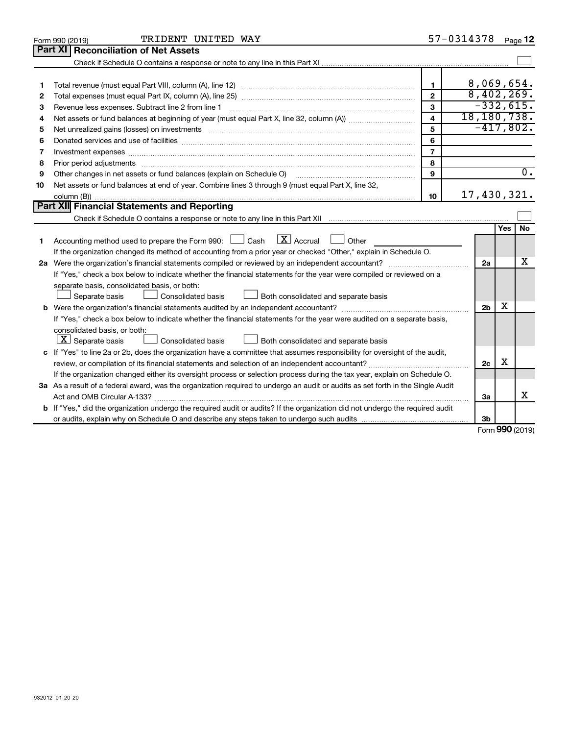|    | TRIDENT UNITED WAY<br>Form 990 (2019)                                                                                           |                         | 57-0314378 |                |        | Page 12          |
|----|---------------------------------------------------------------------------------------------------------------------------------|-------------------------|------------|----------------|--------|------------------|
|    | Part XI<br><b>Reconciliation of Net Assets</b>                                                                                  |                         |            |                |        |                  |
|    |                                                                                                                                 |                         |            |                |        |                  |
|    |                                                                                                                                 |                         |            |                |        |                  |
| 1  |                                                                                                                                 | $\mathbf{1}$            |            |                |        | 8,069,654.       |
| 2  |                                                                                                                                 | $\overline{2}$          |            |                |        | 8,402,269.       |
| 3  | Revenue less expenses. Subtract line 2 from line 1                                                                              | 3                       |            |                |        | $-332,615.$      |
| 4  |                                                                                                                                 | $\overline{\mathbf{4}}$ |            |                |        | 18,180,738.      |
| 5  |                                                                                                                                 | 5                       |            |                |        | $-417,802.$      |
| 6  |                                                                                                                                 | 6                       |            |                |        |                  |
| 7  | Investment expenses www.communication.com/www.communication.com/www.communication.com/www.com                                   | $\overline{7}$          |            |                |        |                  |
| 8  |                                                                                                                                 | 8                       |            |                |        |                  |
| 9  | Other changes in net assets or fund balances (explain on Schedule O)                                                            | 9                       |            |                |        | $\overline{0}$ . |
| 10 | Net assets or fund balances at end of year. Combine lines 3 through 9 (must equal Part X, line 32,                              |                         |            |                |        |                  |
|    |                                                                                                                                 | 10                      |            |                |        | 17,430,321.      |
|    | Part XII Financial Statements and Reporting                                                                                     |                         |            |                |        |                  |
|    |                                                                                                                                 |                         |            |                |        |                  |
|    |                                                                                                                                 |                         |            |                | Yes    | No.              |
| 1  | Accounting method used to prepare the Form 990: $\Box$ Cash $\Box$ Accrual $\Box$ Other                                         |                         |            |                |        |                  |
|    | If the organization changed its method of accounting from a prior year or checked "Other," explain in Schedule O.               |                         |            |                |        |                  |
|    |                                                                                                                                 |                         |            | 2a             |        | х                |
|    | If "Yes," check a box below to indicate whether the financial statements for the year were compiled or reviewed on a            |                         |            |                |        |                  |
|    | separate basis, consolidated basis, or both:                                                                                    |                         |            |                |        |                  |
|    | Both consolidated and separate basis<br>Separate basis<br>Consolidated basis                                                    |                         |            |                |        |                  |
|    |                                                                                                                                 |                         |            | 2 <sub>b</sub> | x      |                  |
|    | If "Yes," check a box below to indicate whether the financial statements for the year were audited on a separate basis,         |                         |            |                |        |                  |
|    | consolidated basis, or both:                                                                                                    |                         |            |                |        |                  |
|    | $\lfloor x \rfloor$ Separate basis<br>Consolidated basis<br>Both consolidated and separate basis                                |                         |            |                |        |                  |
|    | c If "Yes" to line 2a or 2b, does the organization have a committee that assumes responsibility for oversight of the audit,     |                         |            |                |        |                  |
|    |                                                                                                                                 |                         |            | 2c             | X      |                  |
|    | If the organization changed either its oversight process or selection process during the tax year, explain on Schedule O.       |                         |            |                |        |                  |
|    | 3a As a result of a federal award, was the organization required to undergo an audit or audits as set forth in the Single Audit |                         |            |                |        |                  |
|    |                                                                                                                                 |                         |            | 3a             |        | x                |
|    | b If "Yes," did the organization undergo the required audit or audits? If the organization did not undergo the required audit   |                         |            |                |        |                  |
|    |                                                                                                                                 |                         |            | 3b             | $\sim$ |                  |

Form (2019) **990**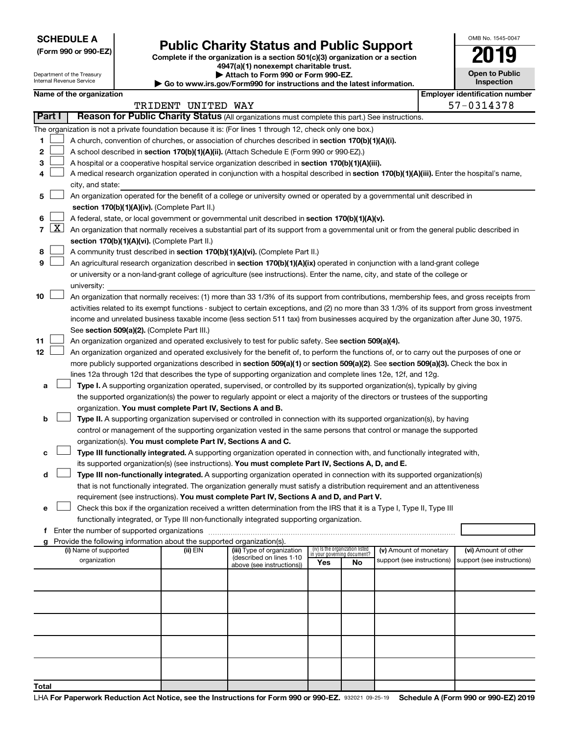**SCHEDULE A**

Department of the Treasury Internal Revenue Service

**Total**

## **Public Charity Status and Public Support**

**(Form 990 or 990-EZ) Complete if the organization is a section 501(c)(3) organization or a section**

**4947(a)(1) nonexempt charitable trust. | Attach to Form 990 or Form 990-EZ.** 

**| Go to www.irs.gov/Form990 for instructions and the latest information.**

| <b>Open to Public</b><br>Inspection |
|-------------------------------------|
|                                     |

OMB No. 1545-0047

|        |                     |                                                                                                                                               |                    | $\sim$ Go to www.irs.gov/Formsso for msu actions and the latest imormation. |                                 |    |                            |                                       |
|--------|---------------------|-----------------------------------------------------------------------------------------------------------------------------------------------|--------------------|-----------------------------------------------------------------------------|---------------------------------|----|----------------------------|---------------------------------------|
|        |                     | Name of the organization                                                                                                                      |                    |                                                                             |                                 |    |                            | <b>Employer identification number</b> |
| Part I |                     | Reason for Public Charity Status (All organizations must complete this part.) See instructions.                                               | TRIDENT UNITED WAY |                                                                             |                                 |    |                            | 57-0314378                            |
|        |                     |                                                                                                                                               |                    |                                                                             |                                 |    |                            |                                       |
|        |                     | The organization is not a private foundation because it is: (For lines 1 through 12, check only one box.)                                     |                    |                                                                             |                                 |    |                            |                                       |
| 1      |                     | A church, convention of churches, or association of churches described in section 170(b)(1)(A)(i).                                            |                    |                                                                             |                                 |    |                            |                                       |
| 2      |                     | A school described in section 170(b)(1)(A)(ii). (Attach Schedule E (Form 990 or 990-EZ).)                                                     |                    |                                                                             |                                 |    |                            |                                       |
| 3      |                     | A hospital or a cooperative hospital service organization described in section 170(b)(1)(A)(iii).                                             |                    |                                                                             |                                 |    |                            |                                       |
| 4      |                     | A medical research organization operated in conjunction with a hospital described in section 170(b)(1)(A)(iii). Enter the hospital's name,    |                    |                                                                             |                                 |    |                            |                                       |
|        |                     | city, and state:                                                                                                                              |                    |                                                                             |                                 |    |                            |                                       |
| 5      |                     | An organization operated for the benefit of a college or university owned or operated by a governmental unit described in                     |                    |                                                                             |                                 |    |                            |                                       |
|        |                     | section 170(b)(1)(A)(iv). (Complete Part II.)                                                                                                 |                    |                                                                             |                                 |    |                            |                                       |
| 6<br>7 | $\lfloor x \rfloor$ | A federal, state, or local government or governmental unit described in section 170(b)(1)(A)(v).                                              |                    |                                                                             |                                 |    |                            |                                       |
|        |                     | An organization that normally receives a substantial part of its support from a governmental unit or from the general public described in     |                    |                                                                             |                                 |    |                            |                                       |
| 8      |                     | section 170(b)(1)(A)(vi). (Complete Part II.)<br>A community trust described in section 170(b)(1)(A)(vi). (Complete Part II.)                 |                    |                                                                             |                                 |    |                            |                                       |
| 9      |                     | An agricultural research organization described in section 170(b)(1)(A)(ix) operated in conjunction with a land-grant college                 |                    |                                                                             |                                 |    |                            |                                       |
|        |                     | or university or a non-land-grant college of agriculture (see instructions). Enter the name, city, and state of the college or                |                    |                                                                             |                                 |    |                            |                                       |
|        |                     | university:                                                                                                                                   |                    |                                                                             |                                 |    |                            |                                       |
| 10     |                     | An organization that normally receives: (1) more than 33 1/3% of its support from contributions, membership fees, and gross receipts from     |                    |                                                                             |                                 |    |                            |                                       |
|        |                     | activities related to its exempt functions - subject to certain exceptions, and (2) no more than 33 1/3% of its support from gross investment |                    |                                                                             |                                 |    |                            |                                       |
|        |                     | income and unrelated business taxable income (less section 511 tax) from businesses acquired by the organization after June 30, 1975.         |                    |                                                                             |                                 |    |                            |                                       |
|        |                     | See section 509(a)(2). (Complete Part III.)                                                                                                   |                    |                                                                             |                                 |    |                            |                                       |
| 11     |                     | An organization organized and operated exclusively to test for public safety. See section 509(a)(4).                                          |                    |                                                                             |                                 |    |                            |                                       |
| 12     |                     | An organization organized and operated exclusively for the benefit of, to perform the functions of, or to carry out the purposes of one or    |                    |                                                                             |                                 |    |                            |                                       |
|        |                     | more publicly supported organizations described in section 509(a)(1) or section 509(a)(2). See section 509(a)(3). Check the box in            |                    |                                                                             |                                 |    |                            |                                       |
|        |                     | lines 12a through 12d that describes the type of supporting organization and complete lines 12e, 12f, and 12g.                                |                    |                                                                             |                                 |    |                            |                                       |
| а      |                     | Type I. A supporting organization operated, supervised, or controlled by its supported organization(s), typically by giving                   |                    |                                                                             |                                 |    |                            |                                       |
|        |                     | the supported organization(s) the power to regularly appoint or elect a majority of the directors or trustees of the supporting               |                    |                                                                             |                                 |    |                            |                                       |
|        |                     | organization. You must complete Part IV, Sections A and B.                                                                                    |                    |                                                                             |                                 |    |                            |                                       |
| b      |                     | Type II. A supporting organization supervised or controlled in connection with its supported organization(s), by having                       |                    |                                                                             |                                 |    |                            |                                       |
|        |                     | control or management of the supporting organization vested in the same persons that control or manage the supported                          |                    |                                                                             |                                 |    |                            |                                       |
|        |                     | organization(s). You must complete Part IV, Sections A and C.                                                                                 |                    |                                                                             |                                 |    |                            |                                       |
| с      |                     | Type III functionally integrated. A supporting organization operated in connection with, and functionally integrated with,                    |                    |                                                                             |                                 |    |                            |                                       |
|        |                     | its supported organization(s) (see instructions). You must complete Part IV, Sections A, D, and E.                                            |                    |                                                                             |                                 |    |                            |                                       |
| d      |                     | Type III non-functionally integrated. A supporting organization operated in connection with its supported organization(s)                     |                    |                                                                             |                                 |    |                            |                                       |
|        |                     | that is not functionally integrated. The organization generally must satisfy a distribution requirement and an attentiveness                  |                    |                                                                             |                                 |    |                            |                                       |
|        |                     | requirement (see instructions). You must complete Part IV, Sections A and D, and Part V.                                                      |                    |                                                                             |                                 |    |                            |                                       |
| е      |                     | Check this box if the organization received a written determination from the IRS that it is a Type I, Type II, Type III                       |                    |                                                                             |                                 |    |                            |                                       |
|        |                     | functionally integrated, or Type III non-functionally integrated supporting organization.                                                     |                    |                                                                             |                                 |    |                            |                                       |
|        |                     | f Enter the number of supported organizations                                                                                                 |                    |                                                                             |                                 |    |                            |                                       |
|        |                     | Provide the following information about the supported organization(s).<br>(i) Name of supported                                               | (ii) EIN           | (iii) Type of organization                                                  | (iv) Is the organization listed |    | (v) Amount of monetary     | (vi) Amount of other                  |
|        |                     | organization                                                                                                                                  |                    | (described on lines 1-10                                                    | in your governing document?     |    | support (see instructions) | support (see instructions)            |
|        |                     |                                                                                                                                               |                    | above (see instructions))                                                   | Yes                             | No |                            |                                       |
|        |                     |                                                                                                                                               |                    |                                                                             |                                 |    |                            |                                       |
|        |                     |                                                                                                                                               |                    |                                                                             |                                 |    |                            |                                       |
|        |                     |                                                                                                                                               |                    |                                                                             |                                 |    |                            |                                       |
|        |                     |                                                                                                                                               |                    |                                                                             |                                 |    |                            |                                       |
|        |                     |                                                                                                                                               |                    |                                                                             |                                 |    |                            |                                       |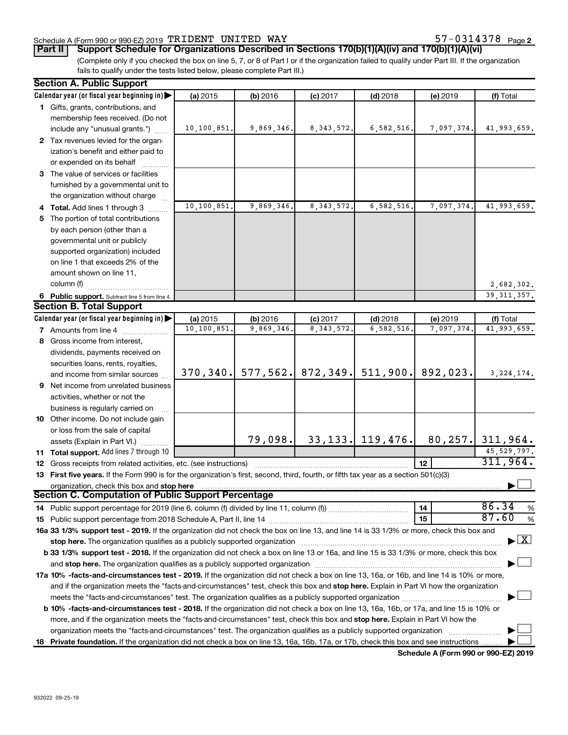#### Schedule A (Form 990 or 990-EZ) 2019 Page TRIDENT UNITED WAY 57-0314378

**Part II Support Schedule for Organizations Described in Sections 170(b)(1)(A)(iv) and 170(b)(1)(A)(vi)**

(Complete only if you checked the box on line 5, 7, or 8 of Part I or if the organization failed to qualify under Part III. If the organization fails to qualify under the tests listed below, please complete Part III.)

| <b>Section A. Public Support</b>                                                                                                                                                                                               |                        |                        |                                 |                         |                       |                                    |
|--------------------------------------------------------------------------------------------------------------------------------------------------------------------------------------------------------------------------------|------------------------|------------------------|---------------------------------|-------------------------|-----------------------|------------------------------------|
| Calendar year (or fiscal year beginning in)                                                                                                                                                                                    | (a) 2015               | (b) 2016               | $(c)$ 2017                      | $(d)$ 2018              | (e) 2019              | (f) Total                          |
| 1 Gifts, grants, contributions, and                                                                                                                                                                                            |                        |                        |                                 |                         |                       |                                    |
| membership fees received. (Do not                                                                                                                                                                                              |                        |                        |                                 |                         |                       |                                    |
| include any "unusual grants.")                                                                                                                                                                                                 | 10,100,851.            | 9,869,346.             | 8, 343, 572.                    | 6,582,516.              | 7,097,374.            | 41,993,659.                        |
| 2 Tax revenues levied for the organ-                                                                                                                                                                                           |                        |                        |                                 |                         |                       |                                    |
| ization's benefit and either paid to                                                                                                                                                                                           |                        |                        |                                 |                         |                       |                                    |
| or expended on its behalf                                                                                                                                                                                                      |                        |                        |                                 |                         |                       |                                    |
| 3 The value of services or facilities                                                                                                                                                                                          |                        |                        |                                 |                         |                       |                                    |
| furnished by a governmental unit to                                                                                                                                                                                            |                        |                        |                                 |                         |                       |                                    |
| the organization without charge                                                                                                                                                                                                |                        |                        |                                 |                         |                       |                                    |
| 4 Total. Add lines 1 through 3                                                                                                                                                                                                 | 10,100,851             | 9,869,346.             | 8, 343, 572.                    | 6,582,516               | 7,097,374.            | 41,993,659.                        |
| 5 The portion of total contributions                                                                                                                                                                                           |                        |                        |                                 |                         |                       |                                    |
| by each person (other than a                                                                                                                                                                                                   |                        |                        |                                 |                         |                       |                                    |
| governmental unit or publicly                                                                                                                                                                                                  |                        |                        |                                 |                         |                       |                                    |
| supported organization) included                                                                                                                                                                                               |                        |                        |                                 |                         |                       |                                    |
| on line 1 that exceeds 2% of the                                                                                                                                                                                               |                        |                        |                                 |                         |                       |                                    |
| amount shown on line 11,                                                                                                                                                                                                       |                        |                        |                                 |                         |                       |                                    |
| column (f)                                                                                                                                                                                                                     |                        |                        |                                 |                         |                       | 2,682,302.                         |
|                                                                                                                                                                                                                                |                        |                        |                                 |                         |                       | 39, 311, 357.                      |
| 6 Public support. Subtract line 5 from line 4.<br><b>Section B. Total Support</b>                                                                                                                                              |                        |                        |                                 |                         |                       |                                    |
|                                                                                                                                                                                                                                |                        |                        |                                 |                         |                       |                                    |
| Calendar year (or fiscal year beginning in)                                                                                                                                                                                    | (a) 2015<br>10,100,851 | (b) 2016<br>9,869,346. | $(c)$ 2017<br>8, 343, 572.      | $(d)$ 2018<br>6,582,516 | (e) 2019<br>7,097,374 | (f) Total<br>41,993,659.           |
| <b>7</b> Amounts from line 4                                                                                                                                                                                                   |                        |                        |                                 |                         |                       |                                    |
| 8 Gross income from interest,                                                                                                                                                                                                  |                        |                        |                                 |                         |                       |                                    |
| dividends, payments received on                                                                                                                                                                                                |                        |                        |                                 |                         |                       |                                    |
| securities loans, rents, royalties,                                                                                                                                                                                            |                        |                        |                                 |                         |                       |                                    |
| and income from similar sources                                                                                                                                                                                                | 370, 340.              |                        | $577, 562.$ 872, 349. 511, 900. |                         | 892,023.              | 3, 224, 174.                       |
| <b>9</b> Net income from unrelated business                                                                                                                                                                                    |                        |                        |                                 |                         |                       |                                    |
| activities, whether or not the                                                                                                                                                                                                 |                        |                        |                                 |                         |                       |                                    |
| business is regularly carried on                                                                                                                                                                                               |                        |                        |                                 |                         |                       |                                    |
| 10 Other income. Do not include gain                                                                                                                                                                                           |                        |                        |                                 |                         |                       |                                    |
| or loss from the sale of capital                                                                                                                                                                                               |                        |                        |                                 |                         |                       |                                    |
| assets (Explain in Part VI.)                                                                                                                                                                                                   |                        | 79,098.                |                                 | $33, 133$ . 119, 476.   |                       | $80, 257$ . 311, 964.              |
| 11 Total support. Add lines 7 through 10                                                                                                                                                                                       |                        |                        |                                 |                         |                       | 45, 529, 797.                      |
| <b>12</b> Gross receipts from related activities, etc. (see instructions)                                                                                                                                                      |                        |                        |                                 |                         | 12                    | 311,964.                           |
| 13 First five years. If the Form 990 is for the organization's first, second, third, fourth, or fifth tax year as a section 501(c)(3)                                                                                          |                        |                        |                                 |                         |                       |                                    |
| organization, check this box and stop here                                                                                                                                                                                     |                        |                        |                                 |                         |                       |                                    |
| <b>Section C. Computation of Public Support Percentage</b>                                                                                                                                                                     |                        |                        |                                 |                         |                       |                                    |
|                                                                                                                                                                                                                                |                        |                        |                                 |                         | 14                    | 86.34<br>%                         |
|                                                                                                                                                                                                                                |                        |                        |                                 |                         | 15                    | 87.60<br>%                         |
| 16a 33 1/3% support test - 2019. If the organization did not check the box on line 13, and line 14 is 33 1/3% or more, check this box and                                                                                      |                        |                        |                                 |                         |                       |                                    |
| stop here. The organization qualifies as a publicly supported organization manufactured content and the organization manufactured or an analyzing the stress of the stress of the stress of the stress of the stress of the st |                        |                        |                                 |                         |                       | $\blacktriangleright$ $\mathbf{X}$ |
| b 33 1/3% support test - 2018. If the organization did not check a box on line 13 or 16a, and line 15 is 33 1/3% or more, check this box                                                                                       |                        |                        |                                 |                         |                       |                                    |
|                                                                                                                                                                                                                                |                        |                        |                                 |                         |                       |                                    |
| 17a 10% -facts-and-circumstances test - 2019. If the organization did not check a box on line 13, 16a, or 16b, and line 14 is 10% or more,                                                                                     |                        |                        |                                 |                         |                       |                                    |
| and if the organization meets the "facts-and-circumstances" test, check this box and stop here. Explain in Part VI how the organization                                                                                        |                        |                        |                                 |                         |                       |                                    |
|                                                                                                                                                                                                                                |                        |                        |                                 |                         |                       |                                    |
| <b>b 10%</b> -facts-and-circumstances test - 2018. If the organization did not check a box on line 13, 16a, 16b, or 17a, and line 15 is 10% or                                                                                 |                        |                        |                                 |                         |                       |                                    |
| more, and if the organization meets the "facts-and-circumstances" test, check this box and stop here. Explain in Part VI how the                                                                                               |                        |                        |                                 |                         |                       |                                    |
| organization meets the "facts-and-circumstances" test. The organization qualifies as a publicly supported organization                                                                                                         |                        |                        |                                 |                         |                       |                                    |
| 18 Private foundation. If the organization did not check a box on line 13, 16a, 16b, 17a, or 17b, check this box and see instructions                                                                                          |                        |                        |                                 |                         |                       |                                    |
|                                                                                                                                                                                                                                |                        |                        |                                 |                         |                       |                                    |

**Schedule A (Form 990 or 990-EZ) 2019**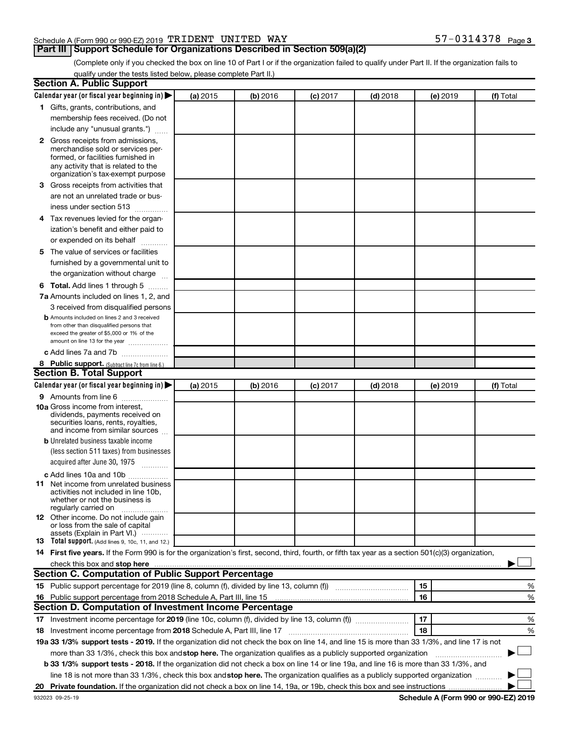#### Schedule A (Form 990 or 990-EZ) 2019 Page TRIDENT UNITED WAY 57-0314378

### **Part III Support Schedule for Organizations Described in Section 509(a)(2)**

57-0314378 Page 3

(Complete only if you checked the box on line 10 of Part I or if the organization failed to qualify under Part II. If the organization fails to qualify under the tests listed below, please complete Part II.)

| <b>Section A. Public Support</b>                                                                                                                                                                                                                                       |          |          |          |            |          |           |
|------------------------------------------------------------------------------------------------------------------------------------------------------------------------------------------------------------------------------------------------------------------------|----------|----------|----------|------------|----------|-----------|
| Calendar year (or fiscal year beginning in)                                                                                                                                                                                                                            | (a) 2015 | (b) 2016 | (c) 2017 | $(d)$ 2018 | (e) 2019 | (f) Total |
| 1 Gifts, grants, contributions, and                                                                                                                                                                                                                                    |          |          |          |            |          |           |
| membership fees received. (Do not                                                                                                                                                                                                                                      |          |          |          |            |          |           |
| include any "unusual grants.")                                                                                                                                                                                                                                         |          |          |          |            |          |           |
| <b>2</b> Gross receipts from admissions,                                                                                                                                                                                                                               |          |          |          |            |          |           |
| merchandise sold or services per-                                                                                                                                                                                                                                      |          |          |          |            |          |           |
| formed, or facilities furnished in                                                                                                                                                                                                                                     |          |          |          |            |          |           |
| any activity that is related to the<br>organization's tax-exempt purpose                                                                                                                                                                                               |          |          |          |            |          |           |
| 3 Gross receipts from activities that                                                                                                                                                                                                                                  |          |          |          |            |          |           |
| are not an unrelated trade or bus-                                                                                                                                                                                                                                     |          |          |          |            |          |           |
|                                                                                                                                                                                                                                                                        |          |          |          |            |          |           |
| iness under section 513                                                                                                                                                                                                                                                |          |          |          |            |          |           |
| 4 Tax revenues levied for the organ-                                                                                                                                                                                                                                   |          |          |          |            |          |           |
| ization's benefit and either paid to                                                                                                                                                                                                                                   |          |          |          |            |          |           |
| or expended on its behalf<br>.                                                                                                                                                                                                                                         |          |          |          |            |          |           |
| 5 The value of services or facilities                                                                                                                                                                                                                                  |          |          |          |            |          |           |
| furnished by a governmental unit to                                                                                                                                                                                                                                    |          |          |          |            |          |           |
| the organization without charge                                                                                                                                                                                                                                        |          |          |          |            |          |           |
| <b>6 Total.</b> Add lines 1 through 5                                                                                                                                                                                                                                  |          |          |          |            |          |           |
| 7a Amounts included on lines 1, 2, and                                                                                                                                                                                                                                 |          |          |          |            |          |           |
| 3 received from disqualified persons                                                                                                                                                                                                                                   |          |          |          |            |          |           |
| <b>b</b> Amounts included on lines 2 and 3 received                                                                                                                                                                                                                    |          |          |          |            |          |           |
| from other than disqualified persons that<br>exceed the greater of \$5,000 or 1% of the                                                                                                                                                                                |          |          |          |            |          |           |
| amount on line 13 for the year                                                                                                                                                                                                                                         |          |          |          |            |          |           |
| c Add lines 7a and 7b                                                                                                                                                                                                                                                  |          |          |          |            |          |           |
| 8 Public support. (Subtract line 7c from line 6.)                                                                                                                                                                                                                      |          |          |          |            |          |           |
| <b>Section B. Total Support</b>                                                                                                                                                                                                                                        |          |          |          |            |          |           |
| Calendar year (or fiscal year beginning in)                                                                                                                                                                                                                            | (a) 2015 | (b) 2016 | (c) 2017 | $(d)$ 2018 | (e) 2019 | (f) Total |
| <b>9</b> Amounts from line 6                                                                                                                                                                                                                                           |          |          |          |            |          |           |
| <b>10a</b> Gross income from interest,                                                                                                                                                                                                                                 |          |          |          |            |          |           |
| dividends, payments received on                                                                                                                                                                                                                                        |          |          |          |            |          |           |
| securities loans, rents, royalties,<br>and income from similar sources                                                                                                                                                                                                 |          |          |          |            |          |           |
| <b>b</b> Unrelated business taxable income                                                                                                                                                                                                                             |          |          |          |            |          |           |
| (less section 511 taxes) from businesses                                                                                                                                                                                                                               |          |          |          |            |          |           |
| acquired after June 30, 1975                                                                                                                                                                                                                                           |          |          |          |            |          |           |
| c Add lines 10a and 10b                                                                                                                                                                                                                                                |          |          |          |            |          |           |
| <b>11</b> Net income from unrelated business                                                                                                                                                                                                                           |          |          |          |            |          |           |
| activities not included in line 10b.                                                                                                                                                                                                                                   |          |          |          |            |          |           |
| whether or not the business is                                                                                                                                                                                                                                         |          |          |          |            |          |           |
| regularly carried on<br>12 Other income. Do not include gain                                                                                                                                                                                                           |          |          |          |            |          |           |
| or loss from the sale of capital                                                                                                                                                                                                                                       |          |          |          |            |          |           |
| assets (Explain in Part VI.)                                                                                                                                                                                                                                           |          |          |          |            |          |           |
| <b>13</b> Total support. (Add lines 9, 10c, 11, and 12.)                                                                                                                                                                                                               |          |          |          |            |          |           |
| 14 First five years. If the Form 990 is for the organization's first, second, third, fourth, or fifth tax year as a section 501(c)(3) organization,                                                                                                                    |          |          |          |            |          |           |
| check this box and stop here <b>construction and construction</b> and stop here <b>constructed</b> and stop here <b>constructed</b> and stop here <b>constructed</b> and <b>construction</b> and <b>construction</b> and <b>construction</b> and <b>construction</b> a |          |          |          |            |          |           |
| <b>Section C. Computation of Public Support Percentage</b>                                                                                                                                                                                                             |          |          |          |            |          |           |
| 15 Public support percentage for 2019 (line 8, column (f), divided by line 13, column (f) <i>manumeronominium</i>                                                                                                                                                      |          |          |          |            | 15       | %         |
| 16 Public support percentage from 2018 Schedule A, Part III, line 15                                                                                                                                                                                                   |          |          |          |            | 16       | %         |
| Section D. Computation of Investment Income Percentage                                                                                                                                                                                                                 |          |          |          |            |          |           |
| 17 Investment income percentage for 2019 (line 10c, column (f), divided by line 13, column (f))                                                                                                                                                                        |          |          |          |            | 17       | %         |
| 18 Investment income percentage from 2018 Schedule A, Part III, line 17                                                                                                                                                                                                |          |          |          |            | 18       | %         |
| 19a 33 1/3% support tests - 2019. If the organization did not check the box on line 14, and line 15 is more than 33 1/3%, and line 17 is not                                                                                                                           |          |          |          |            |          |           |
| more than 33 1/3%, check this box and stop here. The organization qualifies as a publicly supported organization                                                                                                                                                       |          |          |          |            |          |           |
| b 33 1/3% support tests - 2018. If the organization did not check a box on line 14 or line 19a, and line 16 is more than 33 1/3%, and                                                                                                                                  |          |          |          |            |          |           |
| line 18 is not more than 33 1/3%, check this box and stop here. The organization qualifies as a publicly supported organization                                                                                                                                        |          |          |          |            |          |           |
|                                                                                                                                                                                                                                                                        |          |          |          |            |          |           |

**Schedule A (Form 990 or 990-EZ) 2019**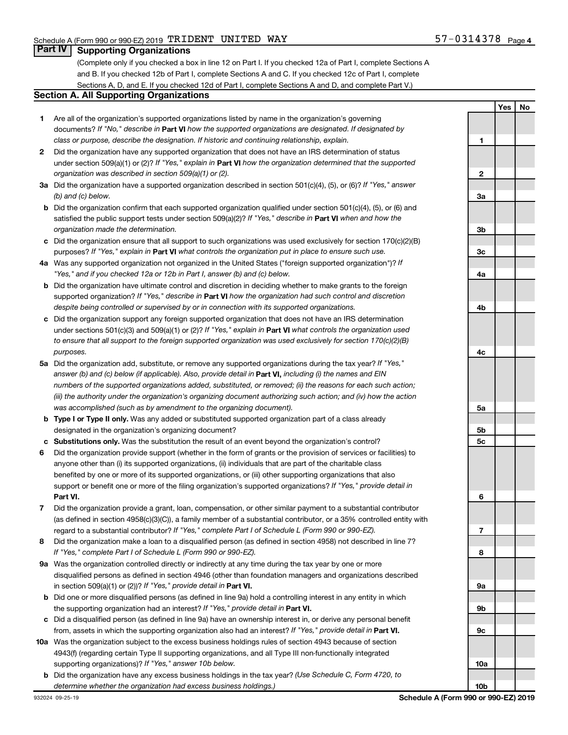### **Part IV Supporting Organizations**

(Complete only if you checked a box in line 12 on Part I. If you checked 12a of Part I, complete Sections A and B. If you checked 12b of Part I, complete Sections A and C. If you checked 12c of Part I, complete Sections A, D, and E. If you checked 12d of Part I, complete Sections A and D, and complete Part V.)

#### **Section A. All Supporting Organizations**

- **1** Are all of the organization's supported organizations listed by name in the organization's governing documents? If "No," describe in Part VI how the supported organizations are designated. If designated by *class or purpose, describe the designation. If historic and continuing relationship, explain.*
- **2** Did the organization have any supported organization that does not have an IRS determination of status under section 509(a)(1) or (2)? If "Yes," explain in Part **VI** how the organization determined that the supported *organization was described in section 509(a)(1) or (2).*
- **3a** Did the organization have a supported organization described in section 501(c)(4), (5), or (6)? If "Yes," answer *(b) and (c) below.*
- **b** Did the organization confirm that each supported organization qualified under section 501(c)(4), (5), or (6) and satisfied the public support tests under section 509(a)(2)? If "Yes," describe in Part VI when and how the *organization made the determination.*
- **c** Did the organization ensure that all support to such organizations was used exclusively for section 170(c)(2)(B) purposes? If "Yes," explain in Part VI what controls the organization put in place to ensure such use.
- **4 a** *If* Was any supported organization not organized in the United States ("foreign supported organization")? *"Yes," and if you checked 12a or 12b in Part I, answer (b) and (c) below.*
- **b** Did the organization have ultimate control and discretion in deciding whether to make grants to the foreign supported organization? If "Yes," describe in Part VI how the organization had such control and discretion *despite being controlled or supervised by or in connection with its supported organizations.*
- **c** Did the organization support any foreign supported organization that does not have an IRS determination under sections 501(c)(3) and 509(a)(1) or (2)? If "Yes," explain in Part VI what controls the organization used *to ensure that all support to the foreign supported organization was used exclusively for section 170(c)(2)(B) purposes.*
- **5a** Did the organization add, substitute, or remove any supported organizations during the tax year? If "Yes," answer (b) and (c) below (if applicable). Also, provide detail in **Part VI,** including (i) the names and EIN *numbers of the supported organizations added, substituted, or removed; (ii) the reasons for each such action; (iii) the authority under the organization's organizing document authorizing such action; and (iv) how the action was accomplished (such as by amendment to the organizing document).*
- **b** Type I or Type II only. Was any added or substituted supported organization part of a class already designated in the organization's organizing document?
- **c Substitutions only.**  Was the substitution the result of an event beyond the organization's control?
- **6** Did the organization provide support (whether in the form of grants or the provision of services or facilities) to **Part VI.** support or benefit one or more of the filing organization's supported organizations? If "Yes," provide detail in anyone other than (i) its supported organizations, (ii) individuals that are part of the charitable class benefited by one or more of its supported organizations, or (iii) other supporting organizations that also
- **7** Did the organization provide a grant, loan, compensation, or other similar payment to a substantial contributor regard to a substantial contributor? If "Yes," complete Part I of Schedule L (Form 990 or 990-EZ). (as defined in section 4958(c)(3)(C)), a family member of a substantial contributor, or a 35% controlled entity with
- **8** Did the organization make a loan to a disqualified person (as defined in section 4958) not described in line 7? *If "Yes," complete Part I of Schedule L (Form 990 or 990-EZ).*
- **9 a** Was the organization controlled directly or indirectly at any time during the tax year by one or more in section 509(a)(1) or (2))? If "Yes," provide detail in **Part VI.** disqualified persons as defined in section 4946 (other than foundation managers and organizations described
- **b** Did one or more disqualified persons (as defined in line 9a) hold a controlling interest in any entity in which the supporting organization had an interest? If "Yes," provide detail in Part VI.
- **c** Did a disqualified person (as defined in line 9a) have an ownership interest in, or derive any personal benefit from, assets in which the supporting organization also had an interest? If "Yes," provide detail in Part VI.
- **10 a** Was the organization subject to the excess business holdings rules of section 4943 because of section supporting organizations)? If "Yes," answer 10b below. 4943(f) (regarding certain Type II supporting organizations, and all Type III non-functionally integrated
- **b** Did the organization have any excess business holdings in the tax year? (Use Schedule C, Form 4720, to *determine whether the organization had excess business holdings.)*

**Yes No 1 2 3a 3b 3c 4a 4b 4c 5a 5b 5c 6 7 8 9a 9b 9c 10a 10b**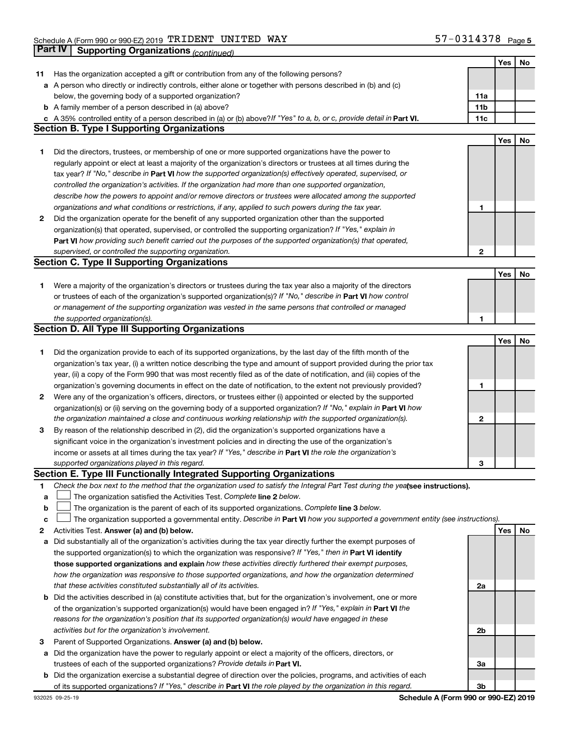|    |                                                                                                                                 |              | Yes | No |
|----|---------------------------------------------------------------------------------------------------------------------------------|--------------|-----|----|
| 11 | Has the organization accepted a gift or contribution from any of the following persons?                                         |              |     |    |
|    | a A person who directly or indirectly controls, either alone or together with persons described in (b) and (c)                  |              |     |    |
|    | below, the governing body of a supported organization?                                                                          | 11a          |     |    |
|    | <b>b</b> A family member of a person described in (a) above?                                                                    | 11b          |     |    |
|    | c A 35% controlled entity of a person described in (a) or (b) above? If "Yes" to a, b, or c, provide detail in Part VI.         | 11c          |     |    |
|    | <b>Section B. Type I Supporting Organizations</b>                                                                               |              |     |    |
|    |                                                                                                                                 |              | Yes | No |
| 1  | Did the directors, trustees, or membership of one or more supported organizations have the power to                             |              |     |    |
|    | regularly appoint or elect at least a majority of the organization's directors or trustees at all times during the              |              |     |    |
|    | tax year? If "No," describe in Part VI how the supported organization(s) effectively operated, supervised, or                   |              |     |    |
|    | controlled the organization's activities. If the organization had more than one supported organization,                         |              |     |    |
|    | describe how the powers to appoint and/or remove directors or trustees were allocated among the supported                       |              |     |    |
|    | organizations and what conditions or restrictions, if any, applied to such powers during the tax year.                          | 1            |     |    |
|    |                                                                                                                                 |              |     |    |
| 2  | Did the organization operate for the benefit of any supported organization other than the supported                             |              |     |    |
|    | organization(s) that operated, supervised, or controlled the supporting organization? If "Yes," explain in                      |              |     |    |
|    | Part VI how providing such benefit carried out the purposes of the supported organization(s) that operated,                     |              |     |    |
|    | supervised, or controlled the supporting organization.                                                                          | $\mathbf{2}$ |     |    |
|    | <b>Section C. Type II Supporting Organizations</b>                                                                              |              |     |    |
|    |                                                                                                                                 |              | Yes | No |
| 1. | Were a majority of the organization's directors or trustees during the tax year also a majority of the directors                |              |     |    |
|    | or trustees of each of the organization's supported organization(s)? If "No," describe in Part VI how control                   |              |     |    |
|    | or management of the supporting organization was vested in the same persons that controlled or managed                          |              |     |    |
|    | the supported organization(s).                                                                                                  | 1            |     |    |
|    | <b>Section D. All Type III Supporting Organizations</b>                                                                         |              |     |    |
|    |                                                                                                                                 |              | Yes | No |
| 1  | Did the organization provide to each of its supported organizations, by the last day of the fifth month of the                  |              |     |    |
|    | organization's tax year, (i) a written notice describing the type and amount of support provided during the prior tax           |              |     |    |
|    | year, (ii) a copy of the Form 990 that was most recently filed as of the date of notification, and (iii) copies of the          |              |     |    |
|    | organization's governing documents in effect on the date of notification, to the extent not previously provided?                | 1            |     |    |
| 2  | Were any of the organization's officers, directors, or trustees either (i) appointed or elected by the supported                |              |     |    |
|    | organization(s) or (ii) serving on the governing body of a supported organization? If "No," explain in Part VI how              |              |     |    |
|    | the organization maintained a close and continuous working relationship with the supported organization(s).                     | 2            |     |    |
| 3  | By reason of the relationship described in (2), did the organization's supported organizations have a                           |              |     |    |
|    | significant voice in the organization's investment policies and in directing the use of the organization's                      |              |     |    |
|    | income or assets at all times during the tax year? If "Yes," describe in Part VI the role the organization's                    |              |     |    |
|    | supported organizations played in this regard.                                                                                  | З            |     |    |
|    | Section E. Type III Functionally Integrated Supporting Organizations                                                            |              |     |    |
| 1. | Check the box next to the method that the organization used to satisfy the Integral Part Test during the yealsee instructions). |              |     |    |
| а  | The organization satisfied the Activities Test. Complete line 2 below.                                                          |              |     |    |
| b  | The organization is the parent of each of its supported organizations. Complete line 3 below.                                   |              |     |    |
| с  | The organization supported a governmental entity. Describe in Part VI how you supported a government entity (see instructions). |              |     |    |
| 2  | Activities Test. Answer (a) and (b) below.                                                                                      |              | Yes | No |
|    | Did substantially all of the organization's activities during the tax year directly further the exempt purposes of              |              |     |    |
| а  | the supported organization(s) to which the organization was responsive? If "Yes," then in Part VI identify                      |              |     |    |
|    | those supported organizations and explain how these activities directly furthered their exempt purposes,                        |              |     |    |
|    |                                                                                                                                 |              |     |    |
|    | how the organization was responsive to those supported organizations, and how the organization determined                       |              |     |    |
|    | that these activities constituted substantially all of its activities.                                                          | 2a           |     |    |
| b  | Did the activities described in (a) constitute activities that, but for the organization's involvement, one or more             |              |     |    |
|    | of the organization's supported organization(s) would have been engaged in? If "Yes," explain in Part VI the                    |              |     |    |
|    | reasons for the organization's position that its supported organization(s) would have engaged in these                          |              |     |    |
|    | activities but for the organization's involvement.                                                                              | 2b           |     |    |
| з  | Parent of Supported Organizations. Answer (a) and (b) below.                                                                    |              |     |    |
| а  | Did the organization have the power to regularly appoint or elect a majority of the officers, directors, or                     |              |     |    |
|    | trustees of each of the supported organizations? Provide details in Part VI.                                                    | За           |     |    |
| b  | Did the organization exercise a substantial degree of direction over the policies, programs, and activities of each             |              |     |    |
|    | of its supported organizations? If "Yes," describe in Part VI the role played by the organization in this regard.               | 3b           |     |    |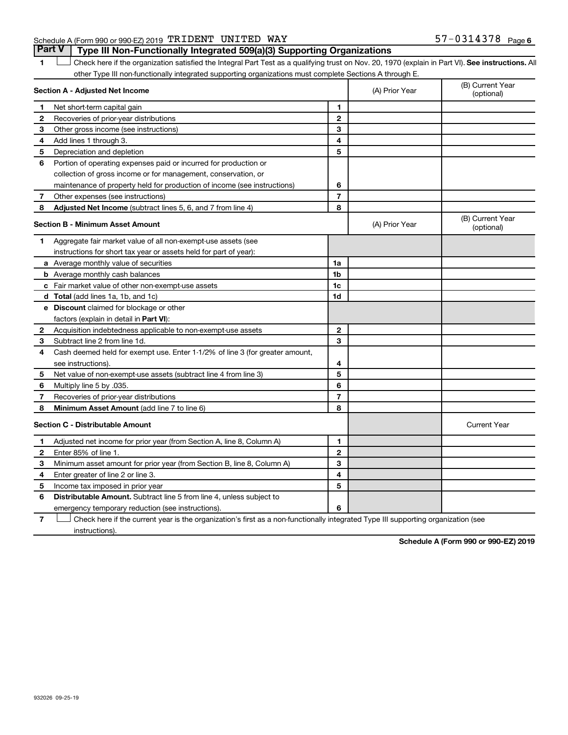#### Schedule A (Form 990 or 990-EZ) 2019 Page TRIDENT UNITED WAY 57-0314378

1 **Letter See instructions.** All Check here if the organization satisfied the Integral Part Test as a qualifying trust on Nov. 20, 1970 (explain in Part VI). See instructions. All other Type III non-functionally integrated supporting organizations must complete Sections A through E. **Part V Type III Non-Functionally Integrated 509(a)(3) Supporting Organizations** 

|              | Section A - Adjusted Net Income                                              |                | (A) Prior Year | (B) Current Year<br>(optional) |
|--------------|------------------------------------------------------------------------------|----------------|----------------|--------------------------------|
| 1            | Net short-term capital gain                                                  | 1              |                |                                |
| $\mathbf{2}$ | Recoveries of prior-year distributions                                       | $\mathbf{2}$   |                |                                |
| З            | Other gross income (see instructions)                                        | 3              |                |                                |
| 4            | Add lines 1 through 3.                                                       | 4              |                |                                |
| 5            | Depreciation and depletion                                                   | 5              |                |                                |
| 6            | Portion of operating expenses paid or incurred for production or             |                |                |                                |
|              | collection of gross income or for management, conservation, or               |                |                |                                |
|              | maintenance of property held for production of income (see instructions)     | 6              |                |                                |
| 7            | Other expenses (see instructions)                                            | $\overline{7}$ |                |                                |
| 8            | Adjusted Net Income (subtract lines 5, 6, and 7 from line 4)                 | 8              |                |                                |
|              | <b>Section B - Minimum Asset Amount</b>                                      |                | (A) Prior Year | (B) Current Year<br>(optional) |
| 1.           | Aggregate fair market value of all non-exempt-use assets (see                |                |                |                                |
|              | instructions for short tax year or assets held for part of year):            |                |                |                                |
|              | a Average monthly value of securities                                        | 1a             |                |                                |
|              | <b>b</b> Average monthly cash balances                                       | 1b             |                |                                |
|              | c Fair market value of other non-exempt-use assets                           | 1c             |                |                                |
|              | d Total (add lines 1a, 1b, and 1c)                                           | 1d             |                |                                |
|              | e Discount claimed for blockage or other                                     |                |                |                                |
|              | factors (explain in detail in Part VI):                                      |                |                |                                |
| 2            | Acquisition indebtedness applicable to non-exempt-use assets                 | $\mathbf{2}$   |                |                                |
| 3            | Subtract line 2 from line 1d.                                                | 3              |                |                                |
| 4            | Cash deemed held for exempt use. Enter 1-1/2% of line 3 (for greater amount, |                |                |                                |
|              | see instructions).                                                           | 4              |                |                                |
| 5            | Net value of non-exempt-use assets (subtract line 4 from line 3)             | 5              |                |                                |
| 6            | Multiply line 5 by .035.                                                     | 6              |                |                                |
| 7            | Recoveries of prior-year distributions                                       | $\overline{7}$ |                |                                |
| 8            | <b>Minimum Asset Amount (add line 7 to line 6)</b>                           | 8              |                |                                |
|              | <b>Section C - Distributable Amount</b>                                      |                |                | <b>Current Year</b>            |
| 1            | Adjusted net income for prior year (from Section A, line 8, Column A)        | 1              |                |                                |
| $\mathbf{2}$ | Enter 85% of line 1.                                                         | $\mathbf{2}$   |                |                                |
| З            | Minimum asset amount for prior year (from Section B, line 8, Column A)       | 3              |                |                                |
| 4            | Enter greater of line 2 or line 3.                                           | 4              |                |                                |
| 5            | Income tax imposed in prior year                                             | 5              |                |                                |
| 6            | <b>Distributable Amount.</b> Subtract line 5 from line 4, unless subject to  |                |                |                                |
|              | emergency temporary reduction (see instructions).                            | 6              |                |                                |

**7** Let Check here if the current year is the organization's first as a non-functionally integrated Type III supporting organization (see instructions).

**Schedule A (Form 990 or 990-EZ) 2019**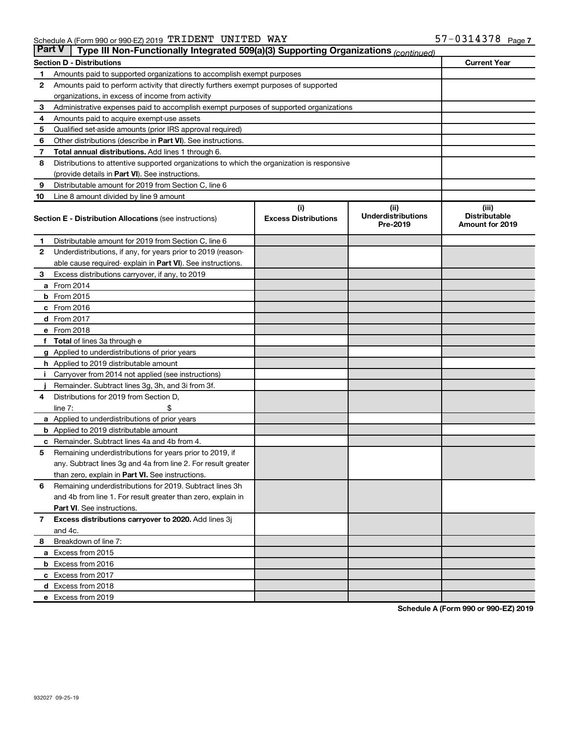| <b>Part V</b> | Type III Non-Functionally Integrated 509(a)(3) Supporting Organizations (continued)        |                             |                                       |                                                |
|---------------|--------------------------------------------------------------------------------------------|-----------------------------|---------------------------------------|------------------------------------------------|
|               | <b>Section D - Distributions</b>                                                           |                             |                                       | <b>Current Year</b>                            |
| 1             | Amounts paid to supported organizations to accomplish exempt purposes                      |                             |                                       |                                                |
| $\mathbf{2}$  | Amounts paid to perform activity that directly furthers exempt purposes of supported       |                             |                                       |                                                |
|               | organizations, in excess of income from activity                                           |                             |                                       |                                                |
| 3             | Administrative expenses paid to accomplish exempt purposes of supported organizations      |                             |                                       |                                                |
| 4             | Amounts paid to acquire exempt-use assets                                                  |                             |                                       |                                                |
| 5             | Qualified set-aside amounts (prior IRS approval required)                                  |                             |                                       |                                                |
| 6             | Other distributions (describe in <b>Part VI</b> ). See instructions.                       |                             |                                       |                                                |
| 7             | Total annual distributions. Add lines 1 through 6.                                         |                             |                                       |                                                |
| 8             | Distributions to attentive supported organizations to which the organization is responsive |                             |                                       |                                                |
|               | (provide details in Part VI). See instructions.                                            |                             |                                       |                                                |
| 9             | Distributable amount for 2019 from Section C, line 6                                       |                             |                                       |                                                |
| 10            | Line 8 amount divided by line 9 amount                                                     |                             |                                       |                                                |
|               |                                                                                            | (i)                         | (ii)                                  | (iii)                                          |
|               | <b>Section E - Distribution Allocations (see instructions)</b>                             | <b>Excess Distributions</b> | <b>Underdistributions</b><br>Pre-2019 | <b>Distributable</b><br><b>Amount for 2019</b> |
| 1             | Distributable amount for 2019 from Section C, line 6                                       |                             |                                       |                                                |
| $\mathbf{2}$  | Underdistributions, if any, for years prior to 2019 (reason-                               |                             |                                       |                                                |
|               | able cause required-explain in Part VI). See instructions.                                 |                             |                                       |                                                |
| 3             | Excess distributions carryover, if any, to 2019                                            |                             |                                       |                                                |
|               | a From 2014                                                                                |                             |                                       |                                                |
|               | <b>b</b> From 2015                                                                         |                             |                                       |                                                |
|               | c From 2016                                                                                |                             |                                       |                                                |
|               | d From 2017                                                                                |                             |                                       |                                                |
|               | e From 2018                                                                                |                             |                                       |                                                |
|               | f Total of lines 3a through e                                                              |                             |                                       |                                                |
|               | <b>g</b> Applied to underdistributions of prior years                                      |                             |                                       |                                                |
|               | h Applied to 2019 distributable amount                                                     |                             |                                       |                                                |
| Ť.            | Carryover from 2014 not applied (see instructions)                                         |                             |                                       |                                                |
|               | Remainder. Subtract lines 3g, 3h, and 3i from 3f.                                          |                             |                                       |                                                |
| 4             | Distributions for 2019 from Section D,                                                     |                             |                                       |                                                |
|               | line $7:$                                                                                  |                             |                                       |                                                |
|               | a Applied to underdistributions of prior years                                             |                             |                                       |                                                |
|               | <b>b</b> Applied to 2019 distributable amount                                              |                             |                                       |                                                |
| с             | Remainder. Subtract lines 4a and 4b from 4.                                                |                             |                                       |                                                |
| 5             | Remaining underdistributions for years prior to 2019, if                                   |                             |                                       |                                                |
|               | any. Subtract lines 3g and 4a from line 2. For result greater                              |                             |                                       |                                                |
|               | than zero, explain in Part VI. See instructions.                                           |                             |                                       |                                                |
| 6             | Remaining underdistributions for 2019. Subtract lines 3h                                   |                             |                                       |                                                |
|               | and 4b from line 1. For result greater than zero, explain in                               |                             |                                       |                                                |
|               | <b>Part VI.</b> See instructions.                                                          |                             |                                       |                                                |
| $\mathbf{7}$  | Excess distributions carryover to 2020. Add lines 3j                                       |                             |                                       |                                                |
|               | and 4c.                                                                                    |                             |                                       |                                                |
| 8             | Breakdown of line 7:                                                                       |                             |                                       |                                                |
|               | a Excess from 2015                                                                         |                             |                                       |                                                |
|               | <b>b</b> Excess from 2016                                                                  |                             |                                       |                                                |
|               | c Excess from 2017                                                                         |                             |                                       |                                                |
|               | d Excess from 2018                                                                         |                             |                                       |                                                |
|               | e Excess from 2019                                                                         |                             |                                       |                                                |

**Schedule A (Form 990 or 990-EZ) 2019**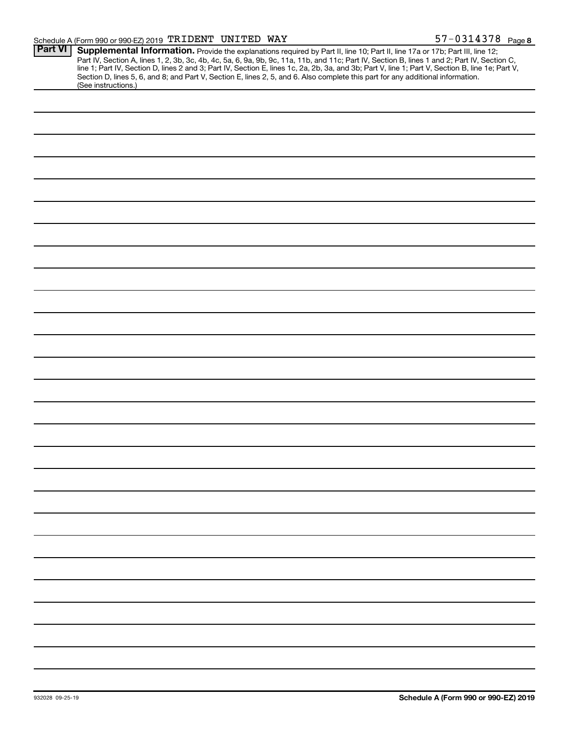| <b>Part VI</b> | Supplemental Information. Provide the explanations required by Part II, line 10; Part II, line 17a or 17b; Part III, line 12;                    |
|----------------|--------------------------------------------------------------------------------------------------------------------------------------------------|
|                | Part IV, Section A, lines 1, 2, 3b, 3c, 4b, 4c, 5a, 6, 9a, 9b, 9c, 11a, 11b, and 11c; Part IV, Section B, lines 1 and 2; Part IV, Section C,     |
|                | line 1; Part IV, Section D, lines 2 and 3; Part IV, Section E, lines 1c, 2a, 2b, 3a, and 3b; Part V, line 1; Part V, Section B, line 1e; Part V, |
|                | Section D, lines 5, 6, and 8; and Part V, Section E, lines 2, 5, and 6. Also complete this part for any additional information.                  |
|                | (See instructions.)                                                                                                                              |
|                |                                                                                                                                                  |
|                |                                                                                                                                                  |
|                |                                                                                                                                                  |
|                |                                                                                                                                                  |
|                |                                                                                                                                                  |
|                |                                                                                                                                                  |
|                |                                                                                                                                                  |
|                |                                                                                                                                                  |
|                |                                                                                                                                                  |
|                |                                                                                                                                                  |
|                |                                                                                                                                                  |
|                |                                                                                                                                                  |
|                |                                                                                                                                                  |
|                |                                                                                                                                                  |
|                |                                                                                                                                                  |
|                |                                                                                                                                                  |
|                |                                                                                                                                                  |
|                |                                                                                                                                                  |
|                |                                                                                                                                                  |
|                |                                                                                                                                                  |
|                |                                                                                                                                                  |
|                |                                                                                                                                                  |
|                |                                                                                                                                                  |
|                |                                                                                                                                                  |
|                |                                                                                                                                                  |
|                |                                                                                                                                                  |
|                |                                                                                                                                                  |
|                |                                                                                                                                                  |
|                |                                                                                                                                                  |
|                |                                                                                                                                                  |
|                |                                                                                                                                                  |
|                |                                                                                                                                                  |
|                |                                                                                                                                                  |
|                |                                                                                                                                                  |
|                |                                                                                                                                                  |
|                |                                                                                                                                                  |
|                |                                                                                                                                                  |
|                |                                                                                                                                                  |
|                |                                                                                                                                                  |
|                |                                                                                                                                                  |
|                |                                                                                                                                                  |
|                |                                                                                                                                                  |
|                |                                                                                                                                                  |
|                |                                                                                                                                                  |
|                |                                                                                                                                                  |
|                |                                                                                                                                                  |
|                |                                                                                                                                                  |
|                |                                                                                                                                                  |
|                |                                                                                                                                                  |
|                |                                                                                                                                                  |
|                |                                                                                                                                                  |
|                |                                                                                                                                                  |
|                |                                                                                                                                                  |
|                |                                                                                                                                                  |
|                |                                                                                                                                                  |
|                |                                                                                                                                                  |
|                |                                                                                                                                                  |
|                |                                                                                                                                                  |
|                |                                                                                                                                                  |
|                |                                                                                                                                                  |
|                |                                                                                                                                                  |
|                |                                                                                                                                                  |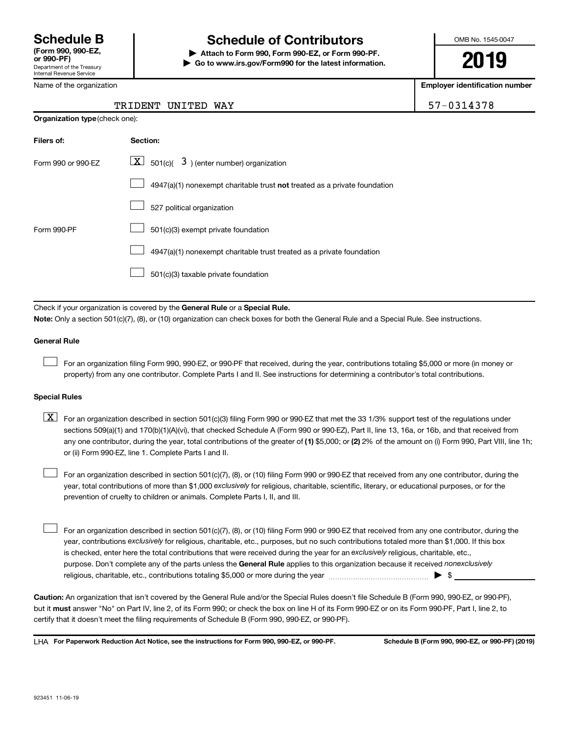Department of the Treasury Internal Revenue Service

# **Schedule B Schedule of Contributors**

**or 990-PF) | Attach to Form 990, Form 990-EZ, or Form 990-PF. | Go to www.irs.gov/Form990 for the latest information.** OMB No. 1545-0047

**2019**

**Employer identification number**

|  | Name of the organization |
|--|--------------------------|
|  |                          |

**Organization type** (check one):

#### TRIDENT UNITED WAY 57-0314378

| Filers of:         | Section:                                                                  |
|--------------------|---------------------------------------------------------------------------|
| Form 990 or 990-FZ | $\boxed{\textbf{X}}$ 501(c)( 3) (enter number) organization               |
|                    | 4947(a)(1) nonexempt charitable trust not treated as a private foundation |
|                    | 527 political organization                                                |
| Form 990-PF        | 501(c)(3) exempt private foundation                                       |
|                    | 4947(a)(1) nonexempt charitable trust treated as a private foundation     |
|                    | 501(c)(3) taxable private foundation                                      |

Check if your organization is covered by the General Rule or a Special Rule. **Note:**  Only a section 501(c)(7), (8), or (10) organization can check boxes for both the General Rule and a Special Rule. See instructions.

### **General Rule**

For an organization filing Form 990, 990-EZ, or 990-PF that received, during the year, contributions totaling \$5,000 or more (in money or property) from any one contributor. Complete Parts I and II. See instructions for determining a contributor's total contributions.

#### **Special Rules**

 $\Box$ 

any one contributor, during the year, total contributions of the greater of (1) \$5,000; or (2) 2% of the amount on (i) Form 990, Part VIII, line 1h;  $\boxed{\text{X}}$  For an organization described in section 501(c)(3) filing Form 990 or 990-EZ that met the 33 1/3% support test of the regulations under sections 509(a)(1) and 170(b)(1)(A)(vi), that checked Schedule A (Form 990 or 990-EZ), Part II, line 13, 16a, or 16b, and that received from or (ii) Form 990-EZ, line 1. Complete Parts I and II.

year, total contributions of more than \$1,000 *exclusively* for religious, charitable, scientific, literary, or educational purposes, or for the For an organization described in section 501(c)(7), (8), or (10) filing Form 990 or 990-EZ that received from any one contributor, during the prevention of cruelty to children or animals. Complete Parts I, II, and III.  $\Box$ 

purpose. Don't complete any of the parts unless the General Rule applies to this organization because it received nonexclusively year, contributions exclusively for religious, charitable, etc., purposes, but no such contributions totaled more than \$1,000. If this box is checked, enter here the total contributions that were received during the year for an exclusively religious, charitable, etc., For an organization described in section 501(c)(7), (8), or (10) filing Form 990 or 990-EZ that received from any one contributor, during the religious, charitable, etc., contributions totaling \$5,000 or more during the year  $~\ldots\ldots\ldots\ldots\ldots\ldots\ldots\ldots\blacktriangleright~$ \$  $\Box$ 

**Caution:**  An organization that isn't covered by the General Rule and/or the Special Rules doesn't file Schedule B (Form 990, 990-EZ, or 990-PF),  **must** but it answer "No" on Part IV, line 2, of its Form 990; or check the box on line H of its Form 990-EZ or on its Form 990-PF, Part I, line 2, to certify that it doesn't meet the filing requirements of Schedule B (Form 990, 990-EZ, or 990-PF).

**For Paperwork Reduction Act Notice, see the instructions for Form 990, 990-EZ, or 990-PF. Schedule B (Form 990, 990-EZ, or 990-PF) (2019)** LHA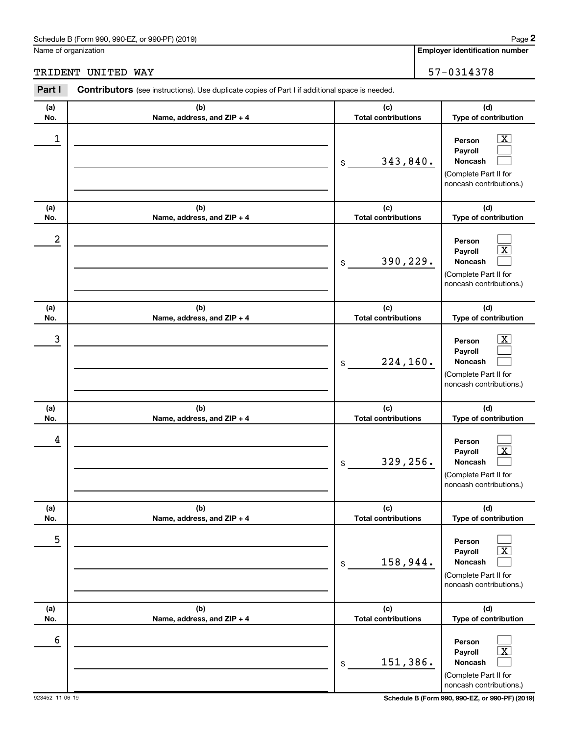#### Schedule B (Form 990, 990-EZ, or 990-PF) (2019)

Name of organization

**Employer identification number**

TRIDENT UNITED WAY 57-0314378

#### **(a) No. (b) Name, address, and ZIP + 4 (c) Total contributions (d) Type of contribution Person Payroll Noncash (a) No. (b) Name, address, and ZIP + 4 (c) Total contributions (d) Type of contribution Person Payroll Noncash (a) No. (b) Name, address, and ZIP + 4 (c) Total contributions (d) Type of contribution Person Payroll Noncash (a) No. (b) Name, address, and ZIP + 4 (c) Total contributions (d) Type of contribution Person Payroll Noncash (a) No. (b) Name, address, and ZIP + 4 (c) Total contributions (d) Type of contribution Person Payroll Noncash (a) No. (b) Name, address, and ZIP + 4 (c) Total contributions (d) Type of contribution Person Payroll Noncash Part I** Contributors (see instructions). Use duplicate copies of Part I if additional space is needed. \$ (Complete Part II for noncash contributions.) \$ (Complete Part II for noncash contributions.) \$ (Complete Part II for noncash contributions.) \$ (Complete Part II for noncash contributions.) \$ (Complete Part II for noncash contributions.) \$ (Complete Part II for noncash contributions.)  $\boxed{\textbf{X}}$  $\Box$  $\Box$  $\Box$  $\boxed{\text{X}}$  $\Box$  $\boxed{\textbf{X}}$  $\Box$  $\Box$  $\Box$  $\boxed{\text{X}}$  $\Box$  $\Box$  $\boxed{\text{X}}$  $\Box$  $\Box$  $\boxed{\text{X}}$  $\Box$  $\begin{array}{|c|c|c|c|c|}\hline \ \text{1} & \text{Person} & \text{X} \ \hline \end{array}$ 343,840. 2 390,229.  $\begin{array}{|c|c|c|c|c|c|}\hline \text{3} & \text{Person} & \text{X} \ \hline \end{array}$ 224,160. 4 329,256. 5 158,944. 6 151,386.

923452 11-06-19 **Schedule B (Form 990, 990-EZ, or 990-PF) (2019)**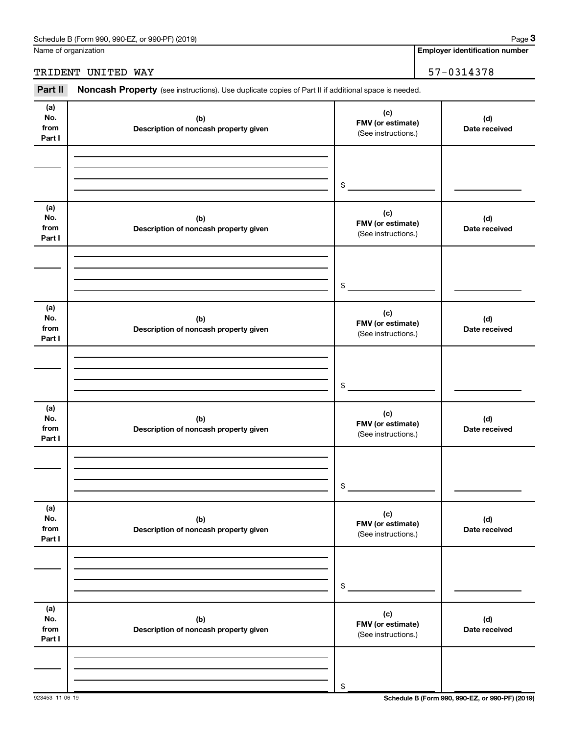| Schedule B (Form 990, 990-EZ, or 990-PF) (2019) | Paɑe |
|-------------------------------------------------|------|
|-------------------------------------------------|------|

Name of organization

**Employer identification number**

### TRIDENT UNITED WAY 57-0314378

Part II Noncash Property (see instructions). Use duplicate copies of Part II if additional space is needed.

| (a)<br>No.<br>from<br>Part I | (b)<br>Description of noncash property given | (c)<br>FMV (or estimate)<br>(See instructions.) | (d)<br>Date received |
|------------------------------|----------------------------------------------|-------------------------------------------------|----------------------|
|                              |                                              |                                                 |                      |
|                              |                                              | \$                                              |                      |
| (a)<br>No.<br>from<br>Part I | (b)<br>Description of noncash property given | (c)<br>FMV (or estimate)<br>(See instructions.) | (d)<br>Date received |
|                              |                                              |                                                 |                      |
|                              |                                              | \$                                              |                      |
| (a)<br>No.<br>from<br>Part I | (b)<br>Description of noncash property given | (c)<br>FMV (or estimate)<br>(See instructions.) | (d)<br>Date received |
|                              |                                              |                                                 |                      |
|                              |                                              | \$                                              |                      |
| (a)<br>No.<br>from<br>Part I | (b)<br>Description of noncash property given | (c)<br>FMV (or estimate)<br>(See instructions.) | (d)<br>Date received |
|                              |                                              |                                                 |                      |
|                              |                                              | \$                                              |                      |
| (a)<br>No.<br>from<br>Part I | (b)<br>Description of noncash property given | (c)<br>FMV (or estimate)<br>(See instructions.) | (d)<br>Date received |
|                              |                                              |                                                 |                      |
|                              |                                              | \$                                              |                      |
| (a)<br>No.<br>from<br>Part I | (b)<br>Description of noncash property given | (c)<br>FMV (or estimate)<br>(See instructions.) | (d)<br>Date received |
|                              |                                              |                                                 |                      |
|                              |                                              | $\$$                                            |                      |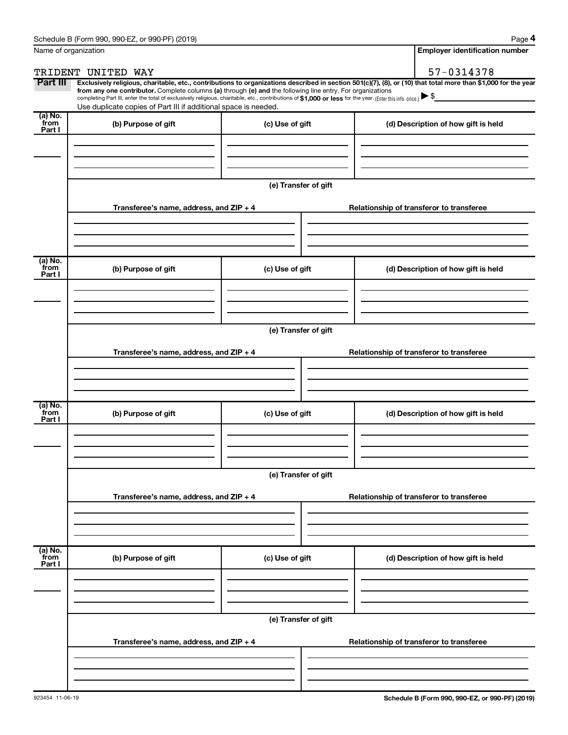| Name of organization      |                                                                                                                                                                                                                                                                                                                                                |                      | <b>Employer identification number</b>                                                                                                                          |  |
|---------------------------|------------------------------------------------------------------------------------------------------------------------------------------------------------------------------------------------------------------------------------------------------------------------------------------------------------------------------------------------|----------------------|----------------------------------------------------------------------------------------------------------------------------------------------------------------|--|
|                           | TRIDENT UNITED WAY                                                                                                                                                                                                                                                                                                                             |                      | 57-0314378                                                                                                                                                     |  |
| Part III                  | from any one contributor. Complete columns (a) through (e) and the following line entry. For organizations<br>completing Part III, enter the total of exclusively religious, charitable, etc., contributions of \$1,000 or less for the year. (Enter this info. once.) ▶ \$<br>Use duplicate copies of Part III if additional space is needed. |                      | Exclusively religious, charitable, etc., contributions to organizations described in section 501(c)(7), (8), or (10) that total more than \$1,000 for the year |  |
| (a) No.<br>from           | (b) Purpose of gift                                                                                                                                                                                                                                                                                                                            | (c) Use of gift      | (d) Description of how gift is held                                                                                                                            |  |
| Part I                    |                                                                                                                                                                                                                                                                                                                                                |                      |                                                                                                                                                                |  |
|                           |                                                                                                                                                                                                                                                                                                                                                | (e) Transfer of gift |                                                                                                                                                                |  |
|                           | Transferee's name, address, and $ZIP + 4$                                                                                                                                                                                                                                                                                                      |                      | Relationship of transferor to transferee                                                                                                                       |  |
| (a) No.<br>from           | (b) Purpose of gift                                                                                                                                                                                                                                                                                                                            | (c) Use of gift      | (d) Description of how gift is held                                                                                                                            |  |
| Part I                    |                                                                                                                                                                                                                                                                                                                                                |                      |                                                                                                                                                                |  |
|                           |                                                                                                                                                                                                                                                                                                                                                | (e) Transfer of gift |                                                                                                                                                                |  |
|                           | Transferee's name, address, and $ZIP + 4$                                                                                                                                                                                                                                                                                                      |                      | Relationship of transferor to transferee                                                                                                                       |  |
| $(a)$ No.                 |                                                                                                                                                                                                                                                                                                                                                |                      |                                                                                                                                                                |  |
| from<br>Part I            | (b) Purpose of gift                                                                                                                                                                                                                                                                                                                            | (c) Use of gift      | (d) Description of how gift is held                                                                                                                            |  |
|                           |                                                                                                                                                                                                                                                                                                                                                |                      |                                                                                                                                                                |  |
|                           | Transferee's name, address, and ZIP + 4                                                                                                                                                                                                                                                                                                        | (e) Transfer of gift | Relationship of transferor to transferee                                                                                                                       |  |
|                           |                                                                                                                                                                                                                                                                                                                                                |                      |                                                                                                                                                                |  |
| (a) No.<br>from<br>Part I | (b) Purpose of gift                                                                                                                                                                                                                                                                                                                            | (c) Use of gift      | (d) Description of how gift is held                                                                                                                            |  |
|                           |                                                                                                                                                                                                                                                                                                                                                |                      |                                                                                                                                                                |  |
|                           |                                                                                                                                                                                                                                                                                                                                                | (e) Transfer of gift |                                                                                                                                                                |  |
|                           | Transferee's name, address, and $ZIP + 4$                                                                                                                                                                                                                                                                                                      |                      | Relationship of transferor to transferee                                                                                                                       |  |
|                           |                                                                                                                                                                                                                                                                                                                                                |                      |                                                                                                                                                                |  |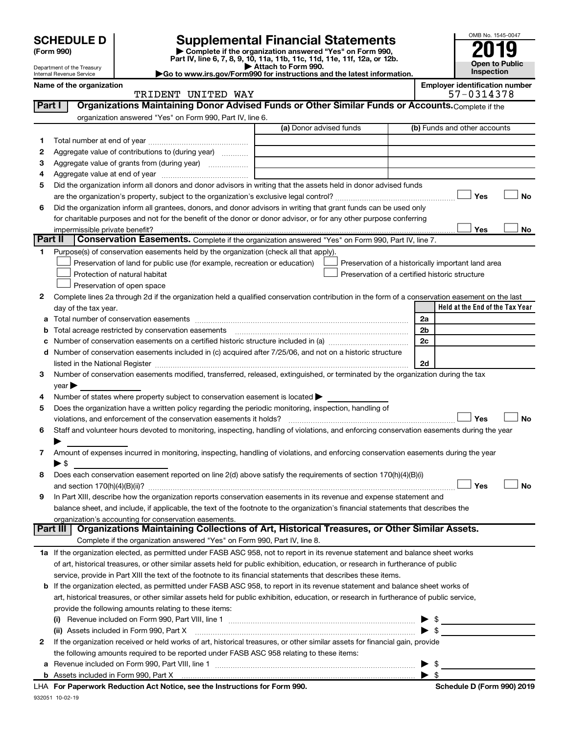| (Form 990) |  |
|------------|--|
|------------|--|

# **SCHEDULE D Supplemental Financial Statements**<br> **Form 990 2019**<br> **Part IV** line 6.7.8.9.10, 11a, 11b, 11d, 11d, 11d, 11d, 11d, 12a, 0r, 12b

**(Form 990) | Complete if the organization answered "Yes" on Form 990, Part IV, line 6, 7, 8, 9, 10, 11a, 11b, 11c, 11d, 11e, 11f, 12a, or 12b.**

**| Attach to Form 990. |Go to www.irs.gov/Form990 for instructions and the latest information.**



Department of the Treasury Internal Revenue Service **Name of the organization <b>EMPLOYER IDENTIFICATION Employer is a set of the organization Employer in the set of the organization EMPLOYER IDENTIFICATION** 

|  |  |             | oloyer identification number |  |
|--|--|-------------|------------------------------|--|
|  |  | FF 834 1358 |                              |  |

|         | TRIDENT UNITED WAY                                                                                                                                                                                                            | 57-0314378                                         |
|---------|-------------------------------------------------------------------------------------------------------------------------------------------------------------------------------------------------------------------------------|----------------------------------------------------|
| Part I  | Organizations Maintaining Donor Advised Funds or Other Similar Funds or Accounts. Complete if the                                                                                                                             |                                                    |
|         | organization answered "Yes" on Form 990, Part IV, line 6.                                                                                                                                                                     |                                                    |
|         | (a) Donor advised funds                                                                                                                                                                                                       | (b) Funds and other accounts                       |
| 1       |                                                                                                                                                                                                                               |                                                    |
| 2       | Aggregate value of contributions to (during year)                                                                                                                                                                             |                                                    |
| з       | Aggregate value of grants from (during year)                                                                                                                                                                                  |                                                    |
| 4       |                                                                                                                                                                                                                               |                                                    |
| 5       | Did the organization inform all donors and donor advisors in writing that the assets held in donor advised funds                                                                                                              |                                                    |
|         |                                                                                                                                                                                                                               | Yes<br>No                                          |
| 6       | Did the organization inform all grantees, donors, and donor advisors in writing that grant funds can be used only                                                                                                             |                                                    |
|         | for charitable purposes and not for the benefit of the donor or donor advisor, or for any other purpose conferring                                                                                                            |                                                    |
|         | impermissible private benefit?                                                                                                                                                                                                | Yes<br>No                                          |
| Part II | Conservation Easements. Complete if the organization answered "Yes" on Form 990, Part IV, line 7.                                                                                                                             |                                                    |
| 1       | Purpose(s) of conservation easements held by the organization (check all that apply).                                                                                                                                         |                                                    |
|         | Preservation of land for public use (for example, recreation or education)                                                                                                                                                    | Preservation of a historically important land area |
|         | Protection of natural habitat                                                                                                                                                                                                 | Preservation of a certified historic structure     |
|         | Preservation of open space                                                                                                                                                                                                    |                                                    |
| 2       | Complete lines 2a through 2d if the organization held a qualified conservation contribution in the form of a conservation easement on the last                                                                                |                                                    |
|         | day of the tax year.                                                                                                                                                                                                          | Held at the End of the Tax Year                    |
| а       |                                                                                                                                                                                                                               | 2a                                                 |
|         | Total acreage restricted by conservation easements                                                                                                                                                                            | 2 <sub>b</sub>                                     |
|         |                                                                                                                                                                                                                               | 2c                                                 |
| d       | Number of conservation easements included in (c) acquired after 7/25/06, and not on a historic structure                                                                                                                      |                                                    |
|         | listed in the National Register [111] increases and the National Property of the National Register [11] increases and the National Register [11] increases and the National Register [11] increases and the National Register | 2d                                                 |
| 3       | Number of conservation easements modified, transferred, released, extinguished, or terminated by the organization during the tax                                                                                              |                                                    |
|         | year                                                                                                                                                                                                                          |                                                    |
| 4       | Number of states where property subject to conservation easement is located >                                                                                                                                                 |                                                    |
| 5       | Does the organization have a written policy regarding the periodic monitoring, inspection, handling of                                                                                                                        |                                                    |
|         | violations, and enforcement of the conservation easements it holds?                                                                                                                                                           | Yes<br><b>No</b>                                   |
| 6       | Staff and volunteer hours devoted to monitoring, inspecting, handling of violations, and enforcing conservation easements during the year                                                                                     |                                                    |
|         |                                                                                                                                                                                                                               |                                                    |
| 7       | Amount of expenses incurred in monitoring, inspecting, handling of violations, and enforcing conservation easements during the year                                                                                           |                                                    |
|         | ► \$                                                                                                                                                                                                                          |                                                    |
| 8       | Does each conservation easement reported on line 2(d) above satisfy the requirements of section 170(h)(4)(B)(i)                                                                                                               |                                                    |
|         |                                                                                                                                                                                                                               | Yes<br>No                                          |
| 9       | In Part XIII, describe how the organization reports conservation easements in its revenue and expense statement and                                                                                                           |                                                    |
|         | balance sheet, and include, if applicable, the text of the footnote to the organization's financial statements that describes the                                                                                             |                                                    |
|         | organization's accounting for conservation easements.                                                                                                                                                                         |                                                    |
|         | Organizations Maintaining Collections of Art, Historical Treasures, or Other Similar Assets.<br>Part III                                                                                                                      |                                                    |
|         | Complete if the organization answered "Yes" on Form 990, Part IV, line 8.                                                                                                                                                     |                                                    |
|         | 1a If the organization elected, as permitted under FASB ASC 958, not to report in its revenue statement and balance sheet works                                                                                               |                                                    |
|         | of art, historical treasures, or other similar assets held for public exhibition, education, or research in furtherance of public                                                                                             |                                                    |
|         | service, provide in Part XIII the text of the footnote to its financial statements that describes these items.                                                                                                                |                                                    |
|         | b If the organization elected, as permitted under FASB ASC 958, to report in its revenue statement and balance sheet works of                                                                                                 |                                                    |
|         | art, historical treasures, or other similar assets held for public exhibition, education, or research in furtherance of public service,                                                                                       |                                                    |
|         | provide the following amounts relating to these items:                                                                                                                                                                        |                                                    |
|         | (i)                                                                                                                                                                                                                           |                                                    |
|         | (ii) Assets included in Form 990, Part X                                                                                                                                                                                      | $\frac{1}{2}$<br>$\blacktriangleright$ \$          |
| 2       | If the organization received or held works of art, historical treasures, or other similar assets for financial gain, provide                                                                                                  |                                                    |
|         | the following amounts required to be reported under FASB ASC 958 relating to these items:                                                                                                                                     |                                                    |
|         |                                                                                                                                                                                                                               | \$                                                 |
|         |                                                                                                                                                                                                                               |                                                    |

932051 10-02-19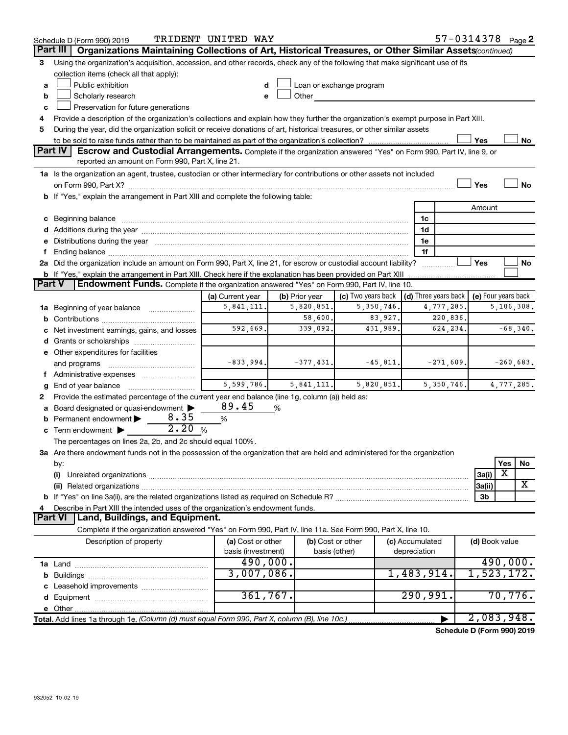|               | Schedule D (Form 990) 2019                                                                                                                                                                                                     | TRIDENT UNITED WAY |                |                          |                                      | 57-0314378 Page 2          |              |             |
|---------------|--------------------------------------------------------------------------------------------------------------------------------------------------------------------------------------------------------------------------------|--------------------|----------------|--------------------------|--------------------------------------|----------------------------|--------------|-------------|
|               | Part III<br>Organizations Maintaining Collections of Art, Historical Treasures, or Other Similar Assets(continued)                                                                                                             |                    |                |                          |                                      |                            |              |             |
| 3             | Using the organization's acquisition, accession, and other records, check any of the following that make significant use of its                                                                                                |                    |                |                          |                                      |                            |              |             |
|               | collection items (check all that apply):                                                                                                                                                                                       |                    |                |                          |                                      |                            |              |             |
| а             | Public exhibition                                                                                                                                                                                                              |                    |                | Loan or exchange program |                                      |                            |              |             |
| b             | Scholarly research                                                                                                                                                                                                             |                    | Other          |                          |                                      |                            |              |             |
| c             | Preservation for future generations                                                                                                                                                                                            |                    |                |                          |                                      |                            |              |             |
| 4             | Provide a description of the organization's collections and explain how they further the organization's exempt purpose in Part XIII.                                                                                           |                    |                |                          |                                      |                            |              |             |
| 5             | During the year, did the organization solicit or receive donations of art, historical treasures, or other similar assets                                                                                                       |                    |                |                          |                                      |                            |              |             |
|               |                                                                                                                                                                                                                                |                    |                |                          |                                      | Yes                        |              | No          |
|               | <b>Part IV</b><br>Escrow and Custodial Arrangements. Complete if the organization answered "Yes" on Form 990, Part IV, line 9, or<br>reported an amount on Form 990, Part X, line 21.                                          |                    |                |                          |                                      |                            |              |             |
|               | 1a Is the organization an agent, trustee, custodian or other intermediary for contributions or other assets not included                                                                                                       |                    |                |                          |                                      |                            |              |             |
|               |                                                                                                                                                                                                                                |                    |                |                          |                                      | Yes                        |              | No          |
|               | <b>b</b> If "Yes," explain the arrangement in Part XIII and complete the following table:                                                                                                                                      |                    |                |                          |                                      |                            |              |             |
|               |                                                                                                                                                                                                                                |                    |                |                          |                                      | Amount                     |              |             |
| с             | Beginning balance measurements and the contract measurement of the contract measurement of the contract measurement                                                                                                            |                    |                |                          | 1c                                   |                            |              |             |
|               |                                                                                                                                                                                                                                |                    |                |                          | 1d                                   |                            |              |             |
|               | e Distributions during the year manufactured and continuum and contact the year manufactured and contact the year manufactured and contact the year manufactured and contact the year manufactured and contact the year manufa |                    |                |                          | 1e                                   |                            |              |             |
|               |                                                                                                                                                                                                                                |                    |                |                          | 1f                                   |                            |              |             |
|               | 2a Did the organization include an amount on Form 990, Part X, line 21, for escrow or custodial account liability?                                                                                                             |                    |                |                          |                                      | Yes                        |              | No          |
|               | <b>b</b> If "Yes," explain the arrangement in Part XIII. Check here if the explanation has been provided on Part XIII                                                                                                          |                    |                |                          |                                      |                            |              |             |
| <b>Part V</b> | Endowment Funds. Complete if the organization answered "Yes" on Form 990, Part IV, line 10.                                                                                                                                    |                    |                |                          |                                      |                            |              |             |
|               |                                                                                                                                                                                                                                | (a) Current year   | (b) Prior year | (c) Two years back       | $\vert$ (d) Three years back $\vert$ | (e) Four years back        |              |             |
| 1a            | Beginning of year balance                                                                                                                                                                                                      | 5,841,111.         | 5,820,851.     | 5,350,746.               | 4,777,285.                           |                            | 5, 106, 308. |             |
| b             |                                                                                                                                                                                                                                |                    | 58,600.        | 83,927.                  | 220,836.                             |                            |              |             |
|               | Net investment earnings, gains, and losses                                                                                                                                                                                     | 592,669.           | 339,092.       | 431,989.                 | 624,234.                             |                            |              | $-68,340.$  |
| d             | Grants or scholarships                                                                                                                                                                                                         |                    |                |                          |                                      |                            |              |             |
|               | e Other expenditures for facilities                                                                                                                                                                                            |                    |                |                          |                                      |                            |              |             |
|               | and programs                                                                                                                                                                                                                   | $-833,994.$        | $-377, 431.$   | $-45,811.$               | $-271,609.$                          |                            |              | $-260,683.$ |
|               | f Administrative expenses                                                                                                                                                                                                      |                    |                |                          |                                      |                            |              |             |
|               | End of year balance                                                                                                                                                                                                            | 5,599,786.         | 5, 841, 111.   | 5,820,851.               | 5,350,746.                           |                            | 4,777,285.   |             |
| 2             | Provide the estimated percentage of the current year end balance (line 1g, column (a)) held as:                                                                                                                                |                    |                |                          |                                      |                            |              |             |
|               | Board designated or quasi-endowment                                                                                                                                                                                            | 89.45              | %              |                          |                                      |                            |              |             |
| b             | 8.35<br>Permanent endowment >                                                                                                                                                                                                  | $\%$               |                |                          |                                      |                            |              |             |
|               | 2.20<br>$\mathbf c$ Term endowment $\blacktriangleright$                                                                                                                                                                       | %                  |                |                          |                                      |                            |              |             |
|               | The percentages on lines 2a, 2b, and 2c should equal 100%.                                                                                                                                                                     |                    |                |                          |                                      |                            |              |             |
|               | 3a Are there endowment funds not in the possession of the organization that are held and administered for the organization                                                                                                     |                    |                |                          |                                      |                            |              |             |
|               | by:                                                                                                                                                                                                                            |                    |                |                          |                                      |                            | Yes<br>х     | No          |
|               | (i)                                                                                                                                                                                                                            |                    |                |                          |                                      | 3a(i)                      |              | х           |
|               | (ii) Related organizations                                                                                                                                                                                                     |                    |                |                          |                                      | 3a(ii)                     |              |             |
|               |                                                                                                                                                                                                                                |                    |                |                          |                                      | 3b                         |              |             |
|               | Describe in Part XIII the intended uses of the organization's endowment funds.<br>Land, Buildings, and Equipment.<br><b>Part VI</b>                                                                                            |                    |                |                          |                                      |                            |              |             |
|               | Complete if the organization answered "Yes" on Form 990, Part IV, line 11a. See Form 990, Part X, line 10.                                                                                                                     |                    |                |                          |                                      |                            |              |             |
|               | Description of property                                                                                                                                                                                                        | (a) Cost or other  |                | (b) Cost or other        | (c) Accumulated                      | (d) Book value             |              |             |
|               |                                                                                                                                                                                                                                | basis (investment) |                | basis (other)            | depreciation                         |                            |              |             |
|               |                                                                                                                                                                                                                                | 490,000.           |                |                          |                                      |                            | 490,000.     |             |
|               |                                                                                                                                                                                                                                | 3,007,086.         |                |                          | 1,483,914.                           | 1,523,172.                 |              |             |
| b             | Leasehold improvements                                                                                                                                                                                                         |                    |                |                          |                                      |                            |              |             |
|               |                                                                                                                                                                                                                                | 361,767.           |                |                          | 290,991.                             |                            | 70,776.      |             |
|               |                                                                                                                                                                                                                                |                    |                |                          |                                      |                            |              |             |
|               | Total. Add lines 1a through 1e. (Column (d) must equal Form 990, Part X, column (B), line 10c.)                                                                                                                                |                    |                |                          |                                      | 2,083,948.                 |              |             |
|               |                                                                                                                                                                                                                                |                    |                |                          |                                      | Schedule D (Form 990) 2019 |              |             |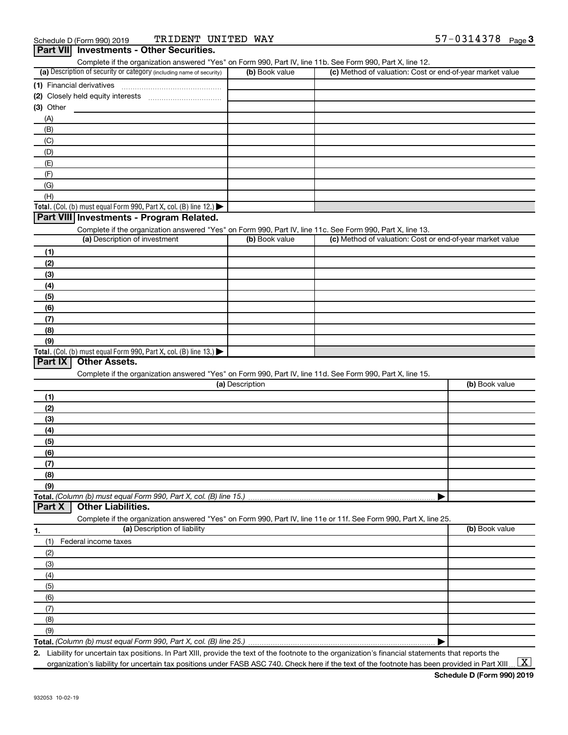|                                                                                        |                 | Complete if the organization answered "Yes" on Form 990, Part IV, line 11b. See Form 990, Part X, line 12.        |                |
|----------------------------------------------------------------------------------------|-----------------|-------------------------------------------------------------------------------------------------------------------|----------------|
| (a) Description of security or category (including name of security)                   | (b) Book value  | (c) Method of valuation: Cost or end-of-year market value                                                         |                |
| (1) Financial derivatives                                                              |                 |                                                                                                                   |                |
|                                                                                        |                 |                                                                                                                   |                |
| $(3)$ Other                                                                            |                 |                                                                                                                   |                |
| (A)                                                                                    |                 |                                                                                                                   |                |
| (B)                                                                                    |                 |                                                                                                                   |                |
| (C)                                                                                    |                 |                                                                                                                   |                |
| (D)                                                                                    |                 |                                                                                                                   |                |
| (E)                                                                                    |                 |                                                                                                                   |                |
| (F)                                                                                    |                 |                                                                                                                   |                |
| (G)                                                                                    |                 |                                                                                                                   |                |
| (H)                                                                                    |                 |                                                                                                                   |                |
| Total. (Col. (b) must equal Form 990, Part X, col. (B) line 12.)                       |                 |                                                                                                                   |                |
| Part VIII Investments - Program Related.                                               |                 |                                                                                                                   |                |
|                                                                                        |                 | Complete if the organization answered "Yes" on Form 990, Part IV, line 11c. See Form 990, Part X, line 13.        |                |
| (a) Description of investment                                                          | (b) Book value  | (c) Method of valuation: Cost or end-of-year market value                                                         |                |
| (1)                                                                                    |                 |                                                                                                                   |                |
| (2)                                                                                    |                 |                                                                                                                   |                |
| (3)                                                                                    |                 |                                                                                                                   |                |
| (4)                                                                                    |                 |                                                                                                                   |                |
| (5)                                                                                    |                 |                                                                                                                   |                |
| (6)                                                                                    |                 |                                                                                                                   |                |
| (7)                                                                                    |                 |                                                                                                                   |                |
| (8)                                                                                    |                 |                                                                                                                   |                |
| (9)                                                                                    |                 |                                                                                                                   |                |
| Total. (Col. (b) must equal Form 990, Part X, col. (B) line 13.) $\blacktriangleright$ |                 |                                                                                                                   |                |
| Part IX<br><b>Other Assets.</b>                                                        |                 |                                                                                                                   |                |
|                                                                                        |                 | Complete if the organization answered "Yes" on Form 990, Part IV, line 11d. See Form 990, Part X, line 15.        |                |
|                                                                                        | (a) Description |                                                                                                                   | (b) Book value |
|                                                                                        |                 |                                                                                                                   |                |
|                                                                                        |                 |                                                                                                                   |                |
| (1)                                                                                    |                 |                                                                                                                   |                |
| (2)                                                                                    |                 |                                                                                                                   |                |
| (3)                                                                                    |                 |                                                                                                                   |                |
| (4)                                                                                    |                 |                                                                                                                   |                |
| (5)                                                                                    |                 |                                                                                                                   |                |
| (6)                                                                                    |                 |                                                                                                                   |                |
| (7)                                                                                    |                 |                                                                                                                   |                |
| (8)                                                                                    |                 |                                                                                                                   |                |
| (9)                                                                                    |                 |                                                                                                                   |                |
|                                                                                        |                 |                                                                                                                   |                |
| <b>Other Liabilities.</b><br>Part X                                                    |                 |                                                                                                                   |                |
|                                                                                        |                 | Complete if the organization answered "Yes" on Form 990, Part IV, line 11e or 11f. See Form 990, Part X, line 25. |                |
| (a) Description of liability                                                           |                 |                                                                                                                   | (b) Book value |
| Federal income taxes<br>(1)                                                            |                 |                                                                                                                   |                |
| (2)                                                                                    |                 |                                                                                                                   |                |
| (3)                                                                                    |                 |                                                                                                                   |                |
| (4)                                                                                    |                 |                                                                                                                   |                |
| (5)                                                                                    |                 |                                                                                                                   |                |
| (6)                                                                                    |                 |                                                                                                                   |                |
| (7)                                                                                    |                 |                                                                                                                   |                |
| 1.<br>(8)<br>(9)                                                                       |                 |                                                                                                                   |                |

**2.** Liability for uncertain tax positions. In Part XIII, provide the text of the footnote to the organization's financial statements that reports the organization's liability for uncertain tax positions under FASB ASC 740. Check here if the text of the footnote has been provided in Part XIII ...  $\fbox{\bf X}$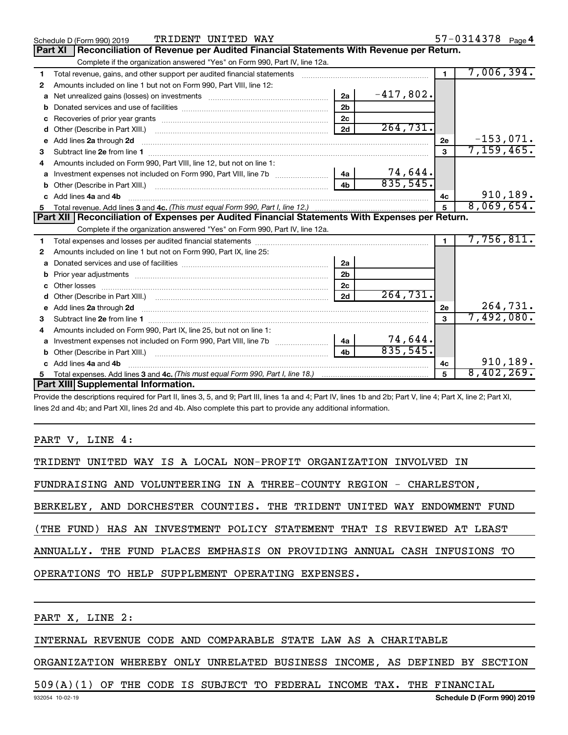|    | TRIDENT UNITED WAY<br>Schedule D (Form 990) 2019                                                                                                                                                                                     |                |             |                | 57-0314378 Page 4 |
|----|--------------------------------------------------------------------------------------------------------------------------------------------------------------------------------------------------------------------------------------|----------------|-------------|----------------|-------------------|
|    | Reconciliation of Revenue per Audited Financial Statements With Revenue per Return.<br><b>Part XI</b>                                                                                                                                |                |             |                |                   |
|    | Complete if the organization answered "Yes" on Form 990, Part IV, line 12a.                                                                                                                                                          |                |             |                |                   |
| 1  | Total revenue, gains, and other support per audited financial statements [[[[[[[[[[[[[[[[[[[[[[[]]]]]]]]]]]]]                                                                                                                        |                |             | $\blacksquare$ | 7,006,394.        |
| 2  | Amounts included on line 1 but not on Form 990, Part VIII, line 12:                                                                                                                                                                  |                |             |                |                   |
| a  |                                                                                                                                                                                                                                      | 2a             | $-417,802.$ |                |                   |
| b  |                                                                                                                                                                                                                                      | 2 <sub>b</sub> |             |                |                   |
| c  |                                                                                                                                                                                                                                      | 2c             |             |                |                   |
| d  |                                                                                                                                                                                                                                      | 2d             | 264,731.    |                |                   |
| e  | Add lines 2a through 2d <b>minimum contained a contract of the contract of the contract of the contract of the contract of the contract of the contract of the contract of the contract of the contract of the contract of the c</b> |                |             | 2е             | $-153,071.$       |
| 3  |                                                                                                                                                                                                                                      |                |             | 3              | 7, 159, 465.      |
|    | Amounts included on Form 990, Part VIII, line 12, but not on line 1:                                                                                                                                                                 |                |             |                |                   |
|    |                                                                                                                                                                                                                                      | 4a             | 74,644.     |                |                   |
|    |                                                                                                                                                                                                                                      | 4 <sub>b</sub> | 835,545.    |                |                   |
|    | Add lines 4a and 4b                                                                                                                                                                                                                  |                |             | 4c             | 910,189.          |
| 5  |                                                                                                                                                                                                                                      |                |             | 5              | 8,069,654.        |
|    |                                                                                                                                                                                                                                      |                |             |                |                   |
|    | Part XII   Reconciliation of Expenses per Audited Financial Statements With Expenses per Return.                                                                                                                                     |                |             |                |                   |
|    | Complete if the organization answered "Yes" on Form 990, Part IV, line 12a.                                                                                                                                                          |                |             |                |                   |
| 1. |                                                                                                                                                                                                                                      |                |             | $\blacksquare$ | 7,756,811.        |
| 2  | Amounts included on line 1 but not on Form 990, Part IX, line 25:                                                                                                                                                                    |                |             |                |                   |
| a  |                                                                                                                                                                                                                                      | 2a             |             |                |                   |
|    |                                                                                                                                                                                                                                      | 2 <sub>b</sub> |             |                |                   |
| c  |                                                                                                                                                                                                                                      | 2 <sub>c</sub> |             |                |                   |
|    |                                                                                                                                                                                                                                      | 2d             | 264,731.    |                |                   |
|    | e Add lines 2a through 2d <b>contract and all anomana contract and all anomana contract and all anomana contract a</b>                                                                                                               |                |             | 2e             | 264,731.          |
| 3  |                                                                                                                                                                                                                                      |                |             | $\mathbf{a}$   | 7,492,080.        |
| 4  | Amounts included on Form 990, Part IX, line 25, but not on line 1:                                                                                                                                                                   |                |             |                |                   |
| a  |                                                                                                                                                                                                                                      | 4a             | 74,644.     |                |                   |
| b  | Other (Describe in Part XIII.) [100] [100] [100] [100] [100] [100] [100] [100] [100] [100] [100] [100] [100] [                                                                                                                       | 4 <sub>h</sub> | 835,545.    |                |                   |
|    | Add lines 4a and 4b                                                                                                                                                                                                                  |                |             | 4c             | 910,189.          |
|    | Part XIII Supplemental Information.                                                                                                                                                                                                  |                |             | 5              | 8,402,269.        |

Provide the descriptions required for Part II, lines 3, 5, and 9; Part III, lines 1a and 4; Part IV, lines 1b and 2b; Part V, line 4; Part X, line 2; Part XI, lines 2d and 4b; and Part XII, lines 2d and 4b. Also complete this part to provide any additional information.

PART V, LINE 4:

| TRIDENT UNITED WAY IS A LOCAL NON-PROFIT ORGANIZATION INVOLVED IN        |  |  |  |  |  |  |  |  |  |  |  |
|--------------------------------------------------------------------------|--|--|--|--|--|--|--|--|--|--|--|
| FUNDRAISING AND VOLUNTEERING IN A THREE-COUNTY REGION - CHARLESTON,      |  |  |  |  |  |  |  |  |  |  |  |
|                                                                          |  |  |  |  |  |  |  |  |  |  |  |
| BERKELEY, AND DORCHESTER COUNTIES. THE TRIDENT UNITED WAY ENDOWMENT FUND |  |  |  |  |  |  |  |  |  |  |  |
| (THE FUND) HAS AN INVESTMENT POLICY STATEMENT THAT IS REVIEWED AT LEAST  |  |  |  |  |  |  |  |  |  |  |  |
| ANNUALLY. THE FUND PLACES EMPHASIS ON PROVIDING ANNUAL CASH INFUSIONS TO |  |  |  |  |  |  |  |  |  |  |  |
| OPERATIONS TO HELP SUPPLEMENT OPERATING EXPENSES.                        |  |  |  |  |  |  |  |  |  |  |  |

PART X, LINE 2:

### INTERNAL REVENUE CODE AND COMPARABLE STATE LAW AS A CHARITABLE

ORGANIZATION WHEREBY ONLY UNRELATED BUSINESS INCOME, AS DEFINED BY SECTION

### 509(A)(1) OF THE CODE IS SUBJECT TO FEDERAL INCOME TAX. THE FINANCIAL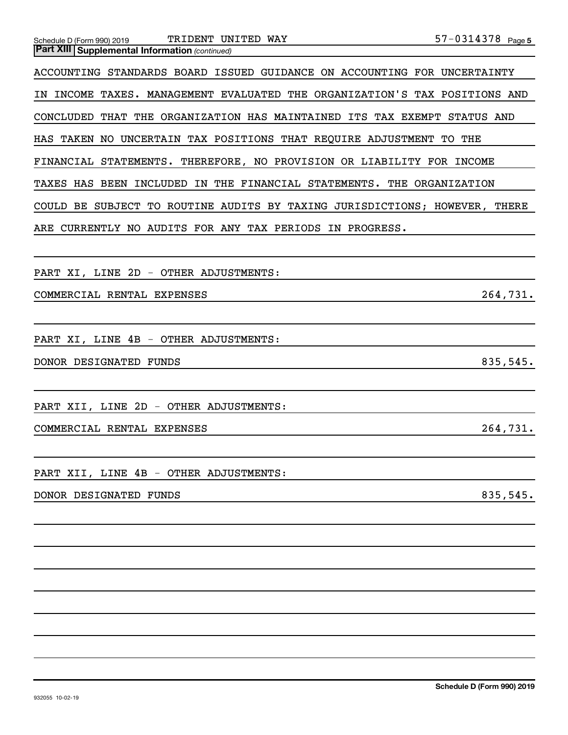| $57 - 0314378$ Page 5<br>TRIDENT UNITED WAY<br>Schedule D (Form 990) 2019     |
|-------------------------------------------------------------------------------|
| <b>Part XIII Supplemental Information (continued)</b>                         |
| ACCOUNTING STANDARDS BOARD ISSUED GUIDANCE ON ACCOUNTING FOR UNCERTAINTY      |
| INCOME TAXES. MANAGEMENT EVALUATED THE ORGANIZATION'S TAX POSITIONS AND<br>IN |
| THAT THE ORGANIZATION HAS MAINTAINED ITS TAX EXEMPT STATUS AND<br>CONCLUDED   |
| HAS TAKEN NO UNCERTAIN TAX POSITIONS THAT REQUIRE ADJUSTMENT TO THE           |
| FINANCIAL STATEMENTS. THEREFORE, NO PROVISION OR LIABILITY FOR INCOME         |
| TAXES HAS BEEN INCLUDED IN THE FINANCIAL STATEMENTS. THE ORGANIZATION         |
| COULD BE SUBJECT TO ROUTINE AUDITS BY TAXING JURISDICTIONS; HOWEVER, THERE    |
| CURRENTLY NO AUDITS FOR ANY TAX PERIODS IN PROGRESS.<br>ARE                   |
|                                                                               |
| PART XI, LINE 2D - OTHER ADJUSTMENTS:                                         |
| 264,731.<br>COMMERCIAL RENTAL EXPENSES                                        |
|                                                                               |
| PART XI, LINE 4B - OTHER ADJUSTMENTS:                                         |
| 835,545.<br>DONOR DESIGNATED FUNDS                                            |
|                                                                               |
| PART XII, LINE 2D - OTHER ADJUSTMENTS:                                        |
| 264,731.<br>COMMERCIAL RENTAL EXPENSES                                        |
|                                                                               |
| PART XII, LINE 4B - OTHER ADJUSTMENTS:                                        |
| 835,545.<br>DONOR DESIGNATED FUNDS                                            |
|                                                                               |
|                                                                               |
|                                                                               |
|                                                                               |
|                                                                               |
|                                                                               |
|                                                                               |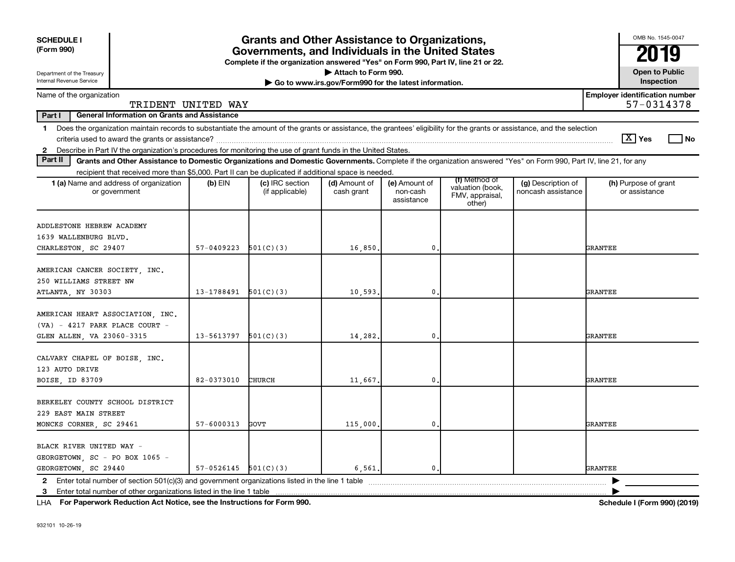| <b>SCHEDULE I</b><br>(Form 990)                                                                                                                                                                                                                                                                                |                          | <b>Grants and Other Assistance to Organizations,</b><br>Governments, and Individuals in the United States<br>Complete if the organization answered "Yes" on Form 990, Part IV, line 21 or 22. |                                                                              |                                         |                                                                |                                          | OMB No. 1545-0047<br>2019                           |
|----------------------------------------------------------------------------------------------------------------------------------------------------------------------------------------------------------------------------------------------------------------------------------------------------------------|--------------------------|-----------------------------------------------------------------------------------------------------------------------------------------------------------------------------------------------|------------------------------------------------------------------------------|-----------------------------------------|----------------------------------------------------------------|------------------------------------------|-----------------------------------------------------|
| Department of the Treasury<br>Internal Revenue Service                                                                                                                                                                                                                                                         |                          |                                                                                                                                                                                               | Attach to Form 990.<br>Go to www.irs.gov/Form990 for the latest information. |                                         |                                                                |                                          | <b>Open to Public</b><br>Inspection                 |
| Name of the organization<br>TRIDENT UNITED WAY                                                                                                                                                                                                                                                                 |                          |                                                                                                                                                                                               |                                                                              |                                         |                                                                |                                          | <b>Employer identification number</b><br>57-0314378 |
| Part I<br><b>General Information on Grants and Assistance</b>                                                                                                                                                                                                                                                  |                          |                                                                                                                                                                                               |                                                                              |                                         |                                                                |                                          |                                                     |
| Does the organization maintain records to substantiate the amount of the grants or assistance, the grantees' eligibility for the grants or assistance, and the selection<br>1<br>Describe in Part IV the organization's procedures for monitoring the use of grant funds in the United States.<br>$\mathbf{2}$ |                          |                                                                                                                                                                                               |                                                                              |                                         |                                                                |                                          | $\lceil \text{X} \rceil$ Yes<br>l No                |
| Part II<br>Grants and Other Assistance to Domestic Organizations and Domestic Governments. Complete if the organization answered "Yes" on Form 990, Part IV, line 21, for any                                                                                                                                  |                          |                                                                                                                                                                                               |                                                                              |                                         |                                                                |                                          |                                                     |
| recipient that received more than \$5,000. Part II can be duplicated if additional space is needed.                                                                                                                                                                                                            |                          |                                                                                                                                                                                               |                                                                              |                                         |                                                                |                                          |                                                     |
| 1 (a) Name and address of organization<br>or government                                                                                                                                                                                                                                                        | (b) $EIN$                | (c) IRC section<br>(if applicable)                                                                                                                                                            | (d) Amount of<br>cash grant                                                  | (e) Amount of<br>non-cash<br>assistance | (f) Method of<br>valuation (book,<br>FMV, appraisal,<br>other) | (g) Description of<br>noncash assistance | (h) Purpose of grant<br>or assistance               |
| ADDLESTONE HEBREW ACADEMY<br>1639 WALLENBURG BLVD.<br>CHARLESTON, SC 29407                                                                                                                                                                                                                                     | $57-0409223$ $501(C)(3)$ |                                                                                                                                                                                               | 16,850.                                                                      | 0.                                      |                                                                |                                          | <b>GRANTEE</b>                                      |
| AMERICAN CANCER SOCIETY, INC.<br>250 WILLIAMS STREET NW<br>ATLANTA, NY 30303                                                                                                                                                                                                                                   | $13-1788491$ $501(C)(3)$ |                                                                                                                                                                                               | 10,593.                                                                      | $\mathbf 0$                             |                                                                |                                          | GRANTEE                                             |
| AMERICAN HEART ASSOCIATION, INC.<br>$(VA) - 4217$ PARK PLACE COURT -<br>GLEN ALLEN, VA 23060-3315                                                                                                                                                                                                              | 13-5613797               | 501(C)(3)                                                                                                                                                                                     | 14,282.                                                                      | $\mathbf 0$                             |                                                                |                                          | <b>GRANTEE</b>                                      |
| CALVARY CHAPEL OF BOISE, INC.<br>123 AUTO DRIVE<br>BOISE, ID 83709                                                                                                                                                                                                                                             | 82-0373010               | CHURCH                                                                                                                                                                                        | 11,667.                                                                      | $\mathbf 0$                             |                                                                |                                          | GRANTEE                                             |
| BERKELEY COUNTY SCHOOL DISTRICT<br>229 EAST MAIN STREET<br>MONCKS CORNER, SC 29461                                                                                                                                                                                                                             | 57-6000313               | GOVT                                                                                                                                                                                          | 115,000.                                                                     | $\mathbf{0}$                            |                                                                |                                          | GRANTEE                                             |
| BLACK RIVER UNITED WAY -<br>GEORGETOWN, SC - PO BOX 1065 -<br>GEORGETOWN, SC 29440                                                                                                                                                                                                                             | $57-0526145$ $501(C)(3)$ |                                                                                                                                                                                               | 6,561.                                                                       | 0.                                      |                                                                |                                          | GRANTEE                                             |
| Enter total number of other organizations listed in the line 1 table<br>3                                                                                                                                                                                                                                      |                          |                                                                                                                                                                                               |                                                                              |                                         |                                                                |                                          |                                                     |

**For Paperwork Reduction Act Notice, see the Instructions for Form 990. Schedule I (Form 990) (2019)** LHA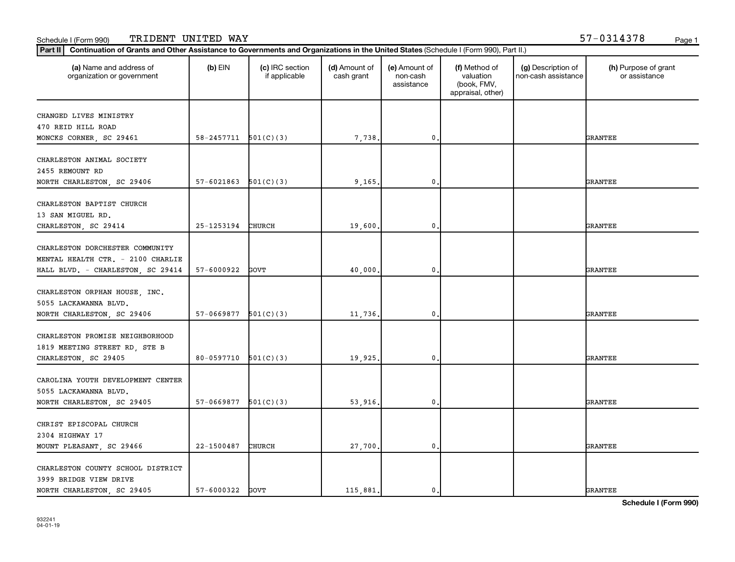#### Schedule I (Form 990) TRIDENT UNITED WAY 57-0314378 <sub>Page 1</sub>

| Part II<br>Continuation of Grants and Other Assistance to Governments and Organizations in the United States (Schedule I (Form 990), Part II.) |                            |                                  |                             |                                         |                                                                |                                           |                                       |
|------------------------------------------------------------------------------------------------------------------------------------------------|----------------------------|----------------------------------|-----------------------------|-----------------------------------------|----------------------------------------------------------------|-------------------------------------------|---------------------------------------|
| (a) Name and address of<br>organization or government                                                                                          | $(b)$ EIN                  | (c) IRC section<br>if applicable | (d) Amount of<br>cash grant | (e) Amount of<br>non-cash<br>assistance | (f) Method of<br>valuation<br>(book, FMV,<br>appraisal, other) | (g) Description of<br>non-cash assistance | (h) Purpose of grant<br>or assistance |
| CHANGED LIVES MINISTRY<br>470 REID HILL ROAD<br>MONCKS CORNER, SC 29461                                                                        | $58 - 2457711$ $501(C)(3)$ |                                  | 7,738                       | $\mathbf 0$                             |                                                                |                                           | <b>GRANTEE</b>                        |
| CHARLESTON ANIMAL SOCIETY<br>2455 REMOUNT RD<br>NORTH CHARLESTON, SC 29406                                                                     | 57-6021863                 | 501(C)(3)                        | 9,165.                      | $\mathbf{0}$                            |                                                                |                                           | GRANTEE                               |
| CHARLESTON BAPTIST CHURCH<br>13 SAN MIGUEL RD.<br>CHARLESTON, SC 29414                                                                         | 25-1253194                 | CHURCH                           | 19,600                      | $\mathbf 0$                             |                                                                |                                           | <b>GRANTEE</b>                        |
| CHARLESTON DORCHESTER COMMUNITY<br>MENTAL HEALTH CTR. - 2100 CHARLIE<br>HALL BLVD. - CHARLESTON, SC 29414                                      | 57-6000922                 | GOVT                             | 40,000.                     | $\mathbf 0$                             |                                                                |                                           | <b>GRANTEE</b>                        |
| CHARLESTON ORPHAN HOUSE, INC.<br>5055 LACKAWANNA BLVD.<br>NORTH CHARLESTON, SC 29406                                                           | $57-0669877$ $501(C)(3)$   |                                  | 11,736.                     | $\mathbf{0}$                            |                                                                |                                           | GRANTEE                               |
| CHARLESTON PROMISE NEIGHBORHOOD<br>1819 MEETING STREET RD, STE B<br>CHARLESTON, SC 29405                                                       | 80-0597710                 | 501(C)(3)                        | 19,925                      | $\mathbf{0}$                            |                                                                |                                           | GRANTEE                               |
| CAROLINA YOUTH DEVELOPMENT CENTER<br>5055 LACKAWANNA BLVD.<br>NORTH CHARLESTON, SC 29405                                                       | 57-0669877                 | 501(C)(3)                        | 53,916                      | $\mathbf 0$                             |                                                                |                                           | <b>GRANTEE</b>                        |
| CHRIST EPISCOPAL CHURCH<br>2304 HIGHWAY 17<br>MOUNT PLEASANT, SC 29466                                                                         | 22-1500487                 | CHURCH                           | 27,700.                     | $\mathbf{0}$                            |                                                                |                                           | GRANTEE                               |
| CHARLESTON COUNTY SCHOOL DISTRICT<br>3999 BRIDGE VIEW DRIVE<br>NORTH CHARLESTON, SC 29405                                                      | 57-6000322                 | GOVT                             | 115,881.                    | 0.                                      |                                                                |                                           | <b>GRANTEE</b>                        |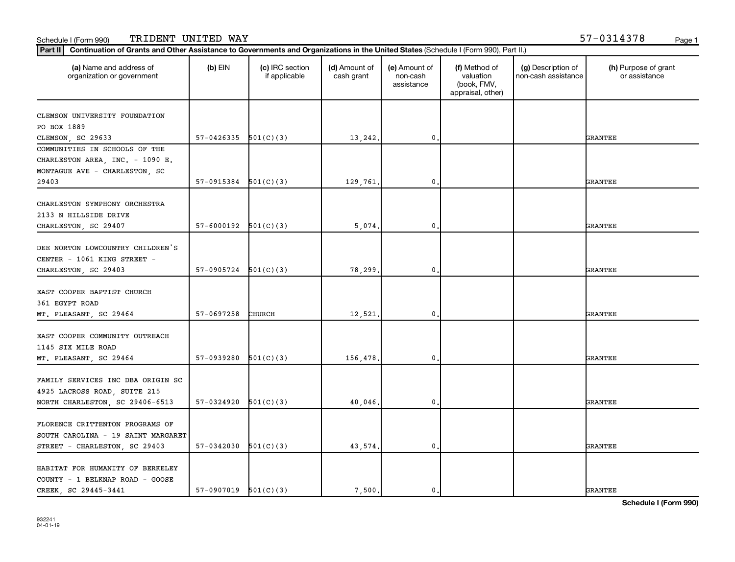| (a) Name and address of<br>organization or government                                                  | $(b)$ EIN                | (c) IRC section<br>if applicable | (d) Amount of<br>cash grant | (e) Amount of<br>non-cash<br>assistance | (f) Method of<br>valuation<br>(book, FMV,<br>appraisal, other) | (g) Description of<br>non-cash assistance | (h) Purpose of grant<br>or assistance |
|--------------------------------------------------------------------------------------------------------|--------------------------|----------------------------------|-----------------------------|-----------------------------------------|----------------------------------------------------------------|-------------------------------------------|---------------------------------------|
| CLEMSON UNIVERSITY FOUNDATION                                                                          |                          |                                  |                             |                                         |                                                                |                                           |                                       |
| PO BOX 1889                                                                                            |                          |                                  |                             |                                         |                                                                |                                           |                                       |
| CLEMSON, SC 29633                                                                                      | $57-0426335$ $501(C)(3)$ |                                  | 13,242.                     | 0                                       |                                                                |                                           | <b>GRANTEE</b>                        |
| COMMUNITIES IN SCHOOLS OF THE<br>CHARLESTON AREA, INC. - 1090 E.<br>MONTAGUE AVE - CHARLESTON, SC      |                          |                                  |                             |                                         |                                                                |                                           |                                       |
| 29403                                                                                                  | $57-0915384$ $501(C)(3)$ |                                  | 129,761                     | 0                                       |                                                                |                                           | <b>GRANTEE</b>                        |
| CHARLESTON SYMPHONY ORCHESTRA<br>2133 N HILLSIDE DRIVE<br>CHARLESTON, SC 29407                         | $57-6000192$ $501(C)(3)$ |                                  | 5.074                       | $\mathbf{0}$                            |                                                                |                                           | <b>GRANTEE</b>                        |
| DEE NORTON LOWCOUNTRY CHILDREN'S<br>CENTER - 1061 KING STREET -<br>CHARLESTON, SC 29403                | $57-0905724$ $501(C)(3)$ |                                  | 78,299                      | 0                                       |                                                                |                                           | <b>GRANTEE</b>                        |
| EAST COOPER BAPTIST CHURCH<br>361 EGYPT ROAD<br>MT. PLEASANT, SC 29464                                 | 57-0697258               | CHURCH                           | 12,521                      | 0                                       |                                                                |                                           | <b>GRANTEE</b>                        |
| EAST COOPER COMMUNITY OUTREACH<br>1145 SIX MILE ROAD                                                   | 57-0939280               | 501(C)(3)                        |                             | $\mathbf{0}$                            |                                                                |                                           |                                       |
| MT. PLEASANT, SC 29464<br>FAMILY SERVICES INC DBA ORIGIN SC<br>4925 LACROSS ROAD, SUITE 215            |                          |                                  | 156,478                     |                                         |                                                                |                                           | <b>GRANTEE</b>                        |
| NORTH CHARLESTON, SC 29406-6513                                                                        | $57-0324920$ $501(C)(3)$ |                                  | 40,046,                     | $\mathbf{0}$                            |                                                                |                                           | <b>GRANTEE</b>                        |
| FLORENCE CRITTENTON PROGRAMS OF<br>SOUTH CAROLINA - 19 SAINT MARGARET<br>STREET - CHARLESTON, SC 29403 | $57-0342030$ $501(C)(3)$ |                                  | 43,574.                     | 0                                       |                                                                |                                           | <b>GRANTEE</b>                        |
| HABITAT FOR HUMANITY OF BERKELEY<br>COUNTY - 1 BELKNAP ROAD - GOOSE<br>CREEK SC 29445-3441             | $57-0907019$ $501(C)(3)$ |                                  | 7,500.                      | 0.                                      |                                                                |                                           | <b>GRANTEE</b>                        |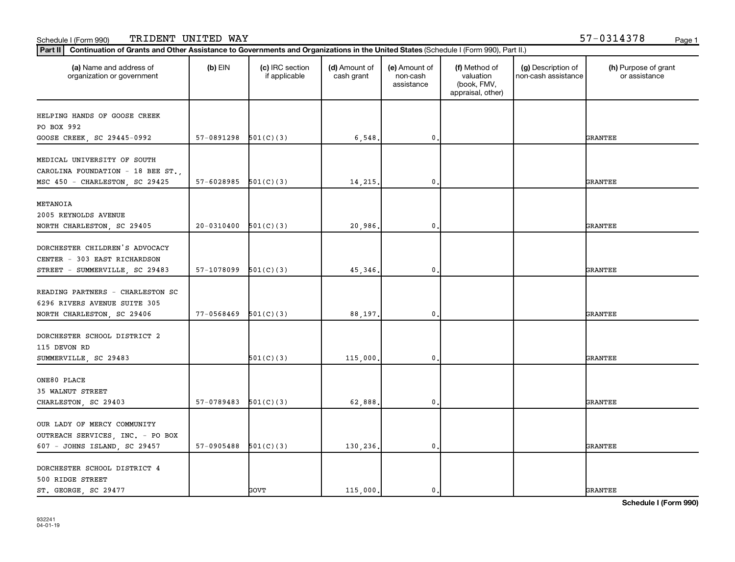#### **Part III Continuation of Grants and Other Assistance to Governments and Organizations in the United States (Schi<br>Rect III, Continuation of Grants and Other Assistance to Governments and Organizations in the United State** Schedule I (Form 990) TRIDENT UNITED WAY 57-0314378 <sub>Page 1</sub>

| Continuation of Grants and Other Assistance to Governments and Organizations in the United States (Schedule I (Form 990), Part II.)<br>Part II |                |                                  |                             |                                         |                                                                |                                           |                                       |
|------------------------------------------------------------------------------------------------------------------------------------------------|----------------|----------------------------------|-----------------------------|-----------------------------------------|----------------------------------------------------------------|-------------------------------------------|---------------------------------------|
| (a) Name and address of<br>organization or government                                                                                          | $(b)$ EIN      | (c) IRC section<br>if applicable | (d) Amount of<br>cash grant | (e) Amount of<br>non-cash<br>assistance | (f) Method of<br>valuation<br>(book, FMV,<br>appraisal, other) | (g) Description of<br>non-cash assistance | (h) Purpose of grant<br>or assistance |
| HELPING HANDS OF GOOSE CREEK<br>PO BOX 992<br>GOOSE CREEK, SC 29445-0992                                                                       | 57-0891298     | 501(C)(3)                        | 6,548                       | $\mathbf 0$ .                           |                                                                |                                           | <b>GRANTEE</b>                        |
| MEDICAL UNIVERSITY OF SOUTH<br>CAROLINA FOUNDATION - 18 BEE ST.,<br>MSC 450 - CHARLESTON, SC 29425                                             | 57-6028985     | 501(C)(3)                        | 14, 215,                    | $\mathbf 0$ .                           |                                                                |                                           | GRANTEE                               |
| METANOIA<br>2005 REYNOLDS AVENUE<br>NORTH CHARLESTON, SC 29405                                                                                 | $20 - 0310400$ | 501(C)(3)                        | 20,986.                     | $\mathbf 0$                             |                                                                |                                           | GRANTEE                               |
| DORCHESTER CHILDREN'S ADVOCACY<br>CENTER - 303 EAST RICHARDSON<br>STREET - SUMMERVILLE, SC 29483                                               | 57-1078099     | 501(C)(3)                        | 45,346                      | $\mathbf{0}$ .                          |                                                                |                                           | <b>GRANTEE</b>                        |
| READING PARTNERS - CHARLESTON SC<br>6296 RIVERS AVENUE SUITE 305<br>NORTH CHARLESTON, SC 29406                                                 | 77-0568469     | 501(C)(3)                        | 88,197.                     | 0.                                      |                                                                |                                           | GRANTEE                               |
| DORCHESTER SCHOOL DISTRICT 2<br>115 DEVON RD<br>SUMMERVILLE, SC 29483                                                                          |                | 501(C)(3)                        | 115,000                     | 0,                                      |                                                                |                                           | GRANTEE                               |
| ONE80 PLACE<br>35 WALNUT STREET<br>CHARLESTON, SC 29403                                                                                        | 57-0789483     | 501(C)(3)                        | 62,888                      | 0.                                      |                                                                |                                           | GRANTEE                               |
| OUR LADY OF MERCY COMMUNITY<br>OUTREACH SERVICES, INC. - PO BOX<br>607 - JOHNS ISLAND, SC 29457                                                | 57-0905488     | 501(C)(3)                        | 130,236.                    | 0.                                      |                                                                |                                           | GRANTEE                               |
| DORCHESTER SCHOOL DISTRICT 4<br>500 RIDGE STREET<br>ST. GEORGE, SC 29477                                                                       |                | GOVT                             | 115,000.                    | $\mathbf{0}$ .                          |                                                                |                                           | <b>GRANTEE</b>                        |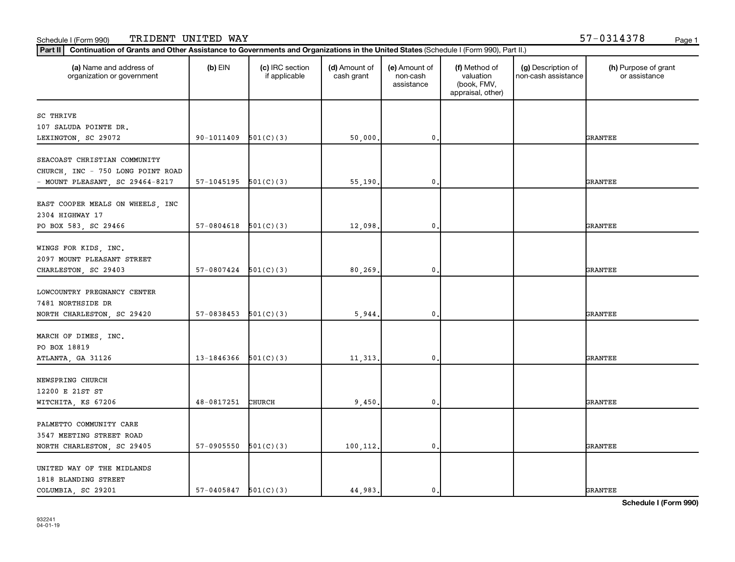| (a) Name and address of<br>organization or government | $(b)$ EIN                | (c) IRC section<br>if applicable | (d) Amount of<br>cash grant | (e) Amount of<br>non-cash<br>assistance | (f) Method of<br>valuation<br>(book, FMV,<br>appraisal, other) | (g) Description of<br>non-cash assistance | (h) Purpose of grant<br>or assistance |
|-------------------------------------------------------|--------------------------|----------------------------------|-----------------------------|-----------------------------------------|----------------------------------------------------------------|-------------------------------------------|---------------------------------------|
| SC THRIVE                                             |                          |                                  |                             |                                         |                                                                |                                           |                                       |
| 107 SALUDA POINTE DR.                                 |                          |                                  |                             |                                         |                                                                |                                           |                                       |
| LEXINGTON, SC 29072                                   | 90-1011409               | 501(C)(3)                        | 50,000.                     | $\mathbf 0$                             |                                                                |                                           | <b>GRANTEE</b>                        |
|                                                       |                          |                                  |                             |                                         |                                                                |                                           |                                       |
| SEACOAST CHRISTIAN COMMUNITY                          |                          |                                  |                             |                                         |                                                                |                                           |                                       |
| CHURCH, INC - 750 LONG POINT ROAD                     |                          |                                  |                             |                                         |                                                                |                                           |                                       |
| - MOUNT PLEASANT, SC 29464-8217                       | 57-1045195               | 501(C)(3)                        | 55,190.                     | $\mathbf 0$                             |                                                                |                                           | <b>GRANTEE</b>                        |
|                                                       |                          |                                  |                             |                                         |                                                                |                                           |                                       |
| EAST COOPER MEALS ON WHEELS, INC<br>2304 HIGHWAY 17   |                          |                                  |                             |                                         |                                                                |                                           |                                       |
| PO BOX 583, SC 29466                                  | 57-0804618               | 501(C)(3)                        | 12,098.                     | 0,                                      |                                                                |                                           | <b>GRANTEE</b>                        |
|                                                       |                          |                                  |                             |                                         |                                                                |                                           |                                       |
| WINGS FOR KIDS, INC.                                  |                          |                                  |                             |                                         |                                                                |                                           |                                       |
| 2097 MOUNT PLEASANT STREET                            |                          |                                  |                             |                                         |                                                                |                                           |                                       |
| CHARLESTON, SC 29403                                  | 57-0807424               | 501(C)(3)                        | 80, 269.                    | $\mathbf{0}$                            |                                                                |                                           | <b>GRANTEE</b>                        |
|                                                       |                          |                                  |                             |                                         |                                                                |                                           |                                       |
| LOWCOUNTRY PREGNANCY CENTER                           |                          |                                  |                             |                                         |                                                                |                                           |                                       |
| 7481 NORTHSIDE DR                                     |                          |                                  |                             |                                         |                                                                |                                           |                                       |
| NORTH CHARLESTON, SC 29420                            | 57-0838453               | 501(C)(3)                        | 5,944.                      | $\mathbf 0$                             |                                                                |                                           | <b>GRANTEE</b>                        |
|                                                       |                          |                                  |                             |                                         |                                                                |                                           |                                       |
| MARCH OF DIMES, INC.                                  |                          |                                  |                             |                                         |                                                                |                                           |                                       |
| PO BOX 18819                                          |                          |                                  |                             |                                         |                                                                |                                           |                                       |
| ATLANTA, GA 31126                                     | 13-1846366               | 501(C)(3)                        | 11, 313.                    | $\mathbf 0$                             |                                                                |                                           | <b>GRANTEE</b>                        |
| NEWSPRING CHURCH                                      |                          |                                  |                             |                                         |                                                                |                                           |                                       |
| 12200 E 21ST ST                                       |                          |                                  |                             |                                         |                                                                |                                           |                                       |
| WITCHITA, KS 67206                                    | 48-0817251               | CHURCH                           | 9,450.                      | 0.                                      |                                                                |                                           | <b>GRANTEE</b>                        |
|                                                       |                          |                                  |                             |                                         |                                                                |                                           |                                       |
| PALMETTO COMMUNITY CARE                               |                          |                                  |                             |                                         |                                                                |                                           |                                       |
| 3547 MEETING STREET ROAD                              |                          |                                  |                             |                                         |                                                                |                                           |                                       |
| NORTH CHARLESTON, SC 29405                            | 57-0905550               | 501(C)(3)                        | 100,112.                    | 0.                                      |                                                                |                                           | <b>GRANTEE</b>                        |
|                                                       |                          |                                  |                             |                                         |                                                                |                                           |                                       |
| UNITED WAY OF THE MIDLANDS                            |                          |                                  |                             |                                         |                                                                |                                           |                                       |
| 1818 BLANDING STREET                                  |                          |                                  |                             |                                         |                                                                |                                           |                                       |
| COLUMBIA, SC 29201                                    | $57-0405847$ $501(C)(3)$ |                                  | 44,983.                     | 0.                                      |                                                                |                                           | <b>GRANTEE</b>                        |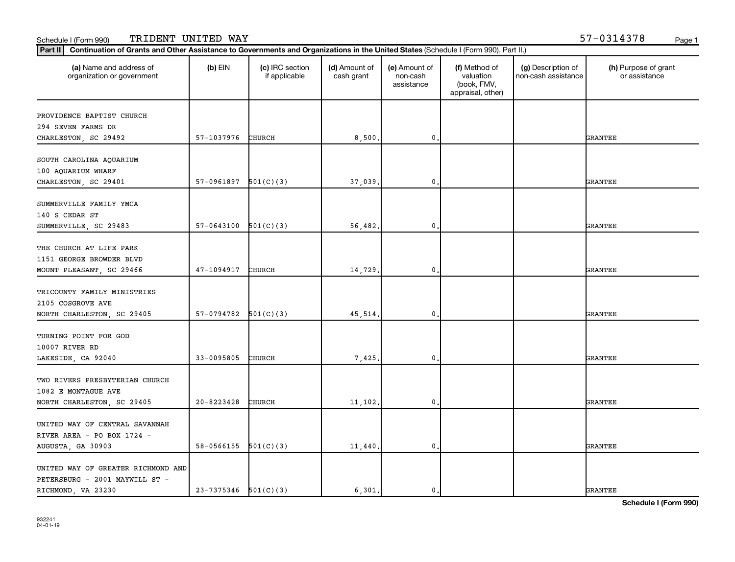| (a) Name and address of<br>organization or government | $(b)$ EIN                | (c) IRC section<br>if applicable | (d) Amount of<br>cash grant | (e) Amount of<br>non-cash<br>assistance | (f) Method of<br>valuation<br>(book, FMV,<br>appraisal, other) | (g) Description of<br>non-cash assistance | (h) Purpose of grant<br>or assistance |
|-------------------------------------------------------|--------------------------|----------------------------------|-----------------------------|-----------------------------------------|----------------------------------------------------------------|-------------------------------------------|---------------------------------------|
| PROVIDENCE BAPTIST CHURCH                             |                          |                                  |                             |                                         |                                                                |                                           |                                       |
| 294 SEVEN FARMS DR                                    |                          |                                  |                             |                                         |                                                                |                                           |                                       |
| CHARLESTON, SC 29492                                  | 57-1037976               | CHURCH                           | 8,500.                      | $\mathbf 0$                             |                                                                |                                           | <b>GRANTEE</b>                        |
| SOUTH CAROLINA AQUARIUM                               |                          |                                  |                             |                                         |                                                                |                                           |                                       |
| 100 AQUARIUM WHARF                                    |                          |                                  |                             |                                         |                                                                |                                           |                                       |
| CHARLESTON, SC 29401                                  | 57-0961897               | 501(C)(3)                        | 37,039                      | $\mathbf 0$                             |                                                                |                                           | <b>GRANTEE</b>                        |
| SUMMERVILLE FAMILY YMCA                               |                          |                                  |                             |                                         |                                                                |                                           |                                       |
| 140 S CEDAR ST                                        |                          |                                  |                             |                                         |                                                                |                                           |                                       |
| SUMMERVILLE, SC 29483                                 | 57-0643100               | 501(C)(3)                        | 56,482.                     | 0.                                      |                                                                |                                           | <b>GRANTEE</b>                        |
|                                                       |                          |                                  |                             |                                         |                                                                |                                           |                                       |
| THE CHURCH AT LIFE PARK                               |                          |                                  |                             |                                         |                                                                |                                           |                                       |
| 1151 GEORGE BROWDER BLVD                              |                          |                                  |                             |                                         |                                                                |                                           |                                       |
| MOUNT PLEASANT, SC 29466                              | 47-1094917               | CHURCH                           | 14,729.                     | $\mathbf{0}$                            |                                                                |                                           | <b>GRANTEE</b>                        |
|                                                       |                          |                                  |                             |                                         |                                                                |                                           |                                       |
| TRICOUNTY FAMILY MINISTRIES                           |                          |                                  |                             |                                         |                                                                |                                           |                                       |
| 2105 COSGROVE AVE                                     |                          |                                  |                             |                                         |                                                                |                                           |                                       |
| NORTH CHARLESTON, SC 29405                            | 57-0794782               | 501(C)(3)                        | 45,514.                     | $\mathbf 0$                             |                                                                |                                           | <b>GRANTEE</b>                        |
|                                                       |                          |                                  |                             |                                         |                                                                |                                           |                                       |
| TURNING POINT FOR GOD                                 |                          |                                  |                             |                                         |                                                                |                                           |                                       |
| 10007 RIVER RD                                        |                          |                                  |                             |                                         |                                                                |                                           |                                       |
| LAKESIDE, CA 92040                                    | 33-0095805               | CHURCH                           | 7,425.                      | $\mathbf 0$                             |                                                                |                                           | <b>GRANTEE</b>                        |
|                                                       |                          |                                  |                             |                                         |                                                                |                                           |                                       |
| TWO RIVERS PRESBYTERIAN CHURCH                        |                          |                                  |                             |                                         |                                                                |                                           |                                       |
| 1082 E MONTAGUE AVE                                   |                          |                                  |                             |                                         |                                                                |                                           |                                       |
| NORTH CHARLESTON, SC 29405                            | 20-8223428               | CHURCH                           | 11, 102.                    | 0.                                      |                                                                |                                           | <b>GRANTEE</b>                        |
|                                                       |                          |                                  |                             |                                         |                                                                |                                           |                                       |
| UNITED WAY OF CENTRAL SAVANNAH                        |                          |                                  |                             |                                         |                                                                |                                           |                                       |
| RIVER AREA - PO BOX 1724 -                            |                          |                                  |                             |                                         |                                                                |                                           |                                       |
| AUGUSTA, GA 30903                                     | 58-0566155               | 501(C)(3)                        | 11,440.                     | $\mathbf 0$                             |                                                                |                                           | <b>GRANTEE</b>                        |
| UNITED WAY OF GREATER RICHMOND AND                    |                          |                                  |                             |                                         |                                                                |                                           |                                       |
| PETERSBURG - 2001 MAYWILL ST -                        |                          |                                  |                             |                                         |                                                                |                                           |                                       |
| RICHMOND, VA 23230                                    | $23-7375346$ $501(C)(3)$ |                                  | 6,301.                      | $\mathbf{0}$ .                          |                                                                |                                           | <b>GRANTEE</b>                        |
|                                                       |                          |                                  |                             |                                         |                                                                |                                           |                                       |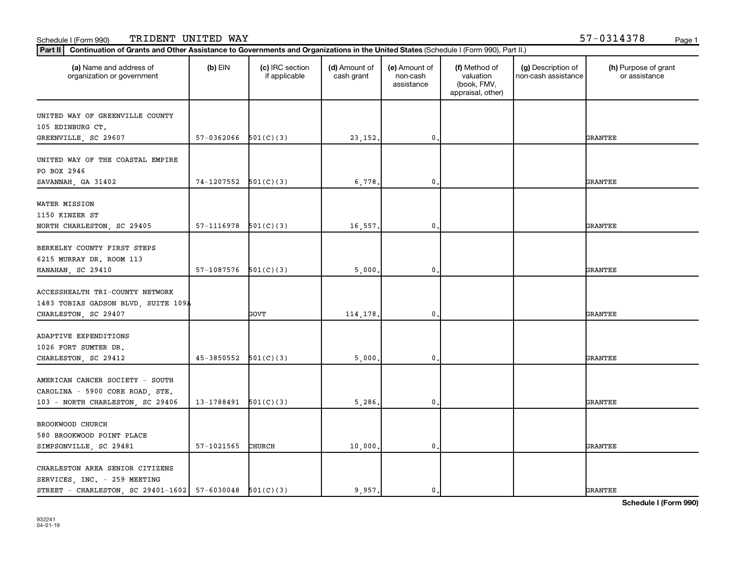| (a) Name and address of<br>organization or government                                                                      | $(b)$ EIN  | (c) IRC section<br>if applicable | (d) Amount of<br>cash grant | (e) Amount of<br>non-cash<br>assistance | (f) Method of<br>valuation<br>(book, FMV,<br>appraisal, other) | (g) Description of<br>non-cash assistance | (h) Purpose of grant<br>or assistance |
|----------------------------------------------------------------------------------------------------------------------------|------------|----------------------------------|-----------------------------|-----------------------------------------|----------------------------------------------------------------|-------------------------------------------|---------------------------------------|
| UNITED WAY OF GREENVILLE COUNTY                                                                                            |            |                                  |                             |                                         |                                                                |                                           |                                       |
| 105 EDINBURG CT.                                                                                                           |            |                                  |                             |                                         |                                                                |                                           |                                       |
| GREENVILLE, SC 29607                                                                                                       | 57-0362066 | 501(C)(3)                        | 23, 152.                    | $\mathbf 0$                             |                                                                |                                           | <b>GRANTEE</b>                        |
| UNITED WAY OF THE COASTAL EMPIRE<br>PO BOX 2946                                                                            |            |                                  |                             |                                         |                                                                |                                           |                                       |
| SAVANNAH, GA 31402                                                                                                         | 74-1207552 | 501(C)(3)                        | 6,778                       | $\mathbf 0$                             |                                                                |                                           | <b>GRANTEE</b>                        |
| WATER MISSION<br>1150 KINZER ST<br>NORTH CHARLESTON, SC 29405                                                              | 57-1116978 | 501(C)(3)                        | 16,557.                     | 0.                                      |                                                                |                                           | <b>GRANTEE</b>                        |
|                                                                                                                            |            |                                  |                             |                                         |                                                                |                                           |                                       |
| BERKELEY COUNTY FIRST STEPS                                                                                                |            |                                  |                             |                                         |                                                                |                                           |                                       |
| 6215 MURRAY DR. ROOM 113                                                                                                   |            |                                  |                             |                                         |                                                                |                                           |                                       |
| HANAHAN, SC 29410                                                                                                          | 57-1087576 | 501(C)(3)                        | 5,000.                      | $\mathbf 0$                             |                                                                |                                           | <b>GRANTEE</b>                        |
| ACCESSHEALTH TRI-COUNTY NETWORK<br>1483 TOBIAS GADSON BLVD, SUITE 109A                                                     |            |                                  |                             |                                         |                                                                |                                           |                                       |
| CHARLESTON, SC 29407                                                                                                       |            | GOVT                             | 114,178.                    | $\mathbf 0$                             |                                                                |                                           | <b>GRANTEE</b>                        |
| ADAPTIVE EXPENDITIONS<br>1026 FORT SUMTER DR.                                                                              |            |                                  |                             |                                         |                                                                |                                           |                                       |
| CHARLESTON, SC 29412                                                                                                       | 45-3850552 | 501(C)(3)                        | 5,000.                      | $\mathbf 0$                             |                                                                |                                           | <b>GRANTEE</b>                        |
| AMERICAN CANCER SOCIETY - SOUTH<br>CAROLINA - 5900 CORE ROAD, STE.                                                         |            |                                  |                             |                                         |                                                                |                                           |                                       |
| 103 - NORTH CHARLESTON, SC 29406                                                                                           | 13-1788491 | 501(C)(3)                        | 5,286.                      | 0.                                      |                                                                |                                           | <b>GRANTEE</b>                        |
| BROOKWOOD CHURCH<br>580 BROOKWOOD POINT PLACE                                                                              |            |                                  |                             |                                         |                                                                |                                           |                                       |
| SIMPSONVILLE, SC 29481                                                                                                     | 57-1021565 | CHURCH                           | 10,000.                     | 0.                                      |                                                                |                                           | <b>GRANTEE</b>                        |
| CHARLESTON AREA SENIOR CITIZENS<br>SERVICES, INC. - 259 MEETING<br>STREET - CHARLESTON, SC 29401-1602 57-6030048 501(C)(3) |            |                                  | 9.957.                      | 0.                                      |                                                                |                                           | <b>GRANTEE</b>                        |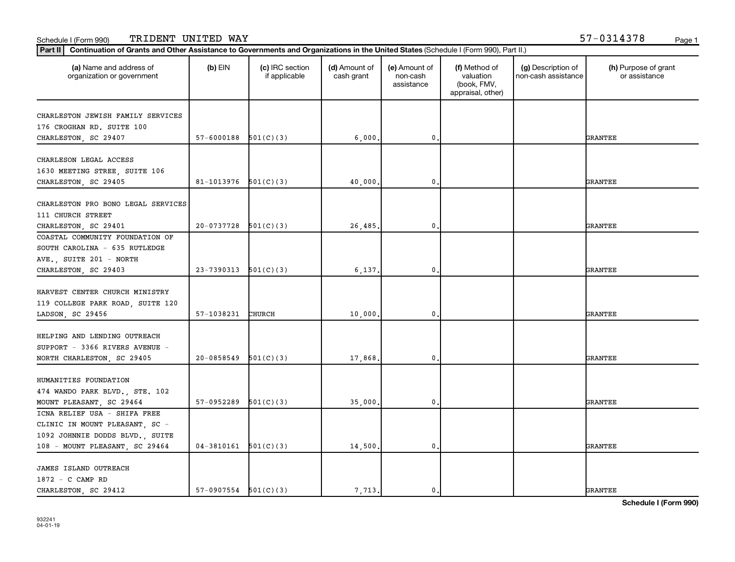| (a) Name and address of<br>organization or government | $(b)$ EIN                | (c) IRC section<br>if applicable | (d) Amount of<br>cash grant | (e) Amount of<br>non-cash<br>assistance | (f) Method of<br>valuation<br>(book, FMV,<br>appraisal, other) | (g) Description of<br>non-cash assistance | (h) Purpose of grant<br>or assistance |
|-------------------------------------------------------|--------------------------|----------------------------------|-----------------------------|-----------------------------------------|----------------------------------------------------------------|-------------------------------------------|---------------------------------------|
| CHARLESTON JEWISH FAMILY SERVICES                     |                          |                                  |                             |                                         |                                                                |                                           |                                       |
| 176 CROGHAN RD. SUITE 100                             |                          |                                  |                             |                                         |                                                                |                                           |                                       |
| CHARLESTON, SC 29407                                  | 57-6000188               | 501(C)(3)                        | 6,000                       | 0                                       |                                                                |                                           | <b>GRANTEE</b>                        |
|                                                       |                          |                                  |                             |                                         |                                                                |                                           |                                       |
| CHARLESON LEGAL ACCESS                                |                          |                                  |                             |                                         |                                                                |                                           |                                       |
| 1630 MEETING STREE, SUITE 106                         |                          |                                  |                             |                                         |                                                                |                                           |                                       |
| CHARLESTON, SC 29405                                  | 81-1013976               | 501(C)(3)                        | 40,000                      | 0                                       |                                                                |                                           | GRANTEE                               |
|                                                       |                          |                                  |                             |                                         |                                                                |                                           |                                       |
| CHARLESTON PRO BONO LEGAL SERVICES                    |                          |                                  |                             |                                         |                                                                |                                           |                                       |
| 111 CHURCH STREET                                     |                          |                                  |                             |                                         |                                                                |                                           |                                       |
| CHARLESTON, SC 29401                                  | 20-0737728               | 501(C)(3)                        | 26,485                      | 0                                       |                                                                |                                           | GRANTEE                               |
| COASTAL COMMUNITY FOUNDATION OF                       |                          |                                  |                             |                                         |                                                                |                                           |                                       |
| SOUTH CAROLINA - 635 RUTLEDGE                         |                          |                                  |                             |                                         |                                                                |                                           |                                       |
| AVE., SUITE 201 - NORTH                               |                          |                                  |                             |                                         |                                                                |                                           |                                       |
| CHARLESTON, SC 29403                                  | 23-7390313               | 501(C)(3)                        | 6,137.                      | 0                                       |                                                                |                                           | <b>GRANTEE</b>                        |
|                                                       |                          |                                  |                             |                                         |                                                                |                                           |                                       |
| HARVEST CENTER CHURCH MINISTRY                        |                          |                                  |                             |                                         |                                                                |                                           |                                       |
| 119 COLLEGE PARK ROAD, SUITE 120                      |                          |                                  |                             |                                         |                                                                |                                           |                                       |
| LADSON, SC 29456                                      | 57-1038231               | <b>CHURCH</b>                    | 10,000                      | 0                                       |                                                                |                                           | GRANTEE                               |
| HELPING AND LENDING OUTREACH                          |                          |                                  |                             |                                         |                                                                |                                           |                                       |
| SUPPORT - 3366 RIVERS AVENUE -                        |                          |                                  |                             |                                         |                                                                |                                           |                                       |
| NORTH CHARLESTON, SC 29405                            | 20-0858549               | 501(C)(3)                        | 17,868                      | 0                                       |                                                                |                                           | <b>GRANTEE</b>                        |
|                                                       |                          |                                  |                             |                                         |                                                                |                                           |                                       |
| HUMANITIES FOUNDATION                                 |                          |                                  |                             |                                         |                                                                |                                           |                                       |
| 474 WANDO PARK BLVD., STE. 102                        |                          |                                  |                             |                                         |                                                                |                                           |                                       |
| MOUNT PLEASANT, SC 29464                              | 57-0952289               | 501(C)(3)                        | 35,000                      | $\mathbf{0}$                            |                                                                |                                           | GRANTEE                               |
| ICNA RELIEF USA - SHIFA FREE                          |                          |                                  |                             |                                         |                                                                |                                           |                                       |
| CLINIC IN MOUNT PLEASANT, SC -                        |                          |                                  |                             |                                         |                                                                |                                           |                                       |
| 1092 JOHNNIE DODDS BLVD., SUITE                       |                          |                                  |                             |                                         |                                                                |                                           |                                       |
| 108 - MOUNT PLEASANT, SC 29464                        | $04-3810161$ $501(C)(3)$ |                                  | 14,500                      | 0                                       |                                                                |                                           | GRANTEE                               |
|                                                       |                          |                                  |                             |                                         |                                                                |                                           |                                       |
| <b>JAMES ISLAND OUTREACH</b>                          |                          |                                  |                             |                                         |                                                                |                                           |                                       |
| 1872 - C CAMP RD                                      |                          |                                  |                             |                                         |                                                                |                                           |                                       |
| CHARLESTON, SC 29412                                  | $57-0907554$ $501(C)(3)$ |                                  | 7,713.                      | 0.                                      |                                                                |                                           | <b>GRANTEE</b>                        |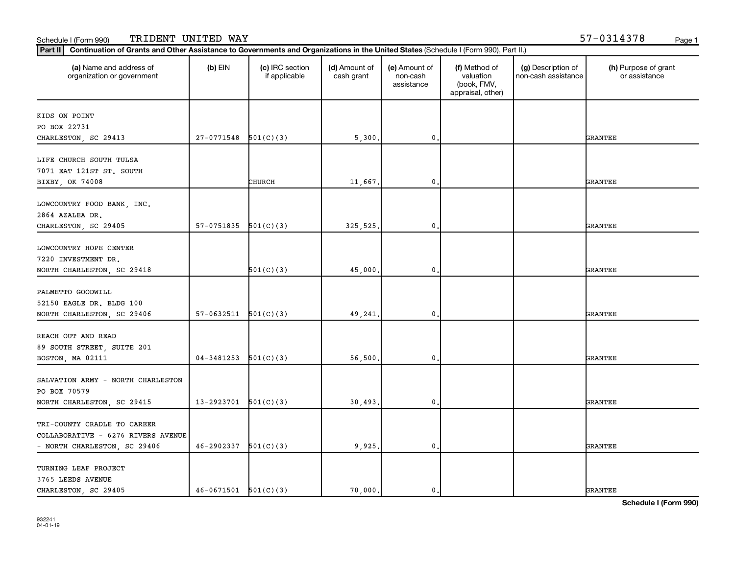| (a) Name and address of<br>organization or government | $(b)$ EIN      | (c) IRC section<br>if applicable | (d) Amount of<br>cash grant | (e) Amount of<br>non-cash<br>assistance | (f) Method of<br>valuation<br>(book, FMV,<br>appraisal, other) | (g) Description of<br>non-cash assistance | (h) Purpose of grant<br>or assistance |
|-------------------------------------------------------|----------------|----------------------------------|-----------------------------|-----------------------------------------|----------------------------------------------------------------|-------------------------------------------|---------------------------------------|
|                                                       |                |                                  |                             |                                         |                                                                |                                           |                                       |
| KIDS ON POINT<br>PO BOX 22731                         |                |                                  |                             |                                         |                                                                |                                           |                                       |
| CHARLESTON, SC 29413                                  | 27-0771548     | 501(C)(3)                        | 5,300                       | 0                                       |                                                                |                                           | GRANTEE                               |
|                                                       |                |                                  |                             |                                         |                                                                |                                           |                                       |
| LIFE CHURCH SOUTH TULSA                               |                |                                  |                             |                                         |                                                                |                                           |                                       |
| 7071 EAT 121ST ST. SOUTH                              |                |                                  |                             |                                         |                                                                |                                           |                                       |
| BIXBY, OK 74008                                       |                | CHURCH                           | 11,667.                     | 0                                       |                                                                |                                           | GRANTEE                               |
|                                                       |                |                                  |                             |                                         |                                                                |                                           |                                       |
| LOWCOUNTRY FOOD BANK, INC.                            |                |                                  |                             |                                         |                                                                |                                           |                                       |
| 2864 AZALEA DR.                                       |                |                                  |                             |                                         |                                                                |                                           |                                       |
| CHARLESTON, SC 29405                                  | 57-0751835     | 501(C)(3)                        | 325,525.                    | 0                                       |                                                                |                                           | GRANTEE                               |
| LOWCOUNTRY HOPE CENTER                                |                |                                  |                             |                                         |                                                                |                                           |                                       |
| 7220 INVESTMENT DR.                                   |                |                                  |                             |                                         |                                                                |                                           |                                       |
| NORTH CHARLESTON, SC 29418                            |                | 501(C)(3)                        | 45,000                      | 0                                       |                                                                |                                           | GRANTEE                               |
|                                                       |                |                                  |                             |                                         |                                                                |                                           |                                       |
| PALMETTO GOODWILL                                     |                |                                  |                             |                                         |                                                                |                                           |                                       |
| 52150 EAGLE DR. BLDG 100                              |                |                                  |                             |                                         |                                                                |                                           |                                       |
| NORTH CHARLESTON, SC 29406                            | 57-0632511     | 501(C)(3)                        | 49,241                      | 0                                       |                                                                |                                           | GRANTEE                               |
|                                                       |                |                                  |                             |                                         |                                                                |                                           |                                       |
| REACH OUT AND READ                                    |                |                                  |                             |                                         |                                                                |                                           |                                       |
| 89 SOUTH STREET, SUITE 201                            |                |                                  |                             |                                         |                                                                |                                           |                                       |
| BOSTON, MA 02111                                      | 04-3481253     | 501(C)(3)                        | 56,500                      | 0                                       |                                                                |                                           | GRANTEE                               |
|                                                       |                |                                  |                             |                                         |                                                                |                                           |                                       |
| SALVATION ARMY - NORTH CHARLESTON                     |                |                                  |                             |                                         |                                                                |                                           |                                       |
| PO BOX 70579                                          |                |                                  |                             |                                         |                                                                |                                           |                                       |
| NORTH CHARLESTON, SC 29415                            | 13-2923701     | 501(C)(3)                        | 30,493                      | 0                                       |                                                                |                                           | <b>GRANTEE</b>                        |
| TRI-COUNTY CRADLE TO CAREER                           |                |                                  |                             |                                         |                                                                |                                           |                                       |
| COLLABORATIVE - 6276 RIVERS AVENUE                    |                |                                  |                             |                                         |                                                                |                                           |                                       |
| - NORTH CHARLESTON, SC 29406                          | 46-2902337     | 501(C)(3)                        | 9,925.                      | 0                                       |                                                                |                                           | GRANTEE                               |
|                                                       |                |                                  |                             |                                         |                                                                |                                           |                                       |
| TURNING LEAF PROJECT                                  |                |                                  |                             |                                         |                                                                |                                           |                                       |
| 3765 LEEDS AVENUE                                     |                |                                  |                             |                                         |                                                                |                                           |                                       |
| CHARLESTON, SC 29405                                  | $46 - 0671501$ | 501(C)(3)                        | 70,000.                     | 0.                                      |                                                                |                                           | <b>GRANTEE</b>                        |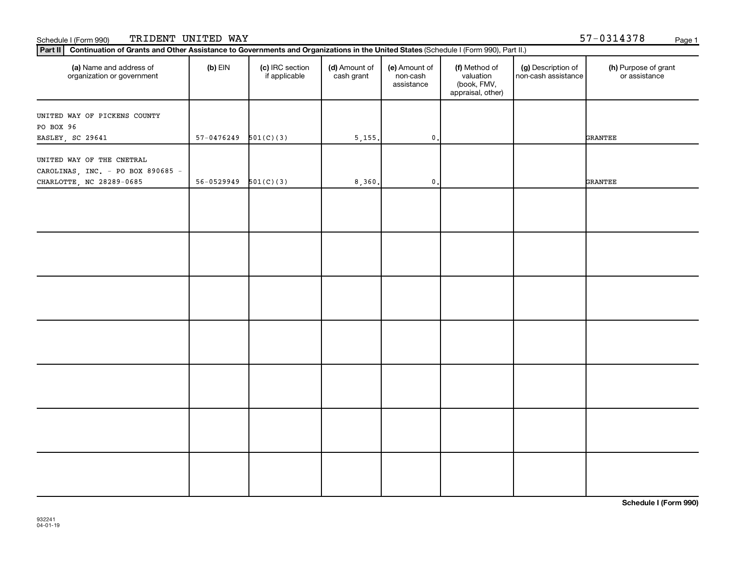| Part II Continuation of Grants and Other Assistance to Governments and Organizations in the United States (Schedule I (Form 990), Part II.) |                          |                                  |                             |                                         |                                                                |                                           |                                       |
|---------------------------------------------------------------------------------------------------------------------------------------------|--------------------------|----------------------------------|-----------------------------|-----------------------------------------|----------------------------------------------------------------|-------------------------------------------|---------------------------------------|
| (a) Name and address of<br>organization or government                                                                                       | $(b)$ EIN                | (c) IRC section<br>if applicable | (d) Amount of<br>cash grant | (e) Amount of<br>non-cash<br>assistance | (f) Method of<br>valuation<br>(book, FMV,<br>appraisal, other) | (g) Description of<br>non-cash assistance | (h) Purpose of grant<br>or assistance |
| UNITED WAY OF PICKENS COUNTY                                                                                                                |                          |                                  |                             |                                         |                                                                |                                           |                                       |
| PO BOX 96                                                                                                                                   |                          |                                  |                             |                                         |                                                                |                                           |                                       |
| EASLEY, SC 29641                                                                                                                            | 57-0476249               | 501(C)(3)                        | 5,155.                      | $\mathbf 0$ .                           |                                                                |                                           | <b>GRANTEE</b>                        |
| UNITED WAY OF THE CNETRAL<br>CAROLINAS, INC. - PO BOX 890685 -                                                                              |                          |                                  |                             |                                         |                                                                |                                           |                                       |
| CHARLOTTE, NC 28289-0685                                                                                                                    | $56-0529949$ $501(C)(3)$ |                                  | 8,360.                      | $\mathbf 0$ .                           |                                                                |                                           | <b>GRANTEE</b>                        |
|                                                                                                                                             |                          |                                  |                             |                                         |                                                                |                                           |                                       |
|                                                                                                                                             |                          |                                  |                             |                                         |                                                                |                                           |                                       |
|                                                                                                                                             |                          |                                  |                             |                                         |                                                                |                                           |                                       |
|                                                                                                                                             |                          |                                  |                             |                                         |                                                                |                                           |                                       |
|                                                                                                                                             |                          |                                  |                             |                                         |                                                                |                                           |                                       |
|                                                                                                                                             |                          |                                  |                             |                                         |                                                                |                                           |                                       |
|                                                                                                                                             |                          |                                  |                             |                                         |                                                                |                                           |                                       |
|                                                                                                                                             |                          |                                  |                             |                                         |                                                                |                                           |                                       |
|                                                                                                                                             |                          |                                  |                             |                                         |                                                                |                                           |                                       |
|                                                                                                                                             |                          |                                  |                             |                                         |                                                                |                                           |                                       |
|                                                                                                                                             |                          |                                  |                             |                                         |                                                                |                                           |                                       |
|                                                                                                                                             |                          |                                  |                             |                                         |                                                                |                                           |                                       |
|                                                                                                                                             |                          |                                  |                             |                                         |                                                                |                                           |                                       |
|                                                                                                                                             |                          |                                  |                             |                                         |                                                                |                                           |                                       |
|                                                                                                                                             |                          |                                  |                             |                                         |                                                                |                                           |                                       |
|                                                                                                                                             |                          |                                  |                             |                                         |                                                                |                                           |                                       |
|                                                                                                                                             |                          |                                  |                             |                                         |                                                                |                                           |                                       |
|                                                                                                                                             |                          |                                  |                             |                                         |                                                                |                                           |                                       |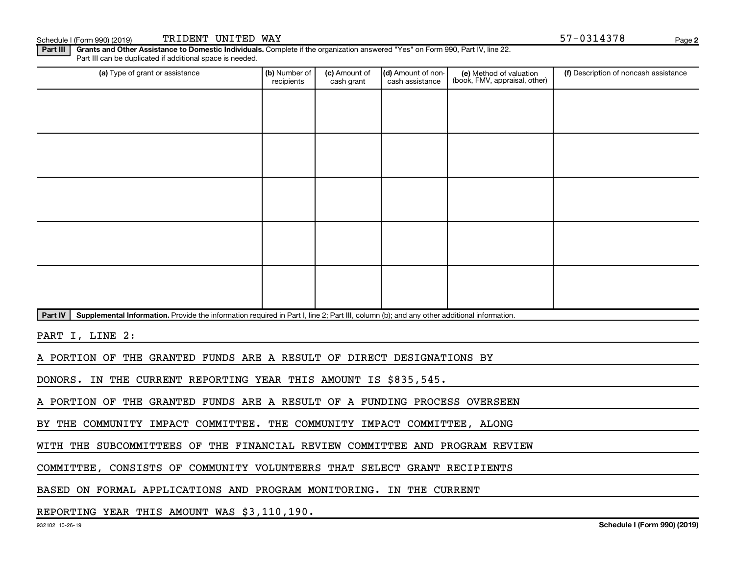Schedule I (Form 990) (2019) TRIDENT UNITED WAY Page 3 (Schedule I (Form 990) (2019) Page

**2**

Part III | Grants and Other Assistance to Domestic Individuals. Complete if the organization answered "Yes" on Form 990, Part IV, line 22. Part III can be duplicated if additional space is needed.

| (a) Type of grant or assistance | (b) Number of<br>recipients | (c) Amount of<br>cash grant | (d) Amount of non-<br>cash assistance | (e) Method of valuation<br>(book, FMV, appraisal, other) | (f) Description of noncash assistance |
|---------------------------------|-----------------------------|-----------------------------|---------------------------------------|----------------------------------------------------------|---------------------------------------|
|                                 |                             |                             |                                       |                                                          |                                       |
|                                 |                             |                             |                                       |                                                          |                                       |
|                                 |                             |                             |                                       |                                                          |                                       |
|                                 |                             |                             |                                       |                                                          |                                       |
|                                 |                             |                             |                                       |                                                          |                                       |
|                                 |                             |                             |                                       |                                                          |                                       |
|                                 |                             |                             |                                       |                                                          |                                       |
|                                 |                             |                             |                                       |                                                          |                                       |
|                                 |                             |                             |                                       |                                                          |                                       |
|                                 |                             |                             |                                       |                                                          |                                       |

Part IV | Supplemental Information. Provide the information required in Part I, line 2; Part III, column (b); and any other additional information.

PART I, LINE 2:

A PORTION OF THE GRANTED FUNDS ARE A RESULT OF DIRECT DESIGNATIONS BY

DONORS. IN THE CURRENT REPORTING YEAR THIS AMOUNT IS \$835,545.

A PORTION OF THE GRANTED FUNDS ARE A RESULT OF A FUNDING PROCESS OVERSEEN

BY THE COMMUNITY IMPACT COMMITTEE. THE COMMUNITY IMPACT COMMITTEE, ALONG

WITH THE SUBCOMMITTEES OF THE FINANCIAL REVIEW COMMITTEE AND PROGRAM REVIEW

COMMITTEE, CONSISTS OF COMMUNITY VOLUNTEERS THAT SELECT GRANT RECIPIENTS

BASED ON FORMAL APPLICATIONS AND PROGRAM MONITORING. IN THE CURRENT

REPORTING YEAR THIS AMOUNT WAS \$3,110,190.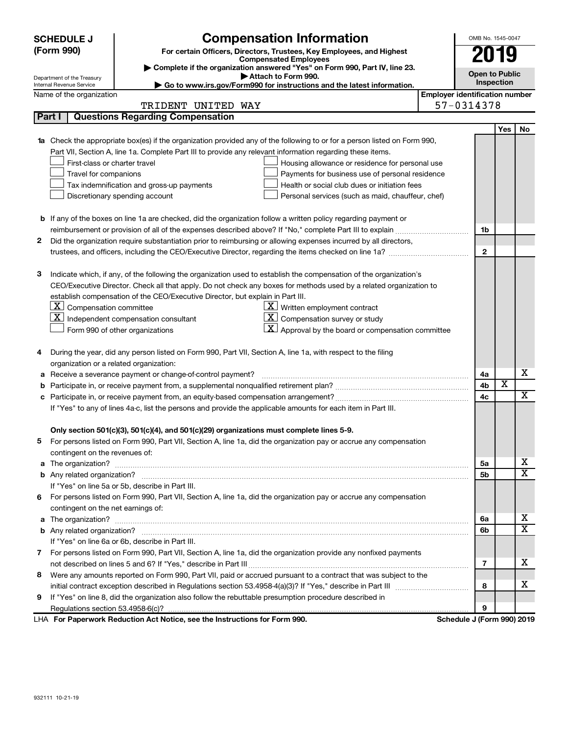| (Form 990)<br>For certain Officers, Directors, Trustees, Key Employees, and Highest<br>19<br><b>Compensated Employees</b><br>Complete if the organization answered "Yes" on Form 990, Part IV, line 23.<br><b>Open to Public</b><br>Attach to Form 990.<br>Department of the Treasury<br>Inspection<br>► Go to www.irs.gov/Form990 for instructions and the latest information.<br>Internal Revenue Service<br><b>Employer identification number</b><br>Name of the organization<br>57-0314378<br>TRIDENT UNITED WAY<br><b>Questions Regarding Compensation</b><br>Part I<br>Yes<br>No<br>Check the appropriate box(es) if the organization provided any of the following to or for a person listed on Form 990,<br>1a<br>Part VII, Section A, line 1a. Complete Part III to provide any relevant information regarding these items.<br>First-class or charter travel<br>Housing allowance or residence for personal use<br>Travel for companions<br>Payments for business use of personal residence<br>Health or social club dues or initiation fees<br>Tax indemnification and gross-up payments<br>Discretionary spending account<br>Personal services (such as maid, chauffeur, chef)<br><b>b</b> If any of the boxes on line 1a are checked, did the organization follow a written policy regarding payment or<br>1b<br>Did the organization require substantiation prior to reimbursing or allowing expenses incurred by all directors,<br>2<br>$\overline{2}$<br>Indicate which, if any, of the following the organization used to establish the compensation of the organization's<br>з<br>CEO/Executive Director. Check all that apply. Do not check any boxes for methods used by a related organization to<br>establish compensation of the CEO/Executive Director, but explain in Part III.<br> X <br>Compensation committee<br>$\underline{\mathbf{X}}$ Written employment contract<br>$\underline{\mathbf{X}}$ Compensation survey or study<br>  X  <br>Independent compensation consultant<br><u>x</u><br>Approval by the board or compensation committee<br>Form 990 of other organizations<br>During the year, did any person listed on Form 990, Part VII, Section A, line 1a, with respect to the filing<br>4<br>organization or a related organization:<br>х<br>Receive a severance payment or change-of-control payment?<br>4a<br>а<br>X<br>4b<br>b<br>$\overline{\textbf{X}}$<br>4c<br>с<br>If "Yes" to any of lines 4a-c, list the persons and provide the applicable amounts for each item in Part III.<br>Only section 501(c)(3), 501(c)(4), and 501(c)(29) organizations must complete lines 5-9.<br>5 For persons listed on Form 990, Part VII, Section A, line 1a, did the organization pay or accrue any compensation<br>contingent on the revenues of:<br>x<br>5a<br>$\overline{\textbf{X}}$<br>5b<br>If "Yes" on line 5a or 5b, describe in Part III.<br>For persons listed on Form 990, Part VII, Section A, line 1a, did the organization pay or accrue any compensation<br>6<br>contingent on the net earnings of:<br>х<br>6a<br>a<br>X<br>6b<br>If "Yes" on line 6a or 6b, describe in Part III.<br>7 For persons listed on Form 990, Part VII, Section A, line 1a, did the organization provide any nonfixed payments<br>х<br>7<br>Were any amounts reported on Form 990, Part VII, paid or accrued pursuant to a contract that was subject to the<br>8<br>х<br>8<br>If "Yes" on line 8, did the organization also follow the rebuttable presumption procedure described in<br>9<br>9<br>Schedule J (Form 990) 2019<br>LHA For Paperwork Reduction Act Notice, see the Instructions for Form 990. | <b>Compensation Information</b><br><b>SCHEDULE J</b> |  | OMB No. 1545-0047 |  |  |  |
|---------------------------------------------------------------------------------------------------------------------------------------------------------------------------------------------------------------------------------------------------------------------------------------------------------------------------------------------------------------------------------------------------------------------------------------------------------------------------------------------------------------------------------------------------------------------------------------------------------------------------------------------------------------------------------------------------------------------------------------------------------------------------------------------------------------------------------------------------------------------------------------------------------------------------------------------------------------------------------------------------------------------------------------------------------------------------------------------------------------------------------------------------------------------------------------------------------------------------------------------------------------------------------------------------------------------------------------------------------------------------------------------------------------------------------------------------------------------------------------------------------------------------------------------------------------------------------------------------------------------------------------------------------------------------------------------------------------------------------------------------------------------------------------------------------------------------------------------------------------------------------------------------------------------------------------------------------------------------------------------------------------------------------------------------------------------------------------------------------------------------------------------------------------------------------------------------------------------------------------------------------------------------------------------------------------------------------------------------------------------------------------------------------------------------------------------------------------------------------------------------------------------------------------------------------------------------------------------------------------------------------------------------------------------------------------------------------------------------------------------------------------------------------------------------------------------------------------------------------------------------------------------------------------------------------------------------------------------------------------------------------------------------------------------------------------------------------------------------------------------------------------------------------------------------------------------------------------------------------------------------------------------------------------------------------------------------------------------------------------------------------------------------------------------------------------------------------------------------------------------------------------------------------------------------------------------------------------------------------------------------------------|------------------------------------------------------|--|-------------------|--|--|--|
|                                                                                                                                                                                                                                                                                                                                                                                                                                                                                                                                                                                                                                                                                                                                                                                                                                                                                                                                                                                                                                                                                                                                                                                                                                                                                                                                                                                                                                                                                                                                                                                                                                                                                                                                                                                                                                                                                                                                                                                                                                                                                                                                                                                                                                                                                                                                                                                                                                                                                                                                                                                                                                                                                                                                                                                                                                                                                                                                                                                                                                                                                                                                                                                                                                                                                                                                                                                                                                                                                                                                                                                                                                       |                                                      |  |                   |  |  |  |
|                                                                                                                                                                                                                                                                                                                                                                                                                                                                                                                                                                                                                                                                                                                                                                                                                                                                                                                                                                                                                                                                                                                                                                                                                                                                                                                                                                                                                                                                                                                                                                                                                                                                                                                                                                                                                                                                                                                                                                                                                                                                                                                                                                                                                                                                                                                                                                                                                                                                                                                                                                                                                                                                                                                                                                                                                                                                                                                                                                                                                                                                                                                                                                                                                                                                                                                                                                                                                                                                                                                                                                                                                                       |                                                      |  |                   |  |  |  |
|                                                                                                                                                                                                                                                                                                                                                                                                                                                                                                                                                                                                                                                                                                                                                                                                                                                                                                                                                                                                                                                                                                                                                                                                                                                                                                                                                                                                                                                                                                                                                                                                                                                                                                                                                                                                                                                                                                                                                                                                                                                                                                                                                                                                                                                                                                                                                                                                                                                                                                                                                                                                                                                                                                                                                                                                                                                                                                                                                                                                                                                                                                                                                                                                                                                                                                                                                                                                                                                                                                                                                                                                                                       |                                                      |  |                   |  |  |  |
|                                                                                                                                                                                                                                                                                                                                                                                                                                                                                                                                                                                                                                                                                                                                                                                                                                                                                                                                                                                                                                                                                                                                                                                                                                                                                                                                                                                                                                                                                                                                                                                                                                                                                                                                                                                                                                                                                                                                                                                                                                                                                                                                                                                                                                                                                                                                                                                                                                                                                                                                                                                                                                                                                                                                                                                                                                                                                                                                                                                                                                                                                                                                                                                                                                                                                                                                                                                                                                                                                                                                                                                                                                       |                                                      |  |                   |  |  |  |
|                                                                                                                                                                                                                                                                                                                                                                                                                                                                                                                                                                                                                                                                                                                                                                                                                                                                                                                                                                                                                                                                                                                                                                                                                                                                                                                                                                                                                                                                                                                                                                                                                                                                                                                                                                                                                                                                                                                                                                                                                                                                                                                                                                                                                                                                                                                                                                                                                                                                                                                                                                                                                                                                                                                                                                                                                                                                                                                                                                                                                                                                                                                                                                                                                                                                                                                                                                                                                                                                                                                                                                                                                                       |                                                      |  |                   |  |  |  |
|                                                                                                                                                                                                                                                                                                                                                                                                                                                                                                                                                                                                                                                                                                                                                                                                                                                                                                                                                                                                                                                                                                                                                                                                                                                                                                                                                                                                                                                                                                                                                                                                                                                                                                                                                                                                                                                                                                                                                                                                                                                                                                                                                                                                                                                                                                                                                                                                                                                                                                                                                                                                                                                                                                                                                                                                                                                                                                                                                                                                                                                                                                                                                                                                                                                                                                                                                                                                                                                                                                                                                                                                                                       |                                                      |  |                   |  |  |  |
|                                                                                                                                                                                                                                                                                                                                                                                                                                                                                                                                                                                                                                                                                                                                                                                                                                                                                                                                                                                                                                                                                                                                                                                                                                                                                                                                                                                                                                                                                                                                                                                                                                                                                                                                                                                                                                                                                                                                                                                                                                                                                                                                                                                                                                                                                                                                                                                                                                                                                                                                                                                                                                                                                                                                                                                                                                                                                                                                                                                                                                                                                                                                                                                                                                                                                                                                                                                                                                                                                                                                                                                                                                       |                                                      |  |                   |  |  |  |
|                                                                                                                                                                                                                                                                                                                                                                                                                                                                                                                                                                                                                                                                                                                                                                                                                                                                                                                                                                                                                                                                                                                                                                                                                                                                                                                                                                                                                                                                                                                                                                                                                                                                                                                                                                                                                                                                                                                                                                                                                                                                                                                                                                                                                                                                                                                                                                                                                                                                                                                                                                                                                                                                                                                                                                                                                                                                                                                                                                                                                                                                                                                                                                                                                                                                                                                                                                                                                                                                                                                                                                                                                                       |                                                      |  |                   |  |  |  |
|                                                                                                                                                                                                                                                                                                                                                                                                                                                                                                                                                                                                                                                                                                                                                                                                                                                                                                                                                                                                                                                                                                                                                                                                                                                                                                                                                                                                                                                                                                                                                                                                                                                                                                                                                                                                                                                                                                                                                                                                                                                                                                                                                                                                                                                                                                                                                                                                                                                                                                                                                                                                                                                                                                                                                                                                                                                                                                                                                                                                                                                                                                                                                                                                                                                                                                                                                                                                                                                                                                                                                                                                                                       |                                                      |  |                   |  |  |  |
|                                                                                                                                                                                                                                                                                                                                                                                                                                                                                                                                                                                                                                                                                                                                                                                                                                                                                                                                                                                                                                                                                                                                                                                                                                                                                                                                                                                                                                                                                                                                                                                                                                                                                                                                                                                                                                                                                                                                                                                                                                                                                                                                                                                                                                                                                                                                                                                                                                                                                                                                                                                                                                                                                                                                                                                                                                                                                                                                                                                                                                                                                                                                                                                                                                                                                                                                                                                                                                                                                                                                                                                                                                       |                                                      |  |                   |  |  |  |
|                                                                                                                                                                                                                                                                                                                                                                                                                                                                                                                                                                                                                                                                                                                                                                                                                                                                                                                                                                                                                                                                                                                                                                                                                                                                                                                                                                                                                                                                                                                                                                                                                                                                                                                                                                                                                                                                                                                                                                                                                                                                                                                                                                                                                                                                                                                                                                                                                                                                                                                                                                                                                                                                                                                                                                                                                                                                                                                                                                                                                                                                                                                                                                                                                                                                                                                                                                                                                                                                                                                                                                                                                                       |                                                      |  |                   |  |  |  |
|                                                                                                                                                                                                                                                                                                                                                                                                                                                                                                                                                                                                                                                                                                                                                                                                                                                                                                                                                                                                                                                                                                                                                                                                                                                                                                                                                                                                                                                                                                                                                                                                                                                                                                                                                                                                                                                                                                                                                                                                                                                                                                                                                                                                                                                                                                                                                                                                                                                                                                                                                                                                                                                                                                                                                                                                                                                                                                                                                                                                                                                                                                                                                                                                                                                                                                                                                                                                                                                                                                                                                                                                                                       |                                                      |  |                   |  |  |  |
|                                                                                                                                                                                                                                                                                                                                                                                                                                                                                                                                                                                                                                                                                                                                                                                                                                                                                                                                                                                                                                                                                                                                                                                                                                                                                                                                                                                                                                                                                                                                                                                                                                                                                                                                                                                                                                                                                                                                                                                                                                                                                                                                                                                                                                                                                                                                                                                                                                                                                                                                                                                                                                                                                                                                                                                                                                                                                                                                                                                                                                                                                                                                                                                                                                                                                                                                                                                                                                                                                                                                                                                                                                       |                                                      |  |                   |  |  |  |
|                                                                                                                                                                                                                                                                                                                                                                                                                                                                                                                                                                                                                                                                                                                                                                                                                                                                                                                                                                                                                                                                                                                                                                                                                                                                                                                                                                                                                                                                                                                                                                                                                                                                                                                                                                                                                                                                                                                                                                                                                                                                                                                                                                                                                                                                                                                                                                                                                                                                                                                                                                                                                                                                                                                                                                                                                                                                                                                                                                                                                                                                                                                                                                                                                                                                                                                                                                                                                                                                                                                                                                                                                                       |                                                      |  |                   |  |  |  |
|                                                                                                                                                                                                                                                                                                                                                                                                                                                                                                                                                                                                                                                                                                                                                                                                                                                                                                                                                                                                                                                                                                                                                                                                                                                                                                                                                                                                                                                                                                                                                                                                                                                                                                                                                                                                                                                                                                                                                                                                                                                                                                                                                                                                                                                                                                                                                                                                                                                                                                                                                                                                                                                                                                                                                                                                                                                                                                                                                                                                                                                                                                                                                                                                                                                                                                                                                                                                                                                                                                                                                                                                                                       |                                                      |  |                   |  |  |  |
|                                                                                                                                                                                                                                                                                                                                                                                                                                                                                                                                                                                                                                                                                                                                                                                                                                                                                                                                                                                                                                                                                                                                                                                                                                                                                                                                                                                                                                                                                                                                                                                                                                                                                                                                                                                                                                                                                                                                                                                                                                                                                                                                                                                                                                                                                                                                                                                                                                                                                                                                                                                                                                                                                                                                                                                                                                                                                                                                                                                                                                                                                                                                                                                                                                                                                                                                                                                                                                                                                                                                                                                                                                       |                                                      |  |                   |  |  |  |
|                                                                                                                                                                                                                                                                                                                                                                                                                                                                                                                                                                                                                                                                                                                                                                                                                                                                                                                                                                                                                                                                                                                                                                                                                                                                                                                                                                                                                                                                                                                                                                                                                                                                                                                                                                                                                                                                                                                                                                                                                                                                                                                                                                                                                                                                                                                                                                                                                                                                                                                                                                                                                                                                                                                                                                                                                                                                                                                                                                                                                                                                                                                                                                                                                                                                                                                                                                                                                                                                                                                                                                                                                                       |                                                      |  |                   |  |  |  |
|                                                                                                                                                                                                                                                                                                                                                                                                                                                                                                                                                                                                                                                                                                                                                                                                                                                                                                                                                                                                                                                                                                                                                                                                                                                                                                                                                                                                                                                                                                                                                                                                                                                                                                                                                                                                                                                                                                                                                                                                                                                                                                                                                                                                                                                                                                                                                                                                                                                                                                                                                                                                                                                                                                                                                                                                                                                                                                                                                                                                                                                                                                                                                                                                                                                                                                                                                                                                                                                                                                                                                                                                                                       |                                                      |  |                   |  |  |  |
|                                                                                                                                                                                                                                                                                                                                                                                                                                                                                                                                                                                                                                                                                                                                                                                                                                                                                                                                                                                                                                                                                                                                                                                                                                                                                                                                                                                                                                                                                                                                                                                                                                                                                                                                                                                                                                                                                                                                                                                                                                                                                                                                                                                                                                                                                                                                                                                                                                                                                                                                                                                                                                                                                                                                                                                                                                                                                                                                                                                                                                                                                                                                                                                                                                                                                                                                                                                                                                                                                                                                                                                                                                       |                                                      |  |                   |  |  |  |
|                                                                                                                                                                                                                                                                                                                                                                                                                                                                                                                                                                                                                                                                                                                                                                                                                                                                                                                                                                                                                                                                                                                                                                                                                                                                                                                                                                                                                                                                                                                                                                                                                                                                                                                                                                                                                                                                                                                                                                                                                                                                                                                                                                                                                                                                                                                                                                                                                                                                                                                                                                                                                                                                                                                                                                                                                                                                                                                                                                                                                                                                                                                                                                                                                                                                                                                                                                                                                                                                                                                                                                                                                                       |                                                      |  |                   |  |  |  |
|                                                                                                                                                                                                                                                                                                                                                                                                                                                                                                                                                                                                                                                                                                                                                                                                                                                                                                                                                                                                                                                                                                                                                                                                                                                                                                                                                                                                                                                                                                                                                                                                                                                                                                                                                                                                                                                                                                                                                                                                                                                                                                                                                                                                                                                                                                                                                                                                                                                                                                                                                                                                                                                                                                                                                                                                                                                                                                                                                                                                                                                                                                                                                                                                                                                                                                                                                                                                                                                                                                                                                                                                                                       |                                                      |  |                   |  |  |  |
|                                                                                                                                                                                                                                                                                                                                                                                                                                                                                                                                                                                                                                                                                                                                                                                                                                                                                                                                                                                                                                                                                                                                                                                                                                                                                                                                                                                                                                                                                                                                                                                                                                                                                                                                                                                                                                                                                                                                                                                                                                                                                                                                                                                                                                                                                                                                                                                                                                                                                                                                                                                                                                                                                                                                                                                                                                                                                                                                                                                                                                                                                                                                                                                                                                                                                                                                                                                                                                                                                                                                                                                                                                       |                                                      |  |                   |  |  |  |
|                                                                                                                                                                                                                                                                                                                                                                                                                                                                                                                                                                                                                                                                                                                                                                                                                                                                                                                                                                                                                                                                                                                                                                                                                                                                                                                                                                                                                                                                                                                                                                                                                                                                                                                                                                                                                                                                                                                                                                                                                                                                                                                                                                                                                                                                                                                                                                                                                                                                                                                                                                                                                                                                                                                                                                                                                                                                                                                                                                                                                                                                                                                                                                                                                                                                                                                                                                                                                                                                                                                                                                                                                                       |                                                      |  |                   |  |  |  |
|                                                                                                                                                                                                                                                                                                                                                                                                                                                                                                                                                                                                                                                                                                                                                                                                                                                                                                                                                                                                                                                                                                                                                                                                                                                                                                                                                                                                                                                                                                                                                                                                                                                                                                                                                                                                                                                                                                                                                                                                                                                                                                                                                                                                                                                                                                                                                                                                                                                                                                                                                                                                                                                                                                                                                                                                                                                                                                                                                                                                                                                                                                                                                                                                                                                                                                                                                                                                                                                                                                                                                                                                                                       |                                                      |  |                   |  |  |  |
|                                                                                                                                                                                                                                                                                                                                                                                                                                                                                                                                                                                                                                                                                                                                                                                                                                                                                                                                                                                                                                                                                                                                                                                                                                                                                                                                                                                                                                                                                                                                                                                                                                                                                                                                                                                                                                                                                                                                                                                                                                                                                                                                                                                                                                                                                                                                                                                                                                                                                                                                                                                                                                                                                                                                                                                                                                                                                                                                                                                                                                                                                                                                                                                                                                                                                                                                                                                                                                                                                                                                                                                                                                       |                                                      |  |                   |  |  |  |
|                                                                                                                                                                                                                                                                                                                                                                                                                                                                                                                                                                                                                                                                                                                                                                                                                                                                                                                                                                                                                                                                                                                                                                                                                                                                                                                                                                                                                                                                                                                                                                                                                                                                                                                                                                                                                                                                                                                                                                                                                                                                                                                                                                                                                                                                                                                                                                                                                                                                                                                                                                                                                                                                                                                                                                                                                                                                                                                                                                                                                                                                                                                                                                                                                                                                                                                                                                                                                                                                                                                                                                                                                                       |                                                      |  |                   |  |  |  |
|                                                                                                                                                                                                                                                                                                                                                                                                                                                                                                                                                                                                                                                                                                                                                                                                                                                                                                                                                                                                                                                                                                                                                                                                                                                                                                                                                                                                                                                                                                                                                                                                                                                                                                                                                                                                                                                                                                                                                                                                                                                                                                                                                                                                                                                                                                                                                                                                                                                                                                                                                                                                                                                                                                                                                                                                                                                                                                                                                                                                                                                                                                                                                                                                                                                                                                                                                                                                                                                                                                                                                                                                                                       |                                                      |  |                   |  |  |  |
|                                                                                                                                                                                                                                                                                                                                                                                                                                                                                                                                                                                                                                                                                                                                                                                                                                                                                                                                                                                                                                                                                                                                                                                                                                                                                                                                                                                                                                                                                                                                                                                                                                                                                                                                                                                                                                                                                                                                                                                                                                                                                                                                                                                                                                                                                                                                                                                                                                                                                                                                                                                                                                                                                                                                                                                                                                                                                                                                                                                                                                                                                                                                                                                                                                                                                                                                                                                                                                                                                                                                                                                                                                       |                                                      |  |                   |  |  |  |
|                                                                                                                                                                                                                                                                                                                                                                                                                                                                                                                                                                                                                                                                                                                                                                                                                                                                                                                                                                                                                                                                                                                                                                                                                                                                                                                                                                                                                                                                                                                                                                                                                                                                                                                                                                                                                                                                                                                                                                                                                                                                                                                                                                                                                                                                                                                                                                                                                                                                                                                                                                                                                                                                                                                                                                                                                                                                                                                                                                                                                                                                                                                                                                                                                                                                                                                                                                                                                                                                                                                                                                                                                                       |                                                      |  |                   |  |  |  |
|                                                                                                                                                                                                                                                                                                                                                                                                                                                                                                                                                                                                                                                                                                                                                                                                                                                                                                                                                                                                                                                                                                                                                                                                                                                                                                                                                                                                                                                                                                                                                                                                                                                                                                                                                                                                                                                                                                                                                                                                                                                                                                                                                                                                                                                                                                                                                                                                                                                                                                                                                                                                                                                                                                                                                                                                                                                                                                                                                                                                                                                                                                                                                                                                                                                                                                                                                                                                                                                                                                                                                                                                                                       |                                                      |  |                   |  |  |  |
|                                                                                                                                                                                                                                                                                                                                                                                                                                                                                                                                                                                                                                                                                                                                                                                                                                                                                                                                                                                                                                                                                                                                                                                                                                                                                                                                                                                                                                                                                                                                                                                                                                                                                                                                                                                                                                                                                                                                                                                                                                                                                                                                                                                                                                                                                                                                                                                                                                                                                                                                                                                                                                                                                                                                                                                                                                                                                                                                                                                                                                                                                                                                                                                                                                                                                                                                                                                                                                                                                                                                                                                                                                       |                                                      |  |                   |  |  |  |
|                                                                                                                                                                                                                                                                                                                                                                                                                                                                                                                                                                                                                                                                                                                                                                                                                                                                                                                                                                                                                                                                                                                                                                                                                                                                                                                                                                                                                                                                                                                                                                                                                                                                                                                                                                                                                                                                                                                                                                                                                                                                                                                                                                                                                                                                                                                                                                                                                                                                                                                                                                                                                                                                                                                                                                                                                                                                                                                                                                                                                                                                                                                                                                                                                                                                                                                                                                                                                                                                                                                                                                                                                                       |                                                      |  |                   |  |  |  |
|                                                                                                                                                                                                                                                                                                                                                                                                                                                                                                                                                                                                                                                                                                                                                                                                                                                                                                                                                                                                                                                                                                                                                                                                                                                                                                                                                                                                                                                                                                                                                                                                                                                                                                                                                                                                                                                                                                                                                                                                                                                                                                                                                                                                                                                                                                                                                                                                                                                                                                                                                                                                                                                                                                                                                                                                                                                                                                                                                                                                                                                                                                                                                                                                                                                                                                                                                                                                                                                                                                                                                                                                                                       |                                                      |  |                   |  |  |  |
|                                                                                                                                                                                                                                                                                                                                                                                                                                                                                                                                                                                                                                                                                                                                                                                                                                                                                                                                                                                                                                                                                                                                                                                                                                                                                                                                                                                                                                                                                                                                                                                                                                                                                                                                                                                                                                                                                                                                                                                                                                                                                                                                                                                                                                                                                                                                                                                                                                                                                                                                                                                                                                                                                                                                                                                                                                                                                                                                                                                                                                                                                                                                                                                                                                                                                                                                                                                                                                                                                                                                                                                                                                       |                                                      |  |                   |  |  |  |
|                                                                                                                                                                                                                                                                                                                                                                                                                                                                                                                                                                                                                                                                                                                                                                                                                                                                                                                                                                                                                                                                                                                                                                                                                                                                                                                                                                                                                                                                                                                                                                                                                                                                                                                                                                                                                                                                                                                                                                                                                                                                                                                                                                                                                                                                                                                                                                                                                                                                                                                                                                                                                                                                                                                                                                                                                                                                                                                                                                                                                                                                                                                                                                                                                                                                                                                                                                                                                                                                                                                                                                                                                                       |                                                      |  |                   |  |  |  |
|                                                                                                                                                                                                                                                                                                                                                                                                                                                                                                                                                                                                                                                                                                                                                                                                                                                                                                                                                                                                                                                                                                                                                                                                                                                                                                                                                                                                                                                                                                                                                                                                                                                                                                                                                                                                                                                                                                                                                                                                                                                                                                                                                                                                                                                                                                                                                                                                                                                                                                                                                                                                                                                                                                                                                                                                                                                                                                                                                                                                                                                                                                                                                                                                                                                                                                                                                                                                                                                                                                                                                                                                                                       |                                                      |  |                   |  |  |  |
|                                                                                                                                                                                                                                                                                                                                                                                                                                                                                                                                                                                                                                                                                                                                                                                                                                                                                                                                                                                                                                                                                                                                                                                                                                                                                                                                                                                                                                                                                                                                                                                                                                                                                                                                                                                                                                                                                                                                                                                                                                                                                                                                                                                                                                                                                                                                                                                                                                                                                                                                                                                                                                                                                                                                                                                                                                                                                                                                                                                                                                                                                                                                                                                                                                                                                                                                                                                                                                                                                                                                                                                                                                       |                                                      |  |                   |  |  |  |
|                                                                                                                                                                                                                                                                                                                                                                                                                                                                                                                                                                                                                                                                                                                                                                                                                                                                                                                                                                                                                                                                                                                                                                                                                                                                                                                                                                                                                                                                                                                                                                                                                                                                                                                                                                                                                                                                                                                                                                                                                                                                                                                                                                                                                                                                                                                                                                                                                                                                                                                                                                                                                                                                                                                                                                                                                                                                                                                                                                                                                                                                                                                                                                                                                                                                                                                                                                                                                                                                                                                                                                                                                                       |                                                      |  |                   |  |  |  |
|                                                                                                                                                                                                                                                                                                                                                                                                                                                                                                                                                                                                                                                                                                                                                                                                                                                                                                                                                                                                                                                                                                                                                                                                                                                                                                                                                                                                                                                                                                                                                                                                                                                                                                                                                                                                                                                                                                                                                                                                                                                                                                                                                                                                                                                                                                                                                                                                                                                                                                                                                                                                                                                                                                                                                                                                                                                                                                                                                                                                                                                                                                                                                                                                                                                                                                                                                                                                                                                                                                                                                                                                                                       |                                                      |  |                   |  |  |  |
|                                                                                                                                                                                                                                                                                                                                                                                                                                                                                                                                                                                                                                                                                                                                                                                                                                                                                                                                                                                                                                                                                                                                                                                                                                                                                                                                                                                                                                                                                                                                                                                                                                                                                                                                                                                                                                                                                                                                                                                                                                                                                                                                                                                                                                                                                                                                                                                                                                                                                                                                                                                                                                                                                                                                                                                                                                                                                                                                                                                                                                                                                                                                                                                                                                                                                                                                                                                                                                                                                                                                                                                                                                       |                                                      |  |                   |  |  |  |
|                                                                                                                                                                                                                                                                                                                                                                                                                                                                                                                                                                                                                                                                                                                                                                                                                                                                                                                                                                                                                                                                                                                                                                                                                                                                                                                                                                                                                                                                                                                                                                                                                                                                                                                                                                                                                                                                                                                                                                                                                                                                                                                                                                                                                                                                                                                                                                                                                                                                                                                                                                                                                                                                                                                                                                                                                                                                                                                                                                                                                                                                                                                                                                                                                                                                                                                                                                                                                                                                                                                                                                                                                                       |                                                      |  |                   |  |  |  |
|                                                                                                                                                                                                                                                                                                                                                                                                                                                                                                                                                                                                                                                                                                                                                                                                                                                                                                                                                                                                                                                                                                                                                                                                                                                                                                                                                                                                                                                                                                                                                                                                                                                                                                                                                                                                                                                                                                                                                                                                                                                                                                                                                                                                                                                                                                                                                                                                                                                                                                                                                                                                                                                                                                                                                                                                                                                                                                                                                                                                                                                                                                                                                                                                                                                                                                                                                                                                                                                                                                                                                                                                                                       |                                                      |  |                   |  |  |  |
|                                                                                                                                                                                                                                                                                                                                                                                                                                                                                                                                                                                                                                                                                                                                                                                                                                                                                                                                                                                                                                                                                                                                                                                                                                                                                                                                                                                                                                                                                                                                                                                                                                                                                                                                                                                                                                                                                                                                                                                                                                                                                                                                                                                                                                                                                                                                                                                                                                                                                                                                                                                                                                                                                                                                                                                                                                                                                                                                                                                                                                                                                                                                                                                                                                                                                                                                                                                                                                                                                                                                                                                                                                       |                                                      |  |                   |  |  |  |
|                                                                                                                                                                                                                                                                                                                                                                                                                                                                                                                                                                                                                                                                                                                                                                                                                                                                                                                                                                                                                                                                                                                                                                                                                                                                                                                                                                                                                                                                                                                                                                                                                                                                                                                                                                                                                                                                                                                                                                                                                                                                                                                                                                                                                                                                                                                                                                                                                                                                                                                                                                                                                                                                                                                                                                                                                                                                                                                                                                                                                                                                                                                                                                                                                                                                                                                                                                                                                                                                                                                                                                                                                                       |                                                      |  |                   |  |  |  |
|                                                                                                                                                                                                                                                                                                                                                                                                                                                                                                                                                                                                                                                                                                                                                                                                                                                                                                                                                                                                                                                                                                                                                                                                                                                                                                                                                                                                                                                                                                                                                                                                                                                                                                                                                                                                                                                                                                                                                                                                                                                                                                                                                                                                                                                                                                                                                                                                                                                                                                                                                                                                                                                                                                                                                                                                                                                                                                                                                                                                                                                                                                                                                                                                                                                                                                                                                                                                                                                                                                                                                                                                                                       |                                                      |  |                   |  |  |  |
|                                                                                                                                                                                                                                                                                                                                                                                                                                                                                                                                                                                                                                                                                                                                                                                                                                                                                                                                                                                                                                                                                                                                                                                                                                                                                                                                                                                                                                                                                                                                                                                                                                                                                                                                                                                                                                                                                                                                                                                                                                                                                                                                                                                                                                                                                                                                                                                                                                                                                                                                                                                                                                                                                                                                                                                                                                                                                                                                                                                                                                                                                                                                                                                                                                                                                                                                                                                                                                                                                                                                                                                                                                       |                                                      |  |                   |  |  |  |
|                                                                                                                                                                                                                                                                                                                                                                                                                                                                                                                                                                                                                                                                                                                                                                                                                                                                                                                                                                                                                                                                                                                                                                                                                                                                                                                                                                                                                                                                                                                                                                                                                                                                                                                                                                                                                                                                                                                                                                                                                                                                                                                                                                                                                                                                                                                                                                                                                                                                                                                                                                                                                                                                                                                                                                                                                                                                                                                                                                                                                                                                                                                                                                                                                                                                                                                                                                                                                                                                                                                                                                                                                                       |                                                      |  |                   |  |  |  |
|                                                                                                                                                                                                                                                                                                                                                                                                                                                                                                                                                                                                                                                                                                                                                                                                                                                                                                                                                                                                                                                                                                                                                                                                                                                                                                                                                                                                                                                                                                                                                                                                                                                                                                                                                                                                                                                                                                                                                                                                                                                                                                                                                                                                                                                                                                                                                                                                                                                                                                                                                                                                                                                                                                                                                                                                                                                                                                                                                                                                                                                                                                                                                                                                                                                                                                                                                                                                                                                                                                                                                                                                                                       |                                                      |  |                   |  |  |  |
|                                                                                                                                                                                                                                                                                                                                                                                                                                                                                                                                                                                                                                                                                                                                                                                                                                                                                                                                                                                                                                                                                                                                                                                                                                                                                                                                                                                                                                                                                                                                                                                                                                                                                                                                                                                                                                                                                                                                                                                                                                                                                                                                                                                                                                                                                                                                                                                                                                                                                                                                                                                                                                                                                                                                                                                                                                                                                                                                                                                                                                                                                                                                                                                                                                                                                                                                                                                                                                                                                                                                                                                                                                       |                                                      |  |                   |  |  |  |
|                                                                                                                                                                                                                                                                                                                                                                                                                                                                                                                                                                                                                                                                                                                                                                                                                                                                                                                                                                                                                                                                                                                                                                                                                                                                                                                                                                                                                                                                                                                                                                                                                                                                                                                                                                                                                                                                                                                                                                                                                                                                                                                                                                                                                                                                                                                                                                                                                                                                                                                                                                                                                                                                                                                                                                                                                                                                                                                                                                                                                                                                                                                                                                                                                                                                                                                                                                                                                                                                                                                                                                                                                                       |                                                      |  |                   |  |  |  |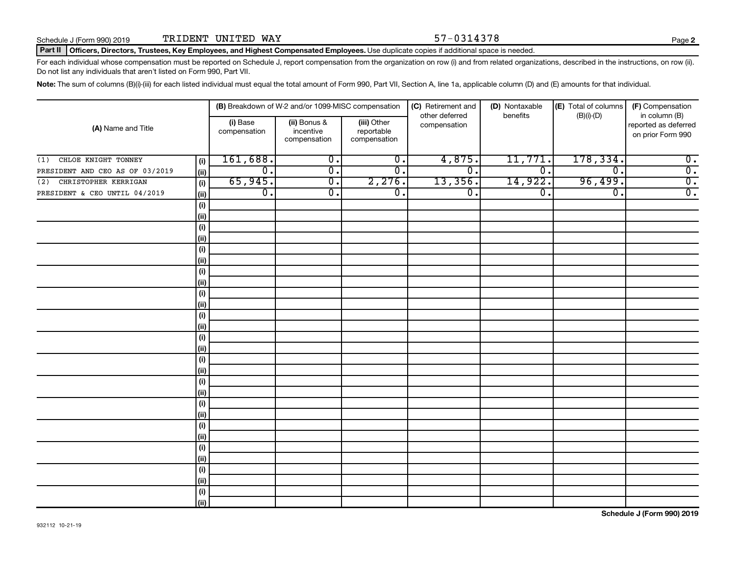#### Part II | Officers, Directors, Trustees, Key Employees, and Highest Compensated Employees. Use duplicate copies if additional space is needed.

For each individual whose compensation must be reported on Schedule J, report compensation from the organization on row (i) and from related organizations, described in the instructions, on row (ii). Do not list any individuals that aren't listed on Form 990, Part VII.

Note: The sum of columns (B)(i)-(iii) for each listed individual must equal the total amount of Form 990, Part VII, Section A, line 1a, applicable column (D) and (E) amounts for that individual.

|                                 |                                     | (B) Breakdown of W-2 and/or 1099-MISC compensation |                                           | (C) Retirement and             | (D) Nontaxable   | (E) Total of columns        | (F) Compensation                                           |
|---------------------------------|-------------------------------------|----------------------------------------------------|-------------------------------------------|--------------------------------|------------------|-----------------------------|------------------------------------------------------------|
| (A) Name and Title              | (i) Base<br>compensation            | (ii) Bonus &<br>incentive<br>compensation          | (iii) Other<br>reportable<br>compensation | other deferred<br>compensation | benefits         | $(B)(i)$ - $(D)$            | in column (B)<br>reported as deferred<br>on prior Form 990 |
| CHLOE KNIGHT TONNEY<br>(1)      | 161,688.<br>(i)                     | $\overline{0}$ .                                   | $\overline{0}$ .                          | 4,875.                         | 11,771.          | 178,334.                    | $\overline{0}$ .                                           |
| PRESIDENT AND CEO AS OF 03/2019 | $\overline{\mathfrak{o}}$ .<br>(ii) | $\overline{0}$ .                                   | $\overline{\mathfrak{o}}$ .               | $\overline{0}$ .               | $\overline{0}$ . | $\overline{\mathfrak{o}}$ . | $\overline{0}$ .                                           |
| (2) CHRISTOPHER KERRIGAN        | 65,945.<br>(i)                      | $\overline{0}$ .                                   | 2,276.                                    | 13,356.                        | 14,922.          | 96,499.                     | $\overline{0}$ .                                           |
| PRESIDENT & CEO UNTIL 04/2019   | $\overline{0}$ .<br>(ii)            | $\overline{\mathfrak{o}}$ .                        | $\overline{\mathfrak{o}}$ .               | $\overline{0}$ .               | $\overline{0}$ . | $\overline{\mathfrak{o}}$ . | $\overline{0}$ .                                           |
|                                 | (i)                                 |                                                    |                                           |                                |                  |                             |                                                            |
|                                 | (ii)                                |                                                    |                                           |                                |                  |                             |                                                            |
|                                 | $(\sf{i})$                          |                                                    |                                           |                                |                  |                             |                                                            |
|                                 | (ii)                                |                                                    |                                           |                                |                  |                             |                                                            |
|                                 | $(\sf{i})$                          |                                                    |                                           |                                |                  |                             |                                                            |
|                                 | (ii)                                |                                                    |                                           |                                |                  |                             |                                                            |
|                                 | $(\sf{i})$                          |                                                    |                                           |                                |                  |                             |                                                            |
|                                 | (ii)                                |                                                    |                                           |                                |                  |                             |                                                            |
|                                 | $(\sf{i})$                          |                                                    |                                           |                                |                  |                             |                                                            |
|                                 | (ii)                                |                                                    |                                           |                                |                  |                             |                                                            |
|                                 | $(\sf{i})$                          |                                                    |                                           |                                |                  |                             |                                                            |
| (ii)                            |                                     |                                                    |                                           |                                |                  |                             |                                                            |
|                                 | $(\sf{i})$                          |                                                    |                                           |                                |                  |                             |                                                            |
| (i)                             |                                     |                                                    |                                           |                                |                  |                             |                                                            |
|                                 | (i)                                 |                                                    |                                           |                                |                  |                             |                                                            |
| (i)                             |                                     |                                                    |                                           |                                |                  |                             |                                                            |
|                                 | (i)<br>(ii)                         |                                                    |                                           |                                |                  |                             |                                                            |
|                                 | (i)                                 |                                                    |                                           |                                |                  |                             |                                                            |
|                                 | (ii)                                |                                                    |                                           |                                |                  |                             |                                                            |
|                                 | (i)                                 |                                                    |                                           |                                |                  |                             |                                                            |
|                                 | (ii)                                |                                                    |                                           |                                |                  |                             |                                                            |
|                                 | (i)                                 |                                                    |                                           |                                |                  |                             |                                                            |
|                                 | (ii)                                |                                                    |                                           |                                |                  |                             |                                                            |
|                                 | (i)                                 |                                                    |                                           |                                |                  |                             |                                                            |
|                                 | (ii)                                |                                                    |                                           |                                |                  |                             |                                                            |
|                                 | $(\sf{i})$                          |                                                    |                                           |                                |                  |                             |                                                            |
|                                 | (ii)                                |                                                    |                                           |                                |                  |                             |                                                            |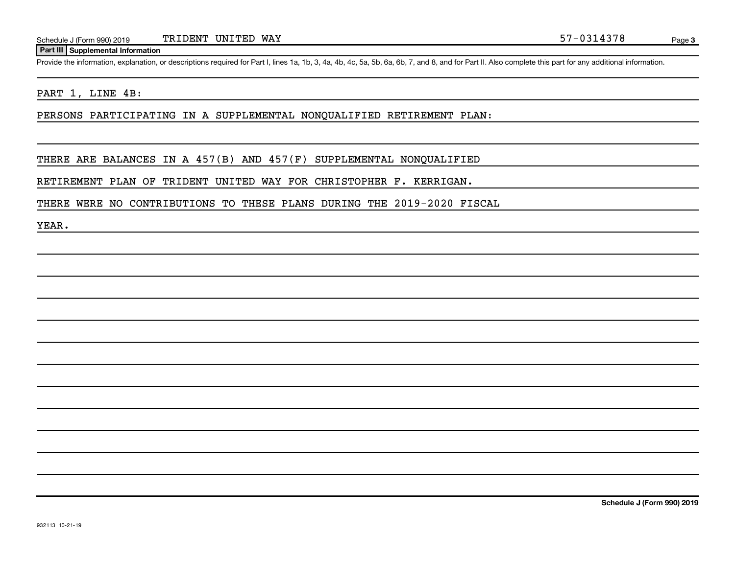#### **Part III Supplemental Information**

Provide the information, explanation, or descriptions required for Part I, lines 1a, 1b, 3, 4a, 4b, 4c, 5a, 5b, 6a, 6b, 7, and 8, and for Part II. Also complete this part for any additional information.

#### PART 1, LINE 4B:

PERSONS PARTICIPATING IN A SUPPLEMENTAL NONQUALIFIED RETIREMENT PLAN:

THERE ARE BALANCES IN A 457(B) AND 457(F) SUPPLEMENTAL NONQUALIFIED

RETIREMENT PLAN OF TRIDENT UNITED WAY FOR CHRISTOPHER F. KERRIGAN.

THERE WERE NO CONTRIBUTIONS TO THESE PLANS DURING THE 2019-2020 FISCAL

YEAR.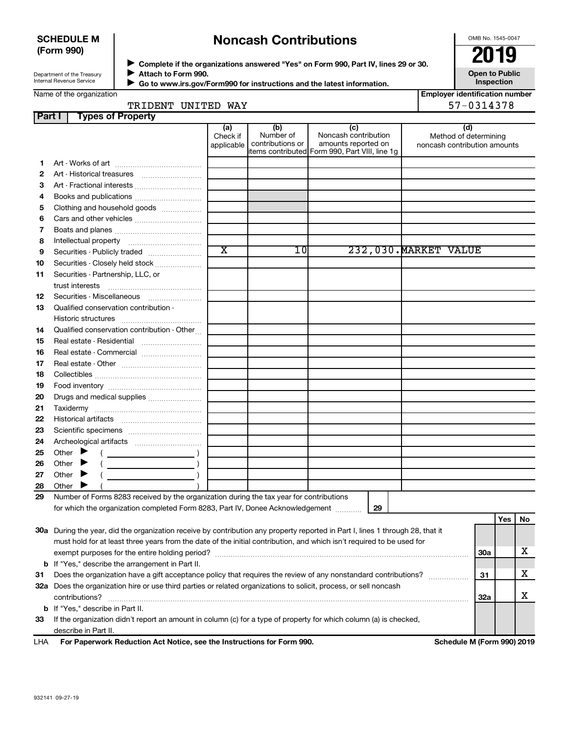### **SCHEDULE M (Form 990)**

# **Noncash Contributions**

OMB No. 1545-0047

| Department of the Treasury |  |
|----------------------------|--|
| Internal Revenue Service   |  |

**Complete if the organizations answered "Yes" on Form 990, Part IV, lines 29 or 30. Attach to Form 990.** →<br>**→** Complete if the organizations answered "Yes" on Form 990, Part IV, lines 29 or 30.<br>→ Complete if the organizations answered "Yes" on Form 990, Part IV, lines 29 or 30.  $\blacktriangleright$ 

**Open to Public Inspection**

|  | Name of the organization |
|--|--------------------------|
|  |                          |
|  |                          |

 **Go to www.irs.gov/Form990 for instructions and the latest information.** J

| ation |  |  |  |  |  |
|-------|--|--|--|--|--|
|       |  |  |  |  |  |

**Employer identification number** 57-0314378

| TRIDENT UNITED | WAY |  |
|----------------|-----|--|
|                |     |  |
|                |     |  |

| Part I | <b>Types of Property</b>                                                                                                       |                        |                               |                                                |                                                       |            |     |    |
|--------|--------------------------------------------------------------------------------------------------------------------------------|------------------------|-------------------------------|------------------------------------------------|-------------------------------------------------------|------------|-----|----|
|        |                                                                                                                                | (a)                    | (b)                           | (c)                                            | (d)                                                   |            |     |    |
|        |                                                                                                                                | Check if<br>applicable | Number of<br>contributions or | Noncash contribution<br>amounts reported on    | Method of determining<br>noncash contribution amounts |            |     |    |
|        |                                                                                                                                |                        |                               | items contributed Form 990, Part VIII, line 1g |                                                       |            |     |    |
| 1.     |                                                                                                                                |                        |                               |                                                |                                                       |            |     |    |
| 2      | Art - Historical treasures                                                                                                     |                        |                               |                                                |                                                       |            |     |    |
| З      | Art - Fractional interests                                                                                                     |                        |                               |                                                |                                                       |            |     |    |
| 4      | Books and publications                                                                                                         |                        |                               |                                                |                                                       |            |     |    |
| 5      | Clothing and household goods                                                                                                   |                        |                               |                                                |                                                       |            |     |    |
| 6      | Cars and other vehicles                                                                                                        |                        |                               |                                                |                                                       |            |     |    |
| 7      |                                                                                                                                |                        |                               |                                                |                                                       |            |     |    |
| 8      |                                                                                                                                |                        |                               |                                                |                                                       |            |     |    |
| 9      | Securities - Publicly traded                                                                                                   | $\overline{\text{x}}$  | 1 Ol                          |                                                | 232,030. MARKET VALUE                                 |            |     |    |
| 10     | Securities - Closely held stock                                                                                                |                        |                               |                                                |                                                       |            |     |    |
| 11     | Securities - Partnership, LLC, or                                                                                              |                        |                               |                                                |                                                       |            |     |    |
|        | trust interests                                                                                                                |                        |                               |                                                |                                                       |            |     |    |
| 12     | Securities - Miscellaneous                                                                                                     |                        |                               |                                                |                                                       |            |     |    |
| 13     | Qualified conservation contribution -                                                                                          |                        |                               |                                                |                                                       |            |     |    |
|        |                                                                                                                                |                        |                               |                                                |                                                       |            |     |    |
| 14     | Qualified conservation contribution - Other                                                                                    |                        |                               |                                                |                                                       |            |     |    |
| 15     | Real estate - Residential                                                                                                      |                        |                               |                                                |                                                       |            |     |    |
| 16     | Real estate - Commercial                                                                                                       |                        |                               |                                                |                                                       |            |     |    |
| 17     |                                                                                                                                |                        |                               |                                                |                                                       |            |     |    |
| 18     |                                                                                                                                |                        |                               |                                                |                                                       |            |     |    |
| 19     |                                                                                                                                |                        |                               |                                                |                                                       |            |     |    |
| 20     | Drugs and medical supplies                                                                                                     |                        |                               |                                                |                                                       |            |     |    |
| 21     |                                                                                                                                |                        |                               |                                                |                                                       |            |     |    |
| 22     |                                                                                                                                |                        |                               |                                                |                                                       |            |     |    |
| 23     |                                                                                                                                |                        |                               |                                                |                                                       |            |     |    |
| 24     |                                                                                                                                |                        |                               |                                                |                                                       |            |     |    |
| 25     | Other $\blacktriangleright$                                                                                                    |                        |                               |                                                |                                                       |            |     |    |
| 26     | Other                                                                                                                          |                        |                               |                                                |                                                       |            |     |    |
| 27     | Other                                                                                                                          |                        |                               |                                                |                                                       |            |     |    |
| 28     | Other $\overline{\phantom{a}}$                                                                                                 |                        |                               |                                                |                                                       |            |     |    |
| 29     | Number of Forms 8283 received by the organization during the tax year for contributions                                        |                        |                               |                                                |                                                       |            |     |    |
|        | for which the organization completed Form 8283, Part IV, Donee Acknowledgement                                                 |                        |                               | 29                                             |                                                       |            |     |    |
|        |                                                                                                                                |                        |                               |                                                |                                                       |            | Yes | No |
|        | 30a During the year, did the organization receive by contribution any property reported in Part I, lines 1 through 28, that it |                        |                               |                                                |                                                       |            |     |    |
|        | must hold for at least three years from the date of the initial contribution, and which isn't required to be used for          |                        |                               |                                                |                                                       |            |     |    |
|        |                                                                                                                                |                        |                               |                                                |                                                       | <b>30a</b> |     | х  |
|        | <b>b</b> If "Yes," describe the arrangement in Part II.                                                                        |                        |                               |                                                |                                                       |            |     |    |
| 31     | Does the organization have a gift acceptance policy that requires the review of any nonstandard contributions?                 |                        |                               |                                                |                                                       | 31         |     | х  |
|        | 32a Does the organization hire or use third parties or related organizations to solicit, process, or sell noncash              |                        |                               |                                                |                                                       |            |     |    |
|        | contributions?                                                                                                                 |                        |                               |                                                |                                                       | 32a        |     | х  |
|        | <b>b</b> If "Yes," describe in Part II.                                                                                        |                        |                               |                                                |                                                       |            |     |    |
| 33     | If the organization didn't report an amount in column (c) for a type of property for which column (a) is checked,              |                        |                               |                                                |                                                       |            |     |    |
|        | describe in Part II.                                                                                                           |                        |                               |                                                |                                                       |            |     |    |
| LHA    | For Paperwork Reduction Act Notice, see the Instructions for Form 990.                                                         |                        |                               |                                                | Schedule M (Form 990) 2019                            |            |     |    |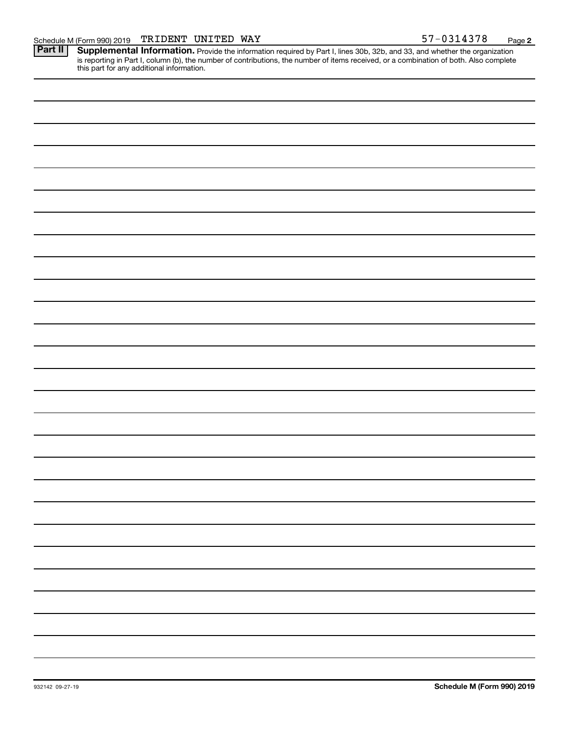Provide the information required by Part I, lines 30b, 32b, and 33, and whether the organization is reporting in Part I, column (b), the number of contributions, the number of items received, or a combination of both. Also complete this part for any additional information. **Part II Supplemental Information.**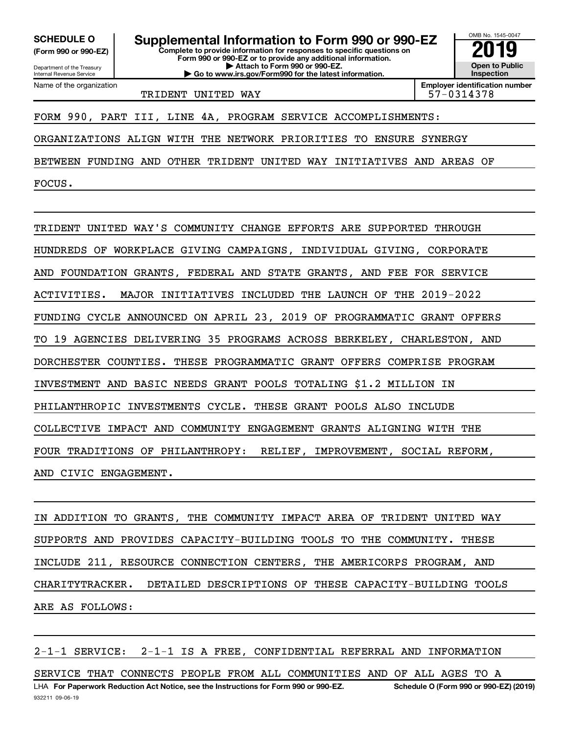**(Form 990 or 990-EZ)**

Department of the Treasury Internal Revenue Service Name of the organization

**Complete to provide information for responses to specific questions on Form 990 or 990-EZ or to provide any additional information. | Attach to Form 990 or 990-EZ. | Go to www.irs.gov/Form990 for the latest information.** SCHEDULE O **Supplemental Information to Form 990 or 990-EZ** 2019<br>(Form 990 or 990-EZ) **2019** 



TRIDENT UNITED WAY TRIDENT 197-0314378

**Employer identification number**

### FORM 990, PART III, LINE 4A, PROGRAM SERVICE ACCOMPLISHMENTS:

ORGANIZATIONS ALIGN WITH THE NETWORK PRIORITIES TO ENSURE SYNERGY

BETWEEN FUNDING AND OTHER TRIDENT UNITED WAY INITIATIVES AND AREAS OF

FOCUS.

TRIDENT UNITED WAY'S COMMUNITY CHANGE EFFORTS ARE SUPPORTED THROUGH HUNDREDS OF WORKPLACE GIVING CAMPAIGNS, INDIVIDUAL GIVING, CORPORATE AND FOUNDATION GRANTS, FEDERAL AND STATE GRANTS, AND FEE FOR SERVICE ACTIVITIES. MAJOR INITIATIVES INCLUDED THE LAUNCH OF THE 2019-2022 FUNDING CYCLE ANNOUNCED ON APRIL 23, 2019 OF PROGRAMMATIC GRANT OFFERS TO 19 AGENCIES DELIVERING 35 PROGRAMS ACROSS BERKELEY, CHARLESTON, AND DORCHESTER COUNTIES. THESE PROGRAMMATIC GRANT OFFERS COMPRISE PROGRAM INVESTMENT AND BASIC NEEDS GRANT POOLS TOTALING \$1.2 MILLION IN PHILANTHROPIC INVESTMENTS CYCLE. THESE GRANT POOLS ALSO INCLUDE COLLECTIVE IMPACT AND COMMUNITY ENGAGEMENT GRANTS ALIGNING WITH THE FOUR TRADITIONS OF PHILANTHROPY: RELIEF, IMPROVEMENT, SOCIAL REFORM, AND CIVIC ENGAGEMENT.

IN ADDITION TO GRANTS, THE COMMUNITY IMPACT AREA OF TRIDENT UNITED WAY SUPPORTS AND PROVIDES CAPACITY-BUILDING TOOLS TO THE COMMUNITY. THESE INCLUDE 211, RESOURCE CONNECTION CENTERS, THE AMERICORPS PROGRAM, AND CHARITYTRACKER. DETAILED DESCRIPTIONS OF THESE CAPACITY-BUILDING TOOLS ARE AS FOLLOWS:

2-1-1 SERVICE: 2-1-1 IS A FREE, CONFIDENTIAL REFERRAL AND INFORMATION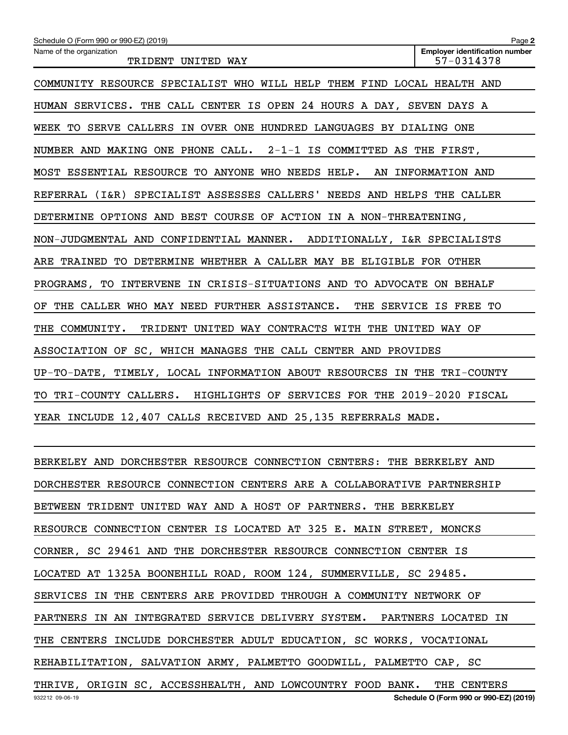| Schedule O (Form 990 or 990-EZ) (2019)                                  | Page 2                                              |
|-------------------------------------------------------------------------|-----------------------------------------------------|
| Name of the organization<br>TRIDENT UNITED WAY                          | <b>Employer identification number</b><br>57-0314378 |
| COMMUNITY RESOURCE SPECIALIST WHO WILL HELP THEM FIND LOCAL HEALTH AND  |                                                     |
| HUMAN SERVICES. THE CALL CENTER IS OPEN 24 HOURS A DAY, SEVEN DAYS A    |                                                     |
| WEEK TO SERVE CALLERS IN OVER ONE HUNDRED LANGUAGES BY DIALING ONE      |                                                     |
| NUMBER AND MAKING ONE PHONE CALL. $2-1-1$ is committed as the first,    |                                                     |
| MOST ESSENTIAL RESOURCE TO ANYONE WHO NEEDS HELP. AN INFORMATION AND    |                                                     |
| REFERRAL (I&R) SPECIALIST ASSESSES CALLERS' NEEDS AND HELPS THE CALLER  |                                                     |
| DETERMINE OPTIONS AND BEST COURSE OF ACTION IN A NON-THREATENING,       |                                                     |
| NON-JUDGMENTAL AND CONFIDENTIAL MANNER. ADDITIONALLY, I&R SPECIALISTS   |                                                     |
| ARE TRAINED TO DETERMINE WHETHER A CALLER MAY BE ELIGIBLE FOR OTHER     |                                                     |
| PROGRAMS, TO INTERVENE IN CRISIS-SITUATIONS AND TO ADVOCATE ON BEHALF   |                                                     |
| THE CALLER WHO MAY NEED FURTHER ASSISTANCE.<br>OF.                      | THE SERVICE IS FREE TO                              |
| THE COMMUNITY. TRIDENT UNITED WAY CONTRACTS WITH THE UNITED WAY OF      |                                                     |
| ASSOCIATION OF SC, WHICH MANAGES THE CALL CENTER AND PROVIDES           |                                                     |
| UP-TO-DATE, TIMELY, LOCAL INFORMATION ABOUT RESOURCES IN THE TRI-COUNTY |                                                     |
| TO TRI-COUNTY CALLERS. HIGHLIGHTS OF SERVICES FOR THE 2019-2020 FISCAL  |                                                     |
| YEAR INCLUDE 12,407 CALLS RECEIVED AND 25,135 REFERRALS MADE.           |                                                     |
|                                                                         |                                                     |

932212 09-06-19 **Schedule O (Form 990 or 990-EZ) (2019)** BERKELEY AND DORCHESTER RESOURCE CONNECTION CENTERS: THE BERKELEY AND DORCHESTER RESOURCE CONNECTION CENTERS ARE A COLLABORATIVE PARTNERSHIP BETWEEN TRIDENT UNITED WAY AND A HOST OF PARTNERS. THE BERKELEY RESOURCE CONNECTION CENTER IS LOCATED AT 325 E. MAIN STREET, MONCKS CORNER, SC 29461 AND THE DORCHESTER RESOURCE CONNECTION CENTER IS LOCATED AT 1325A BOONEHILL ROAD, ROOM 124, SUMMERVILLE, SC 29485. SERVICES IN THE CENTERS ARE PROVIDED THROUGH A COMMUNITY NETWORK OF PARTNERS IN AN INTEGRATED SERVICE DELIVERY SYSTEM. PARTNERS LOCATED IN THE CENTERS INCLUDE DORCHESTER ADULT EDUCATION, SC WORKS, VOCATIONAL REHABILITATION, SALVATION ARMY, PALMETTO GOODWILL, PALMETTO CAP, SC THRIVE, ORIGIN SC, ACCESSHEALTH, AND LOWCOUNTRY FOOD BANK. THE CENTERS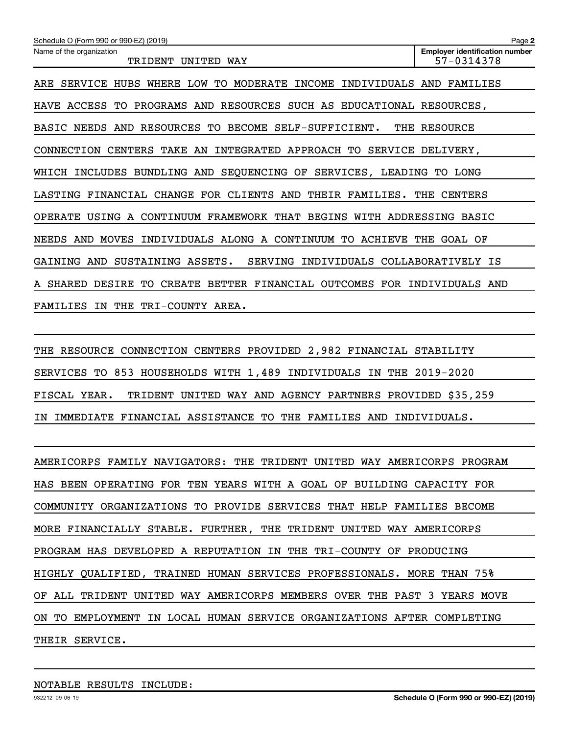| Schedule O (Form 990 or 990-EZ) (2019)                                                   | Page 2                                              |
|------------------------------------------------------------------------------------------|-----------------------------------------------------|
| Name of the organization<br>TRIDENT<br>UNITED<br>WAY                                     | <b>Employer identification number</b><br>57-0314378 |
| ARE SERVICE HUBS WHERE LOW TO<br>MODERATE INCOME<br>INDIVIDUALS AND                      | FAMILIES                                            |
| HAVE ACCESS TO PROGRAMS AND RESOURCES SUCH AS EDUCATIONAL RESOURCES,                     |                                                     |
| BASIC NEEDS AND RESOURCES TO BECOME<br>SELF-SUFFICIENT.                                  | THE RESOURCE                                        |
| CONNECTION CENTERS TAKE AN INTEGRATED APPROACH TO SERVICE DELIVERY,                      |                                                     |
| WHICH INCLUDES BUNDLING AND SEQUENCING OF SERVICES, LEADING TO LONG                      |                                                     |
| LASTING FINANCIAL CHANGE FOR CLIENTS AND THEIR FAMILIES. THE CENTERS                     |                                                     |
| OPERATE USING A CONTINUUM FRAMEWORK THAT BEGINS WITH ADDRESSING BASIC                    |                                                     |
| NEEDS AND MOVES INDIVIDUALS ALONG A CONTINUUM TO ACHIEVE                                 | THE GOAL OF                                         |
| SUSTAINING ASSETS.<br><b>SERVING</b><br>INDIVIDUALS COLLABORATIVELY IS<br>GAINING<br>AND |                                                     |
| CREATE BETTER FINANCIAL OUTCOMES FOR INDIVIDUALS AND<br>DESIRE TO<br>A SHARED            |                                                     |
| FAMILIES IN THE TRI-COUNTY AREA.                                                         |                                                     |

THE RESOURCE CONNECTION CENTERS PROVIDED 2,982 FINANCIAL STABILITY SERVICES TO 853 HOUSEHOLDS WITH 1,489 INDIVIDUALS IN THE 2019-2020 FISCAL YEAR. TRIDENT UNITED WAY AND AGENCY PARTNERS PROVIDED \$35,259 IN IMMEDIATE FINANCIAL ASSISTANCE TO THE FAMILIES AND INDIVIDUALS.

AMERICORPS FAMILY NAVIGATORS: THE TRIDENT UNITED WAY AMERICORPS PROGRAM HAS BEEN OPERATING FOR TEN YEARS WITH A GOAL OF BUILDING CAPACITY FOR COMMUNITY ORGANIZATIONS TO PROVIDE SERVICES THAT HELP FAMILIES BECOME MORE FINANCIALLY STABLE. FURTHER, THE TRIDENT UNITED WAY AMERICORPS PROGRAM HAS DEVELOPED A REPUTATION IN THE TRI-COUNTY OF PRODUCING HIGHLY QUALIFIED, TRAINED HUMAN SERVICES PROFESSIONALS. MORE THAN 75% OF ALL TRIDENT UNITED WAY AMERICORPS MEMBERS OVER THE PAST 3 YEARS MOVE ON TO EMPLOYMENT IN LOCAL HUMAN SERVICE ORGANIZATIONS AFTER COMPLETING THEIR SERVICE.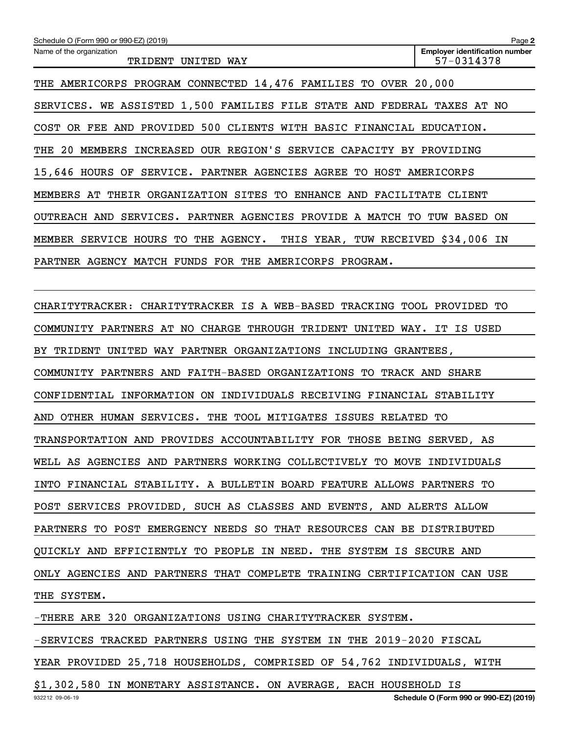| Schedule O (Form 990 or 990-EZ) (2019)                                  | Page 2                                              |
|-------------------------------------------------------------------------|-----------------------------------------------------|
| Name of the organization<br>TRIDENT UNITED WAY                          | <b>Employer identification number</b><br>57-0314378 |
| THE AMERICORPS PROGRAM CONNECTED 14,476 FAMILIES TO OVER 20,000         |                                                     |
| SERVICES. WE ASSISTED 1,500 FAMILIES FILE STATE AND FEDERAL TAXES AT NO |                                                     |
| COST OR FEE AND PROVIDED 500 CLIENTS WITH BASIC FINANCIAL EDUCATION.    |                                                     |
| THE 20 MEMBERS INCREASED OUR REGION'S SERVICE CAPACITY BY PROVIDING     |                                                     |
| 15,646 HOURS OF SERVICE. PARTNER AGENCIES AGREE TO HOST AMERICORPS      |                                                     |
| MEMBERS AT THEIR ORGANIZATION SITES TO ENHANCE AND FACILITATE           | CLIENT                                              |
| OUTREACH AND SERVICES. PARTNER AGENCIES PROVIDE A MATCH TO TUW BASED ON |                                                     |
| MEMBER SERVICE HOURS TO THE AGENCY. THIS YEAR, TUW RECEIVED \$34,006 IN |                                                     |
| PARTNER AGENCY MATCH FUNDS FOR THE AMERICORPS PROGRAM.                  |                                                     |
|                                                                         |                                                     |

CHARITYTRACKER: CHARITYTRACKER IS A WEB-BASED TRACKING TOOL PROVIDED TO COMMUNITY PARTNERS AT NO CHARGE THROUGH TRIDENT UNITED WAY. IT IS USED BY TRIDENT UNITED WAY PARTNER ORGANIZATIONS INCLUDING GRANTEES, COMMUNITY PARTNERS AND FAITH-BASED ORGANIZATIONS TO TRACK AND SHARE CONFIDENTIAL INFORMATION ON INDIVIDUALS RECEIVING FINANCIAL STABILITY AND OTHER HUMAN SERVICES. THE TOOL MITIGATES ISSUES RELATED TO TRANSPORTATION AND PROVIDES ACCOUNTABILITY FOR THOSE BEING SERVED, AS WELL AS AGENCIES AND PARTNERS WORKING COLLECTIVELY TO MOVE INDIVIDUALS INTO FINANCIAL STABILITY. A BULLETIN BOARD FEATURE ALLOWS PARTNERS TO POST SERVICES PROVIDED, SUCH AS CLASSES AND EVENTS, AND ALERTS ALLOW PARTNERS TO POST EMERGENCY NEEDS SO THAT RESOURCES CAN BE DISTRIBUTED QUICKLY AND EFFICIENTLY TO PEOPLE IN NEED. THE SYSTEM IS SECURE AND ONLY AGENCIES AND PARTNERS THAT COMPLETE TRAINING CERTIFICATION CAN USE THE SYSTEM.

932212 09-06-19 -THERE ARE 320 ORGANIZATIONS USING CHARITYTRACKER SYSTEM. -SERVICES TRACKED PARTNERS USING THE SYSTEM IN THE 2019-2020 FISCAL YEAR PROVIDED 25,718 HOUSEHOLDS, COMPRISED OF 54,762 INDIVIDUALS, WITH \$1,302,580 IN MONETARY ASSISTANCE. ON AVERAGE, EACH HOUSEHOLD IS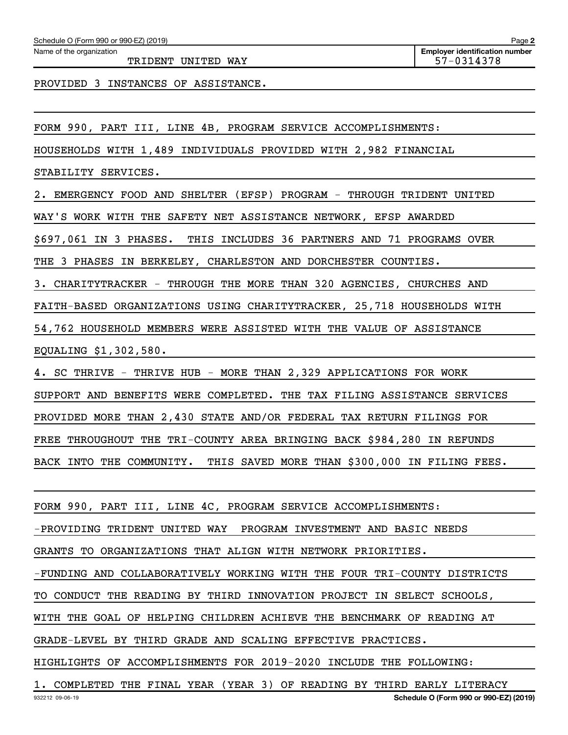TRIDENT UNITED WAY 57-0314378

**Employer identification number**

PROVIDED 3 INSTANCES OF ASSISTANCE.

FORM 990, PART III, LINE 4B, PROGRAM SERVICE ACCOMPLISHMENTS:

HOUSEHOLDS WITH 1,489 INDIVIDUALS PROVIDED WITH 2,982 FINANCIAL

STABILITY SERVICES.

2. EMERGENCY FOOD AND SHELTER (EFSP) PROGRAM - THROUGH TRIDENT UNITED

WAY'S WORK WITH THE SAFETY NET ASSISTANCE NETWORK, EFSP AWARDED

\$697,061 IN 3 PHASES. THIS INCLUDES 36 PARTNERS AND 71 PROGRAMS OVER

THE 3 PHASES IN BERKELEY, CHARLESTON AND DORCHESTER COUNTIES.

3. CHARITYTRACKER - THROUGH THE MORE THAN 320 AGENCIES, CHURCHES AND

FAITH-BASED ORGANIZATIONS USING CHARITYTRACKER, 25,718 HOUSEHOLDS WITH

54,762 HOUSEHOLD MEMBERS WERE ASSISTED WITH THE VALUE OF ASSISTANCE

EQUALING \$1,302,580.

4. SC THRIVE - THRIVE HUB - MORE THAN 2,329 APPLICATIONS FOR WORK

SUPPORT AND BENEFITS WERE COMPLETED. THE TAX FILING ASSISTANCE SERVICES

PROVIDED MORE THAN 2,430 STATE AND/OR FEDERAL TAX RETURN FILINGS FOR

FREE THROUGHOUT THE TRI-COUNTY AREA BRINGING BACK \$984,280 IN REFUNDS

BACK INTO THE COMMUNITY. THIS SAVED MORE THAN \$300,000 IN FILING FEES.

FORM 990, PART III, LINE 4C, PROGRAM SERVICE ACCOMPLISHMENTS:

-PROVIDING TRIDENT UNITED WAY PROGRAM INVESTMENT AND BASIC NEEDS

GRANTS TO ORGANIZATIONS THAT ALIGN WITH NETWORK PRIORITIES.

-FUNDING AND COLLABORATIVELY WORKING WITH THE FOUR TRI-COUNTY DISTRICTS

TO CONDUCT THE READING BY THIRD INNOVATION PROJECT IN SELECT SCHOOLS,

WITH THE GOAL OF HELPING CHILDREN ACHIEVE THE BENCHMARK OF READING AT

GRADE-LEVEL BY THIRD GRADE AND SCALING EFFECTIVE PRACTICES.

HIGHLIGHTS OF ACCOMPLISHMENTS FOR 2019-2020 INCLUDE THE FOLLOWING:

932212 09-06-19 **Schedule O (Form 990 or 990-EZ) (2019)** 1. COMPLETED THE FINAL YEAR (YEAR 3) OF READING BY THIRD EARLY LITERACY

**2**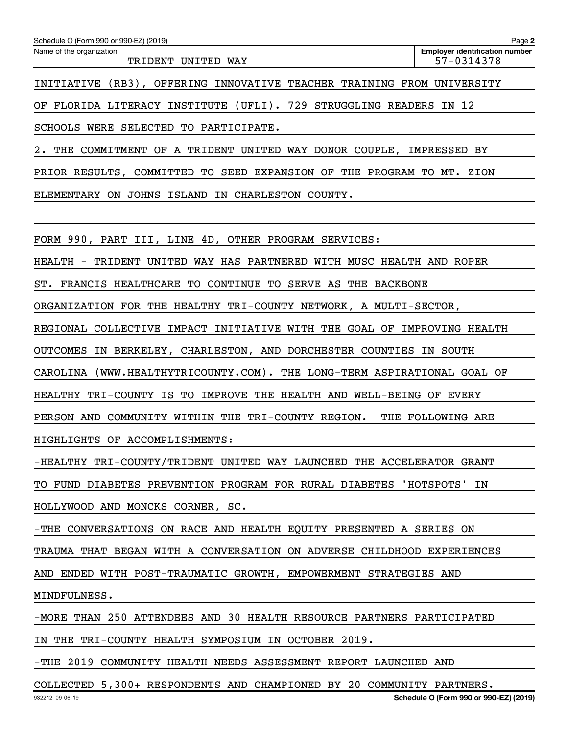| Schedule O (Form 990 or 990-EZ) (2019)                                              | Page 2                                              |
|-------------------------------------------------------------------------------------|-----------------------------------------------------|
| Name of the organization<br>TRIDENT UNITED WAY                                      | <b>Employer identification number</b><br>57-0314378 |
| INITIATIVE (RB3), OFFERING INNOVATIVE TEACHER TRAINING FROM UNIVERSITY              |                                                     |
| OF FLORIDA LITERACY INSTITUTE (UFLI). 729 STRUGGLING READERS IN 12                  |                                                     |
| SCHOOLS WERE SELECTED TO PARTICIPATE.                                               |                                                     |
| 2. THE COMMITMENT OF A TRIDENT UNITED WAY DONOR COUPLE, IMPRESSED BY                |                                                     |
| PRIOR RESULTS, COMMITTED TO SEED EXPANSION OF THE PROGRAM TO MT. ZION               |                                                     |
| ELEMENTARY ON JOHNS ISLAND IN CHARLESTON COUNTY.                                    |                                                     |
|                                                                                     |                                                     |
| FORM 990, PART III, LINE 4D, OTHER PROGRAM SERVICES:                                |                                                     |
| HEALTH - TRIDENT UNITED WAY HAS PARTNERED WITH MUSC HEALTH AND ROPER                |                                                     |
| ST. FRANCIS HEALTHCARE TO CONTINUE TO SERVE AS THE BACKBONE                         |                                                     |
| ORGANIZATION FOR THE HEALTHY TRI-COUNTY NETWORK, A MULTI-SECTOR,                    |                                                     |
| REGIONAL COLLECTIVE IMPACT INITIATIVE WITH THE GOAL OF IMPROVING HEALTH             |                                                     |
| OUTCOMES IN BERKELEY, CHARLESTON, AND DORCHESTER COUNTIES IN SOUTH                  |                                                     |
| CAROLINA (WWW.HEALTHYTRICOUNTY.COM). THE LONG-TERM ASPIRATIONAL GOAL OF             |                                                     |
| HEALTHY TRI-COUNTY IS TO IMPROVE THE HEALTH AND WELL-BEING OF EVERY                 |                                                     |
| PERSON AND COMMUNITY WITHIN THE TRI-COUNTY REGION. THE FOLLOWING ARE                |                                                     |
| HIGHLIGHTS OF ACCOMPLISHMENTS:                                                      |                                                     |
| -HEALTHY TRI-COUNTY/TRIDENT UNITED WAY LAUNCHED THE ACCELERATOR GRANT               |                                                     |
| TO FUND DIABETES PREVENTION PROGRAM FOR RURAL DIABETES 'HOTSPOTS' IN                |                                                     |
| HOLLYWOOD AND MONCKS CORNER, SC.                                                    |                                                     |
| -THE CONVERSATIONS ON RACE AND HEALTH EQUITY PRESENTED A SERIES ON                  |                                                     |
| TRAUMA THAT BEGAN WITH A CONVERSATION ON ADVERSE CHILDHOOD EXPERIENCES              |                                                     |
| AND ENDED WITH POST-TRAUMATIC GROWTH, EMPOWERMENT STRATEGIES AND                    |                                                     |
| MINDFULNESS.                                                                        |                                                     |
| -MORE THAN 250 ATTENDEES AND 30 HEALTH RESOURCE PARTNERS PARTICIPATED               |                                                     |
| IN THE TRI-COUNTY HEALTH SYMPOSIUM IN OCTOBER 2019.                                 |                                                     |
| <u> ספויסוגרים במונחות המסתפת הואפשמספסם במספט והיום והווידים מסוים מסוי</u> ם היום |                                                     |

-THE 2019 COMMUNITY HEALTH NEEDS ASSESSMENT REPORT LAUNCHED AND

COLLECTED 5,300+ RESPONDENTS AND CHAMPIONED BY 20 COMMUNITY PARTNERS.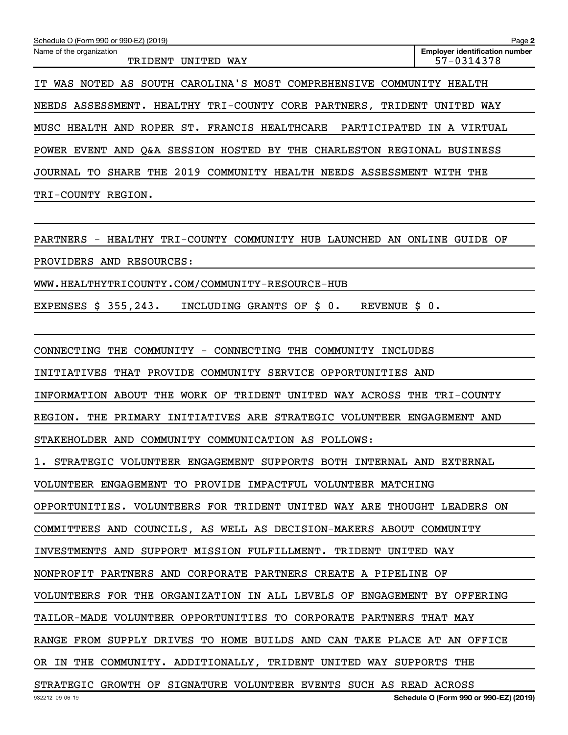| Schedule O (Form 990 or 990-EZ) (2019)                                    | Page 2                                              |
|---------------------------------------------------------------------------|-----------------------------------------------------|
| Name of the organization<br>TRIDENT UNITED WAY                            | <b>Employer identification number</b><br>57-0314378 |
| WAS NOTED AS SOUTH CAROLINA'S MOST COMPREHENSIVE COMMUNITY HEALTH<br>IT   |                                                     |
| NEEDS ASSESSMENT. HEALTHY TRI-COUNTY CORE PARTNERS, TRIDENT UNITED WAY    |                                                     |
| FRANCIS HEALTHCARE<br>MUSC HEALTH AND ROPER ST.                           | PARTICIPATED IN A VIRTUAL                           |
| POWER EVENT AND Q&A SESSION HOSTED BY THE CHARLESTON REGIONAL BUSINESS    |                                                     |
| JOURNAL TO SHARE THE 2019 COMMUNITY HEALTH NEEDS ASSESSMENT WITH THE      |                                                     |
| TRI-COUNTY REGION.                                                        |                                                     |
|                                                                           |                                                     |
| PARTNERS - HEALTHY TRI-COUNTY COMMUNITY HUB LAUNCHED AN ONLINE GUIDE OF   |                                                     |
| PROVIDERS AND RESOURCES:                                                  |                                                     |
| WWW.HEALTHYTRICOUNTY.COM/COMMUNITY-RESOURCE-HUB                           |                                                     |
| EXPENSES \$ 355,243.<br>INCLUDING GRANTS OF \$ 0.<br>REVENUE \$ 0.        |                                                     |
|                                                                           |                                                     |
| CONNECTING THE COMMUNITY - CONNECTING THE COMMUNITY INCLUDES              |                                                     |
| INITIATIVES<br>THAT PROVIDE COMMUNITY SERVICE OPPORTUNITIES AND           |                                                     |
| INFORMATION ABOUT THE WORK OF TRIDENT UNITED WAY ACROSS THE TRI-COUNTY    |                                                     |
| THE PRIMARY INITIATIVES ARE STRATEGIC VOLUNTEER ENGAGEMENT AND<br>REGION. |                                                     |
| STAKEHOLDER AND COMMUNITY COMMUNICATION AS FOLLOWS:                       |                                                     |

1. STRATEGIC VOLUNTEER ENGAGEMENT SUPPORTS BOTH INTERNAL AND EXTERNAL

VOLUNTEER ENGAGEMENT TO PROVIDE IMPACTFUL VOLUNTEER MATCHING

OPPORTUNITIES. VOLUNTEERS FOR TRIDENT UNITED WAY ARE THOUGHT LEADERS ON

COMMITTEES AND COUNCILS, AS WELL AS DECISION-MAKERS ABOUT COMMUNITY

INVESTMENTS AND SUPPORT MISSION FULFILLMENT. TRIDENT UNITED WAY

NONPROFIT PARTNERS AND CORPORATE PARTNERS CREATE A PIPELINE OF

VOLUNTEERS FOR THE ORGANIZATION IN ALL LEVELS OF ENGAGEMENT BY OFFERING

TAILOR-MADE VOLUNTEER OPPORTUNITIES TO CORPORATE PARTNERS THAT MAY

RANGE FROM SUPPLY DRIVES TO HOME BUILDS AND CAN TAKE PLACE AT AN OFFICE

OR IN THE COMMUNITY. ADDITIONALLY, TRIDENT UNITED WAY SUPPORTS THE

STRATEGIC GROWTH OF SIGNATURE VOLUNTEER EVENTS SUCH AS READ ACROSS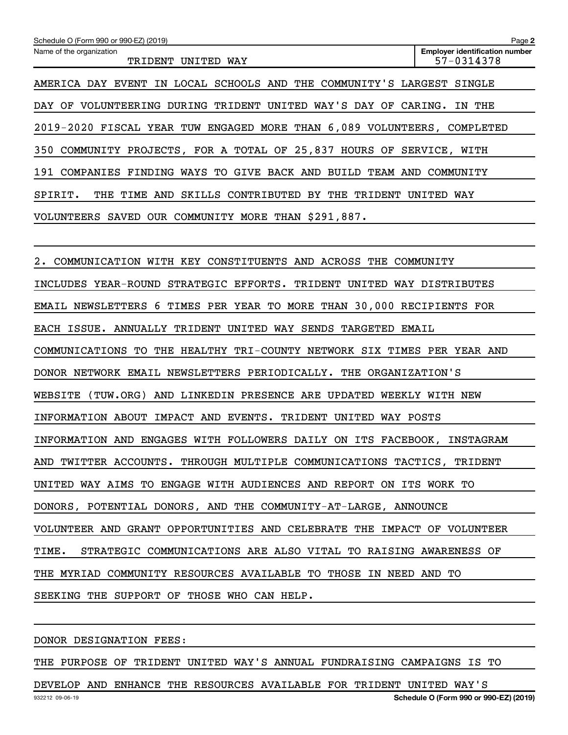| Schedule O (Form 990 or 990-EZ) (2019)                                  | Page 2                                              |
|-------------------------------------------------------------------------|-----------------------------------------------------|
| Name of the organization<br>TRIDENT UNITED WAY                          | <b>Employer identification number</b><br>57-0314378 |
| AMERICA DAY EVENT IN LOCAL SCHOOLS AND THE COMMUNITY'S LARGEST SINGLE   |                                                     |
| DAY OF VOLUNTEERING DURING TRIDENT UNITED WAY'S DAY OF CARING. IN THE   |                                                     |
| 2019-2020 FISCAL YEAR TUW ENGAGED MORE THAN 6,089 VOLUNTEERS, COMPLETED |                                                     |
| 350 COMMUNITY PROJECTS, FOR A TOTAL OF 25,837 HOURS OF SERVICE, WITH    |                                                     |
| 191 COMPANIES FINDING WAYS TO GIVE BACK AND BUILD TEAM AND COMMUNITY    |                                                     |
| SPIRIT. THE TIME AND SKILLS CONTRIBUTED BY THE TRIDENT UNITED WAY       |                                                     |
| VOLUNTEERS SAVED OUR COMMUNITY MORE THAN \$291,887.                     |                                                     |
|                                                                         |                                                     |
| 2. COMMUNICATION WITH KEY CONSTITUENTS AND ACROSS THE COMMUNITY         |                                                     |
| INCLUDES YEAR-ROUND STRATEGIC EFFORTS. TRIDENT UNITED WAY DISTRIBUTES   |                                                     |
| EMAIL NEWSLETTERS 6 TIMES PER YEAR TO MORE THAN 30,000 RECIPIENTS FOR   |                                                     |
| EACH ISSUE. ANNUALLY TRIDENT UNITED WAY SENDS TARGETED EMAIL            |                                                     |
| COMMUNICATIONS TO THE HEALTHY TRI-COUNTY NETWORK SIX TIMES PER YEAR AND |                                                     |
| DONOR NETWORK EMAIL NEWSLETTERS PERIODICALLY. THE ORGANIZATION'S        |                                                     |
| WEBSITE (TUW.ORG) AND LINKEDIN PRESENCE ARE UPDATED WEEKLY WITH NEW     |                                                     |
| INFORMATION ABOUT IMPACT AND EVENTS. TRIDENT UNITED WAY POSTS           |                                                     |
| INFORMATION AND ENGAGES WITH FOLLOWERS DAILY ON ITS FACEBOOK, INSTAGRAM |                                                     |
| AND TWITTER ACCOUNTS. THROUGH MULTIPLE COMMUNICATIONS TACTICS, TRIDENT  |                                                     |
| UNITED WAY AIMS TO ENGAGE WITH AUDIENCES AND REPORT ON ITS WORK TO      |                                                     |
| DONORS, POTENTIAL DONORS, AND THE COMMUNITY-AT-LARGE, ANNOUNCE          |                                                     |
| VOLUNTEER AND GRANT OPPORTUNITIES AND CELEBRATE THE IMPACT OF VOLUNTEER |                                                     |
| TIME. STRATEGIC COMMUNICATIONS ARE ALSO VITAL TO RAISING AWARENESS OF   |                                                     |
| THE MYRIAD COMMUNITY RESOURCES AVAILABLE TO THOSE IN NEED AND TO        |                                                     |
| SEEKING THE SUPPORT OF THOSE WHO CAN HELP.                              |                                                     |
|                                                                         |                                                     |

DONOR DESIGNATION FEES:

THE PURPOSE OF TRIDENT UNITED WAY'S ANNUAL FUNDRAISING CAMPAIGNS IS TO

932212 09-06-19 **Schedule O (Form 990 or 990-EZ) (2019)** DEVELOP AND ENHANCE THE RESOURCES AVAILABLE FOR TRIDENT UNITED WAY'S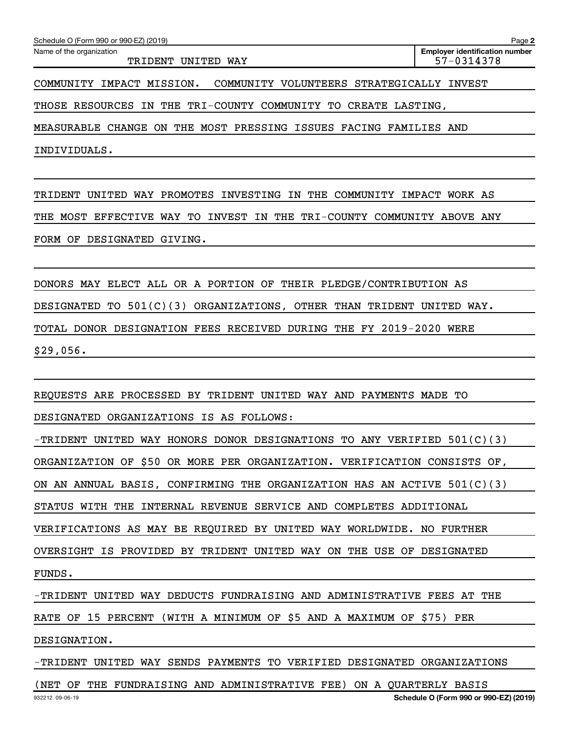| Schedule O (Form 990 or 990-EZ) (2019)<br>Page 2                       |                                                     |  |  |  |
|------------------------------------------------------------------------|-----------------------------------------------------|--|--|--|
| Name of the organization<br>TRIDENT UNITED WAY                         | <b>Employer identification number</b><br>57-0314378 |  |  |  |
| COMMUNITY VOLUNTEERS STRATEGICALLY INVEST<br>COMMUNITY IMPACT MISSION. |                                                     |  |  |  |
| THOSE RESOURCES IN THE TRI-COUNTY COMMUNITY TO CREATE LASTING,         |                                                     |  |  |  |

MEASURABLE CHANGE ON THE MOST PRESSING ISSUES FACING FAMILIES AND

INDIVIDUALS.

TRIDENT UNITED WAY PROMOTES INVESTING IN THE COMMUNITY IMPACT WORK AS THE MOST EFFECTIVE WAY TO INVEST IN THE TRI-COUNTY COMMUNITY ABOVE ANY FORM OF DESIGNATED GIVING.

DONORS MAY ELECT ALL OR A PORTION OF THEIR PLEDGE/CONTRIBUTION AS DESIGNATED TO 501(C)(3) ORGANIZATIONS, OTHER THAN TRIDENT UNITED WAY. TOTAL DONOR DESIGNATION FEES RECEIVED DURING THE FY 2019-2020 WERE \$29,056.

REQUESTS ARE PROCESSED BY TRIDENT UNITED WAY AND PAYMENTS MADE TO

DESIGNATED ORGANIZATIONS IS AS FOLLOWS:

-TRIDENT UNITED WAY HONORS DONOR DESIGNATIONS TO ANY VERIFIED  $501(C)(3)$ 

ORGANIZATION OF \$50 OR MORE PER ORGANIZATION. VERIFICATION CONSISTS OF,

ON AN ANNUAL BASIS, CONFIRMING THE ORGANIZATION HAS AN ACTIVE 501(C)(3)

STATUS WITH THE INTERNAL REVENUE SERVICE AND COMPLETES ADDITIONAL

VERIFICATIONS AS MAY BE REQUIRED BY UNITED WAY WORLDWIDE. NO FURTHER

OVERSIGHT IS PROVIDED BY TRIDENT UNITED WAY ON THE USE OF DESIGNATED

FUNDS.

-TRIDENT UNITED WAY DEDUCTS FUNDRAISING AND ADMINISTRATIVE FEES AT THE

RATE OF 15 PERCENT (WITH A MINIMUM OF \$5 AND A MAXIMUM OF \$75) PER

DESIGNATION.

-TRIDENT UNITED WAY SENDS PAYMENTS TO VERIFIED DESIGNATED ORGANIZATIONS

(NET OF THE FUNDRAISING AND ADMINISTRATIVE FEE) ON A QUARTERLY BASIS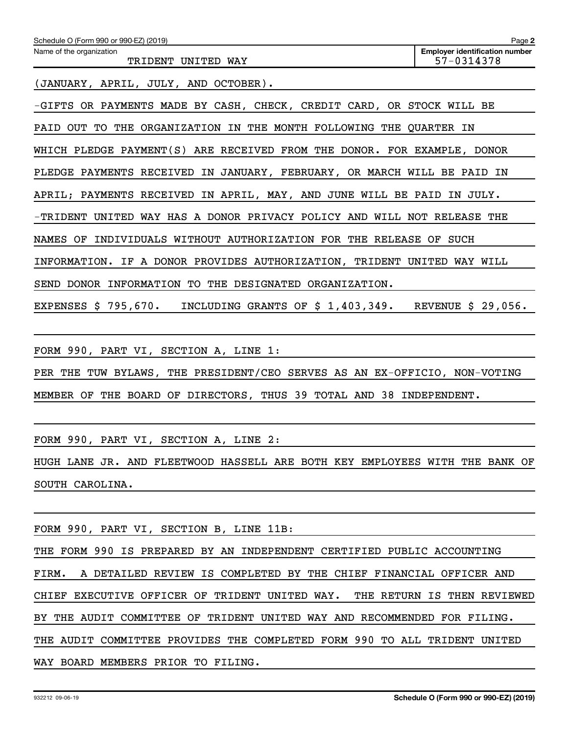| Schedule O (Form 990 or 990-EZ) (2019)                                    | Page 2                                              |
|---------------------------------------------------------------------------|-----------------------------------------------------|
| Name of the organization<br>TRIDENT UNITED WAY                            | <b>Employer identification number</b><br>57-0314378 |
| (JANUARY, APRIL, JULY, AND OCTOBER).                                      |                                                     |
| -GIFTS OR PAYMENTS MADE BY CASH, CHECK, CREDIT CARD, OR STOCK WILL BE     |                                                     |
| PAID OUT TO THE ORGANIZATION IN THE MONTH FOLLOWING THE QUARTER IN        |                                                     |
| WHICH PLEDGE PAYMENT(S) ARE RECEIVED FROM THE DONOR. FOR EXAMPLE, DONOR   |                                                     |
| PLEDGE PAYMENTS RECEIVED IN JANUARY, FEBRUARY, OR MARCH WILL BE PAID IN   |                                                     |
| APRIL; PAYMENTS RECEIVED IN APRIL, MAY, AND JUNE WILL BE PAID IN JULY.    |                                                     |
| -TRIDENT UNITED WAY HAS A DONOR PRIVACY POLICY AND WILL NOT RELEASE THE   |                                                     |
| NAMES OF INDIVIDUALS WITHOUT AUTHORIZATION FOR THE RELEASE OF SUCH        |                                                     |
| INFORMATION. IF A DONOR PROVIDES AUTHORIZATION, TRIDENT UNITED WAY WILL   |                                                     |
| SEND DONOR INFORMATION TO THE DESIGNATED ORGANIZATION.                    |                                                     |
| EXPENSES \$ 795,670. INCLUDING GRANTS OF \$ 1,403,349. REVENUE \$ 29,056. |                                                     |
|                                                                           |                                                     |
| FORM 990, PART VI, SECTION A, LINE 1:                                     |                                                     |
| PER THE TUW BYLAWS, THE PRESIDENT/CEO SERVES AS AN EX-OFFICIO, NON-VOTING |                                                     |
| MEMBER OF THE BOARD OF DIRECTORS, THUS 39 TOTAL AND 38 INDEPENDENT.       |                                                     |

FORM 990, PART VI, SECTION A, LINE 2:

HUGH LANE JR. AND FLEETWOOD HASSELL ARE BOTH KEY EMPLOYEES WITH THE BANK OF SOUTH CAROLINA.

FORM 990, PART VI, SECTION B, LINE 11B:

THE FORM 990 IS PREPARED BY AN INDEPENDENT CERTIFIED PUBLIC ACCOUNTING FIRM. A DETAILED REVIEW IS COMPLETED BY THE CHIEF FINANCIAL OFFICER AND CHIEF EXECUTIVE OFFICER OF TRIDENT UNITED WAY. THE RETURN IS THEN REVIEWED BY THE AUDIT COMMITTEE OF TRIDENT UNITED WAY AND RECOMMENDED FOR FILING. THE AUDIT COMMITTEE PROVIDES THE COMPLETED FORM 990 TO ALL TRIDENT UNITED WAY BOARD MEMBERS PRIOR TO FILING.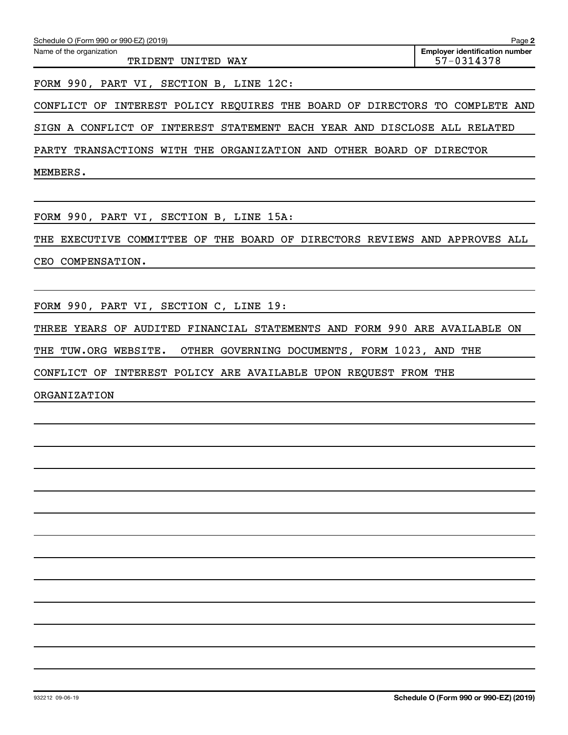| Schedule O (Form 990 or 990-EZ) (2019)<br>Page 2         |                                                     |  |  |  |  |  |  |
|----------------------------------------------------------|-----------------------------------------------------|--|--|--|--|--|--|
| Name of the organization<br>TRIDENT UNITED<br><b>WAY</b> | <b>Employer identification number</b><br>57-0314378 |  |  |  |  |  |  |
|                                                          |                                                     |  |  |  |  |  |  |

FORM 990, PART VI, SECTION B, LINE 12C:

CONFLICT OF INTEREST POLICY REQUIRES THE BOARD OF DIRECTORS TO COMPLETE AND

SIGN A CONFLICT OF INTEREST STATEMENT EACH YEAR AND DISCLOSE ALL RELATED

PARTY TRANSACTIONS WITH THE ORGANIZATION AND OTHER BOARD OF DIRECTOR

MEMBERS.

FORM 990, PART VI, SECTION B, LINE 15A:

THE EXECUTIVE COMMITTEE OF THE BOARD OF DIRECTORS REVIEWS AND APPROVES ALL

CEO COMPENSATION.

FORM 990, PART VI, SECTION C, LINE 19:

THREE YEARS OF AUDITED FINANCIAL STATEMENTS AND FORM 990 ARE AVAILABLE ON

THE TUW.ORG WEBSITE. OTHER GOVERNING DOCUMENTS, FORM 1023, AND THE

CONFLICT OF INTEREST POLICY ARE AVAILABLE UPON REQUEST FROM THE

ORGANIZATION